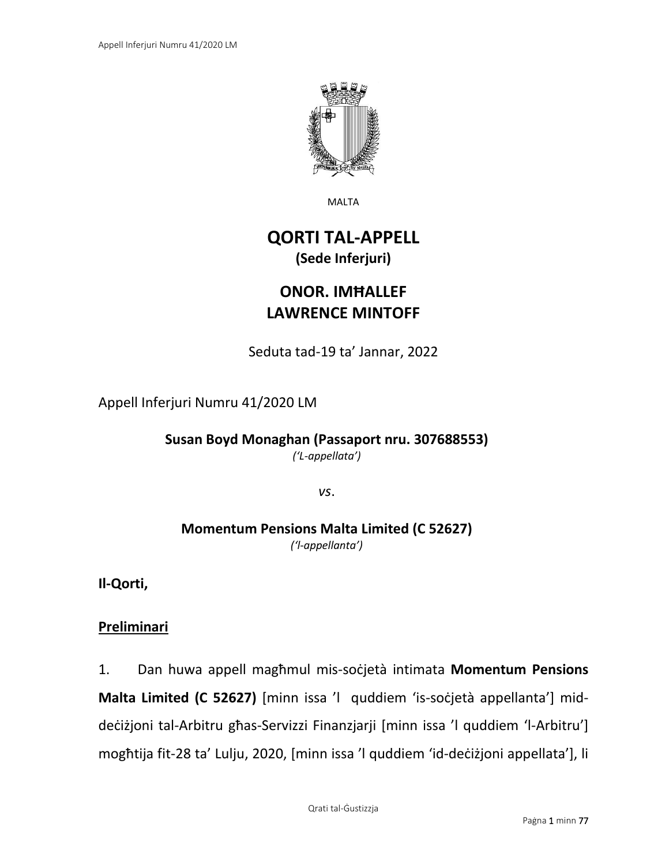

MALTA

# **QORTI TAL-APPELL (Sede Inferjuri)**

# **ONOR. IMĦALLEF LAWRENCE MINTOFF**

Seduta tad-19 ta' Jannar, 2022

Appell Inferjuri Numru 41/2020 LM

**Susan Boyd Monaghan (Passaport nru. 307688553)** *('L-appellata')*

*vs*.

# **Momentum Pensions Malta Limited (C 52627)** *('l-appellanta')*

**Il-Qorti,**

# **Preliminari**

1. Dan huwa appell magħmul mis-soċjetà intimata **Momentum Pensions Malta Limited (C 52627)** [minn issa 'l quddiem 'is-soċjetà appellanta'] middeċiżjoni tal-Arbitru għas-Servizzi Finanzjarji [minn issa 'l quddiem 'l-Arbitru'] mogħtija fit-28 ta' Lulju, 2020, [minn issa 'l quddiem 'id-deċiżjoni appellata'], li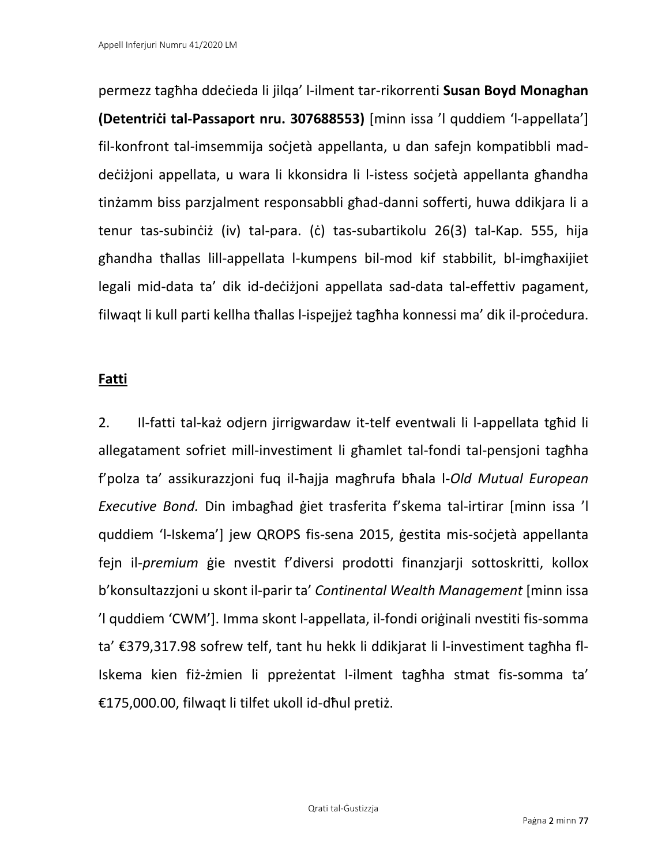permezz tagħha ddeċieda li jilqa' l-ilment tar-rikorrenti **Susan Boyd Monaghan (Detentriċi tal-Passaport nru. 307688553)** [minn issa 'l quddiem 'l-appellata'] fil-konfront tal-imsemmija soċjetà appellanta, u dan safejn kompatibbli maddeċiżjoni appellata, u wara li kkonsidra li l-istess soċjetà appellanta għandha tinżamm biss parzjalment responsabbli għad-danni sofferti, huwa ddikjara li a tenur tas-subinċiż (iv) tal-para. (ċ) tas-subartikolu 26(3) tal-Kap. 555, hija għandha tħallas lill-appellata l-kumpens bil-mod kif stabbilit, bl-imgħaxijiet legali mid-data ta' dik id-deċiżjoni appellata sad-data tal-effettiv pagament, filwaqt li kull parti kellha tħallas l-ispejjeż tagħha konnessi ma' dik il-proċedura.

## **Fatti**

2. Il-fatti tal-każ odjern jirrigwardaw it-telf eventwali li l-appellata tgħid li allegatament sofriet mill-investiment li għamlet tal-fondi tal-pensjoni tagħha f'polza ta' assikurazzjoni fuq il-ħajja magħrufa bħala l-*Old Mutual European Executive Bond.* Din imbagħad ġiet trasferita f'skema tal-irtirar [minn issa 'l quddiem 'l-Iskema'] jew QROPS fis-sena 2015, ġestita mis-soċjetà appellanta fejn il-*premium* ġie nvestit f'diversi prodotti finanzjarji sottoskritti, kollox b'konsultazzjoni u skont il-parir ta' *Continental Wealth Management* [minn issa 'l quddiem 'CWM']. Imma skont l-appellata, il-fondi oriġinali nvestiti fis-somma ta' €379,317.98 sofrew telf, tant hu hekk li ddikjarat li l-investiment tagħha fl-Iskema kien fiż-żmien li ppreżentat l-ilment tagħha stmat fis-somma ta' €175,000.00, filwaqt li tilfet ukoll id-dħul pretiż.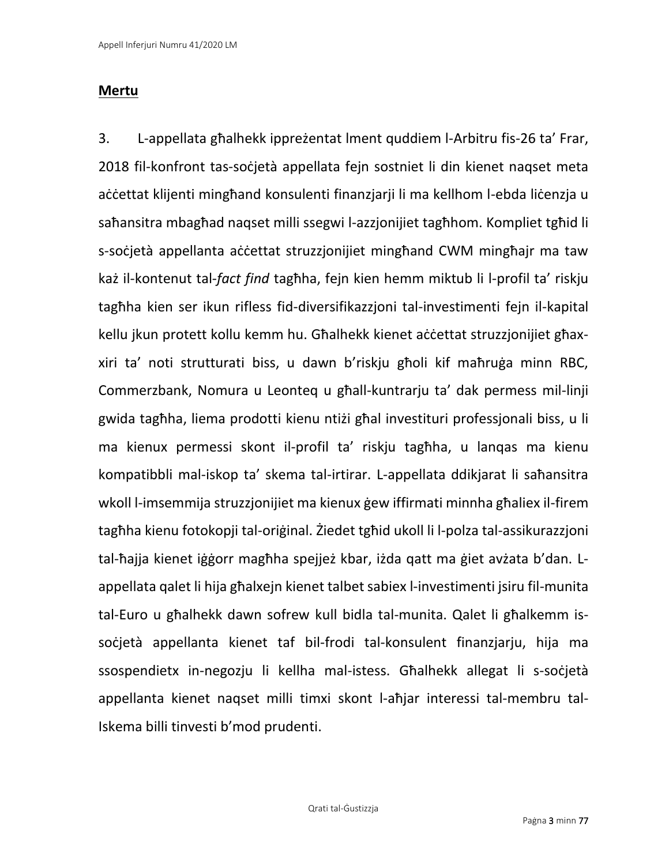# **Mertu**

3. L-appellata għalhekk ippreżentat lment quddiem l-Arbitru fis-26 ta' Frar, 2018 fil-konfront tas-soċjetà appellata fejn sostniet li din kienet naqset meta aċċettat klijenti mingħand konsulenti finanzjarji li ma kellhom l-ebda liċenzja u saħansitra mbagħad naqset milli ssegwi l-azzjonijiet tagħhom. Kompliet tgħid li s-soċjetà appellanta aċċettat struzzjonijiet mingħand CWM mingħajr ma taw każ il-kontenut tal-*fact find* tagħha, fejn kien hemm miktub li l-profil ta' riskju tagħha kien ser ikun rifless fid-diversifikazzjoni tal-investimenti fejn il-kapital kellu jkun protett kollu kemm hu. Għalhekk kienet aċċettat struzzjonijiet għaxxiri ta' noti strutturati biss, u dawn b'riskju għoli kif maħruġa minn RBC, Commerzbank, Nomura u Leonteq u għall-kuntrarju ta' dak permess mil-linji gwida tagħha, liema prodotti kienu ntiżi għal investituri professjonali biss, u li ma kienux permessi skont il-profil ta' riskju tagħha, u lanqas ma kienu kompatibbli mal-iskop ta' skema tal-irtirar. L-appellata ddikjarat li saħansitra wkoll l-imsemmija struzzjonijiet ma kienux ġew iffirmati minnha għaliex il-firem tagħha kienu fotokopji tal-oriġinal. Żiedet tgħid ukoll li l-polza tal-assikurazzjoni tal-ħajja kienet iġġorr magħha spejjeż kbar, iżda qatt ma ġiet avżata b'dan. Lappellata qalet li hija għalxejn kienet talbet sabiex l-investimenti jsiru fil-munita tal-Euro u għalhekk dawn sofrew kull bidla tal-munita. Qalet li għalkemm issoċjetà appellanta kienet taf bil-frodi tal-konsulent finanzjarju, hija ma ssospendietx in-negozju li kellha mal-istess. Għalhekk allegat li s-soċjetà appellanta kienet naqset milli timxi skont l-aħjar interessi tal-membru tal-Iskema billi tinvesti b'mod prudenti.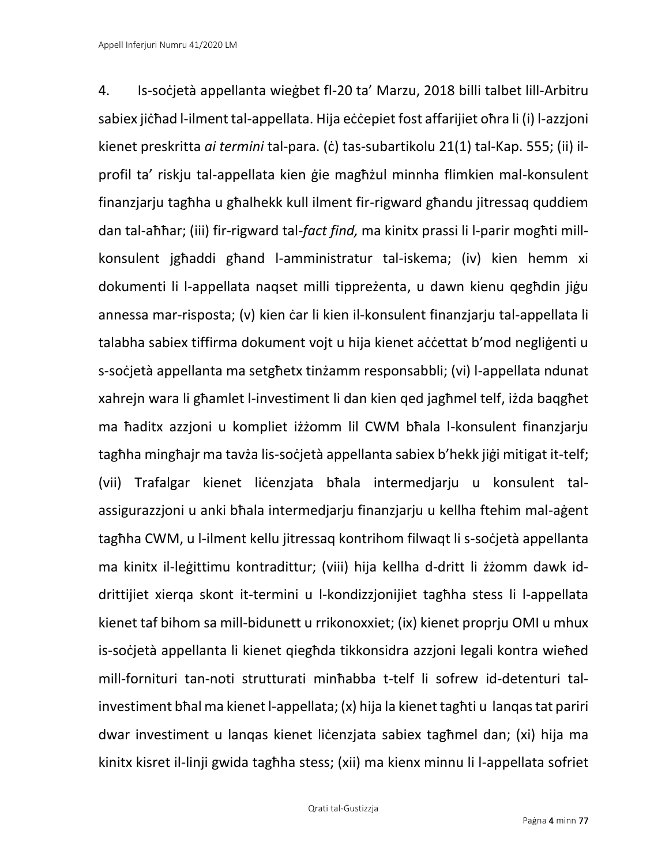4. Is-soċjetà appellanta wieġbet fl-20 ta' Marzu, 2018 billi talbet lill-Arbitru sabiex jiċħad l-ilment tal-appellata. Hija eċċepiet fost affarijiet oħra li (i) l-azzjoni kienet preskritta *ai termini* tal-para. (ċ) tas-subartikolu 21(1) tal-Kap. 555; (ii) ilprofil ta' riskju tal-appellata kien ġie magħżul minnha flimkien mal-konsulent finanzjarju tagħha u għalhekk kull ilment fir-rigward għandu jitressaq quddiem dan tal-aħħar; (iii) fir-rigward tal-*fact find,* ma kinitx prassi li l-parir mogħti millkonsulent jgħaddi għand l-amministratur tal-iskema; (iv) kien hemm xi dokumenti li l-appellata naqset milli tippreżenta, u dawn kienu qegħdin jiġu annessa mar-risposta; (v) kien ċar li kien il-konsulent finanzjarju tal-appellata li talabha sabiex tiffirma dokument vojt u hija kienet aċċettat b'mod negliġenti u s-soċjetà appellanta ma setgħetx tinżamm responsabbli; (vi) l-appellata ndunat xahrejn wara li għamlet l-investiment li dan kien qed jagħmel telf, iżda baqgħet ma ħaditx azzjoni u kompliet iżżomm lil CWM bħala l-konsulent finanzjarju tagħha mingħajr ma tavża lis-soċjetà appellanta sabiex b'hekk jiġi mitigat it-telf; (vii) Trafalgar kienet liċenzjata bħala intermedjarju u konsulent talassigurazzjoni u anki bħala intermedjarju finanzjarju u kellha ftehim mal-aġent tagħha CWM, u l-ilment kellu jitressaq kontrihom filwaqt li s-soċjetà appellanta ma kinitx il-leġittimu kontradittur; (viii) hija kellha d-dritt li żżomm dawk iddrittijiet xierqa skont it-termini u l-kondizzjonijiet tagħha stess li l-appellata kienet taf bihom sa mill-bidunett u rrikonoxxiet; (ix) kienet proprju OMI u mhux is-soċjetà appellanta li kienet qiegħda tikkonsidra azzjoni legali kontra wieħed mill-fornituri tan-noti strutturati minħabba t-telf li sofrew id-detenturi talinvestiment bħal ma kienet l-appellata; (x) hija la kienet tagħti u lanqas tat pariri dwar investiment u lanqas kienet liċenzjata sabiex tagħmel dan; (xi) hija ma kinitx kisret il-linji gwida tagħha stess; (xii) ma kienx minnu li l-appellata sofriet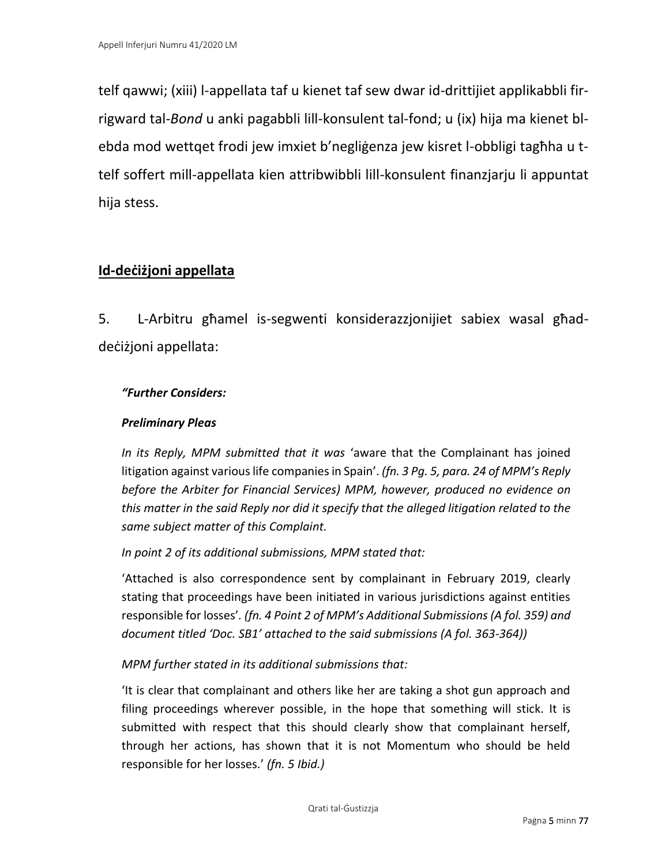telf qawwi; (xiii) l-appellata taf u kienet taf sew dwar id-drittijiet applikabbli firrigward tal-*Bond* u anki pagabbli lill-konsulent tal-fond; u (ix) hija ma kienet blebda mod wettqet frodi jew imxiet b'negliġenza jew kisret l-obbligi tagħha u ttelf soffert mill-appellata kien attribwibbli lill-konsulent finanzjarju li appuntat hija stess.

# **Id-deċiżjoni appellata**

5. L-Arbitru għamel is-segwenti konsiderazzjonijiet sabiex wasal għaddeċiżjoni appellata:

# *"Further Considers:*

## *Preliminary Pleas*

*In its Reply, MPM submitted that it was* 'aware that the Complainant has joined litigation against various life companies in Spain'. *(fn. 3 Pg. 5, para. 24 of MPM's Reply before the Arbiter for Financial Services) MPM, however, produced no evidence on this matter in the said Reply nor did it specify that the alleged litigation related to the same subject matter of this Complaint.* 

*In point 2 of its additional submissions, MPM stated that:* 

'Attached is also correspondence sent by complainant in February 2019, clearly stating that proceedings have been initiated in various jurisdictions against entities responsible for losses'*. (fn. 4 Point 2 of MPM's Additional Submissions (A fol. 359) and document titled 'Doc. SB1' attached to the said submissions (A fol. 363-364))*

## *MPM further stated in its additional submissions that:*

'It is clear that complainant and others like her are taking a shot gun approach and filing proceedings wherever possible, in the hope that something will stick. It is submitted with respect that this should clearly show that complainant herself, through her actions, has shown that it is not Momentum who should be held responsible for her losses.' *(fn. 5 Ibid.)*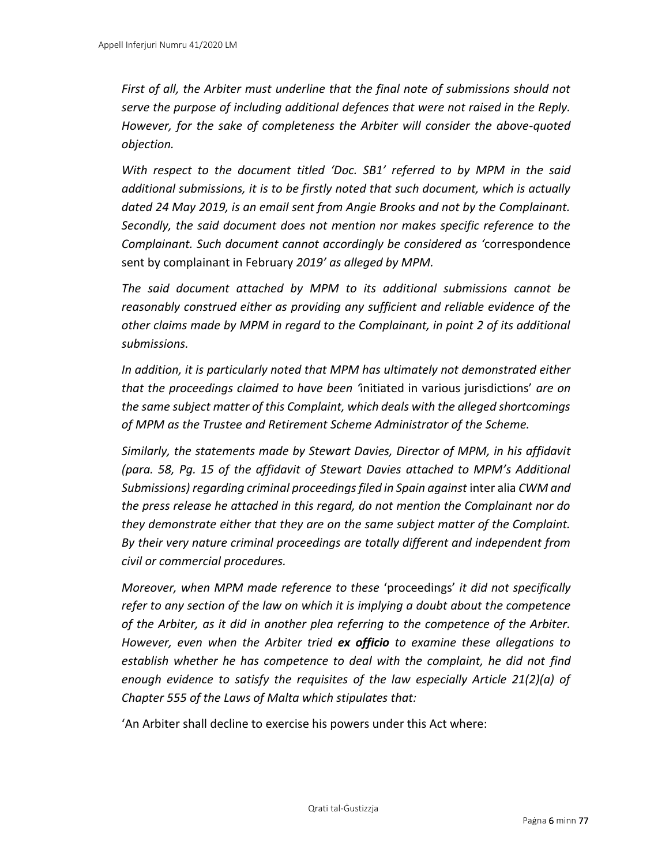*First of all, the Arbiter must underline that the final note of submissions should not serve the purpose of including additional defences that were not raised in the Reply. However, for the sake of completeness the Arbiter will consider the above-quoted objection.* 

*With respect to the document titled 'Doc. SB1' referred to by MPM in the said additional submissions, it is to be firstly noted that such document, which is actually dated 24 May 2019, is an email sent from Angie Brooks and not by the Complainant. Secondly, the said document does not mention nor makes specific reference to the Complainant. Such document cannot accordingly be considered as '*correspondence sent by complainant in February *2019' as alleged by MPM.*

*The said document attached by MPM to its additional submissions cannot be reasonably construed either as providing any sufficient and reliable evidence of the other claims made by MPM in regard to the Complainant, in point 2 of its additional submissions.* 

*In addition, it is particularly noted that MPM has ultimately not demonstrated either that the proceedings claimed to have been '*initiated in various jurisdictions' *are on the same subject matter of this Complaint, which deals with the alleged shortcomings of MPM as the Trustee and Retirement Scheme Administrator of the Scheme.* 

*Similarly, the statements made by Stewart Davies, Director of MPM, in his affidavit (para. 58, Pg. 15 of the affidavit of Stewart Davies attached to MPM's Additional Submissions) regarding criminal proceedings filed in Spain against* inter alia *CWM and the press release he attached in this regard, do not mention the Complainant nor do they demonstrate either that they are on the same subject matter of the Complaint. By their very nature criminal proceedings are totally different and independent from civil or commercial procedures.* 

*Moreover, when MPM made reference to these* 'proceedings' *it did not specifically refer to any section of the law on which it is implying a doubt about the competence of the Arbiter, as it did in another plea referring to the competence of the Arbiter. However, even when the Arbiter tried ex officio to examine these allegations to establish whether he has competence to deal with the complaint, he did not find enough evidence to satisfy the requisites of the law especially Article 21(2)(a) of Chapter 555 of the Laws of Malta which stipulates that:* 

'An Arbiter shall decline to exercise his powers under this Act where: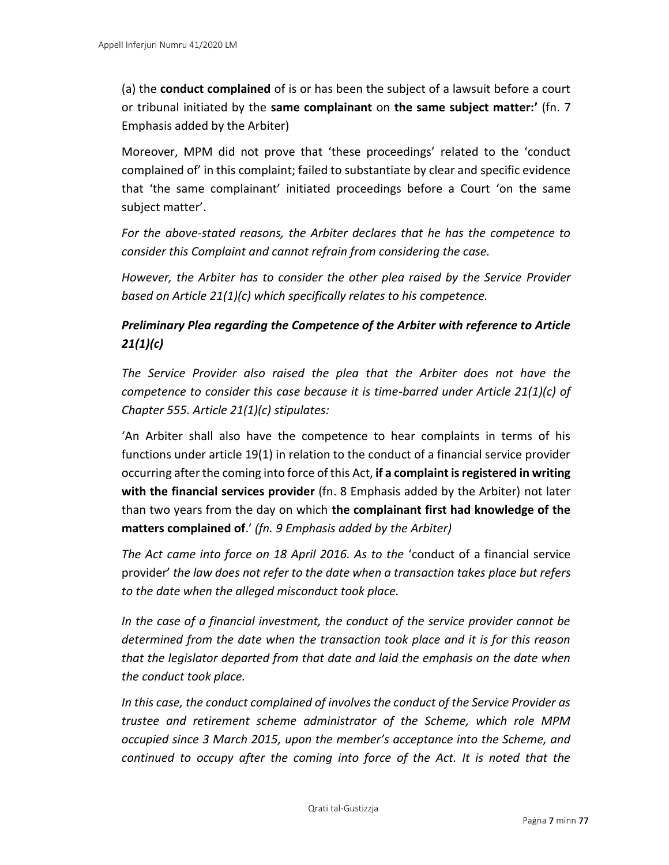(a) the **conduct complained** of is or has been the subject of a lawsuit before a court or tribunal initiated by the **same complainant** on **the same subject matter:'** (fn. 7 Emphasis added by the Arbiter)

Moreover, MPM did not prove that 'these proceedings' related to the 'conduct complained of' in this complaint; failed to substantiate by clear and specific evidence that 'the same complainant' initiated proceedings before a Court 'on the same subject matter'.

*For the above-stated reasons, the Arbiter declares that he has the competence to consider this Complaint and cannot refrain from considering the case.* 

*However, the Arbiter has to consider the other plea raised by the Service Provider based on Article 21(1)(c) which specifically relates to his competence.* 

# *Preliminary Plea regarding the Competence of the Arbiter with reference to Article 21(1)(c)*

*The Service Provider also raised the plea that the Arbiter does not have the competence to consider this case because it is time-barred under Article 21(1)(c) of Chapter 555. Article 21(1)(c) stipulates:* 

'An Arbiter shall also have the competence to hear complaints in terms of his functions under article 19(1) in relation to the conduct of a financial service provider occurring after the coming into force of this Act, **if a complaint is registered in writing with the financial services provider** (fn. 8 Emphasis added by the Arbiter) not later than two years from the day on which **the complainant first had knowledge of the matters complained of**.' *(fn. 9 Emphasis added by the Arbiter)*

*The Act came into force on 18 April 2016. As to the* 'conduct of a financial service provider' *the law does not refer to the date when a transaction takes place but refers to the date when the alleged misconduct took place.* 

*In the case of a financial investment, the conduct of the service provider cannot be determined from the date when the transaction took place and it is for this reason that the legislator departed from that date and laid the emphasis on the date when the conduct took place.* 

*In this case, the conduct complained of involves the conduct of the Service Provider as trustee and retirement scheme administrator of the Scheme, which role MPM occupied since 3 March 2015, upon the member's acceptance into the Scheme, and continued to occupy after the coming into force of the Act. It is noted that the*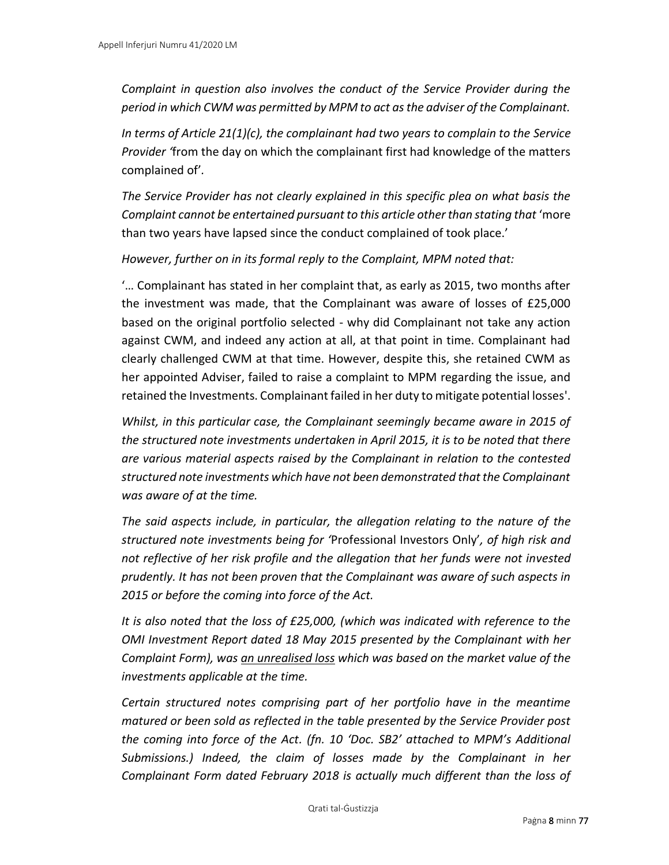*Complaint in question also involves the conduct of the Service Provider during the period in which CWM was permitted by MPM to act as the adviser of the Complainant.* 

*In terms of Article 21(1)(c), the complainant had two years to complain to the Service Provider '*from the day on which the complainant first had knowledge of the matters complained of'*.* 

*The Service Provider has not clearly explained in this specific plea on what basis the Complaint cannot be entertained pursuant to this article other than stating that* 'more than two years have lapsed since the conduct complained of took place.'

*However, further on in its formal reply to the Complaint, MPM noted that:* 

'… Complainant has stated in her complaint that, as early as 2015, two months after the investment was made, that the Complainant was aware of losses of £25,000 based on the original portfolio selected - why did Complainant not take any action against CWM, and indeed any action at all, at that point in time. Complainant had clearly challenged CWM at that time. However, despite this, she retained CWM as her appointed Adviser, failed to raise a complaint to MPM regarding the issue, and retained the Investments. Complainant failed in her duty to mitigate potential losses'.

*Whilst, in this particular case, the Complainant seemingly became aware in 2015 of the structured note investments undertaken in April 2015, it is to be noted that there are various material aspects raised by the Complainant in relation to the contested structured note investments which have not been demonstrated that the Complainant was aware of at the time.* 

*The said aspects include, in particular, the allegation relating to the nature of the structured note investments being for '*Professional Investors Only'*, of high risk and not reflective of her risk profile and the allegation that her funds were not invested prudently. It has not been proven that the Complainant was aware of such aspects in 2015 or before the coming into force of the Act.* 

*It is also noted that the loss of £25,000, (which was indicated with reference to the OMI Investment Report dated 18 May 2015 presented by the Complainant with her Complaint Form), was an unrealised loss which was based on the market value of the investments applicable at the time.* 

*Certain structured notes comprising part of her portfolio have in the meantime matured or been sold as reflected in the table presented by the Service Provider post the coming into force of the Act. (fn. 10 'Doc. SB2' attached to MPM's Additional Submissions.) Indeed, the claim of losses made by the Complainant in her Complainant Form dated February 2018 is actually much different than the loss of*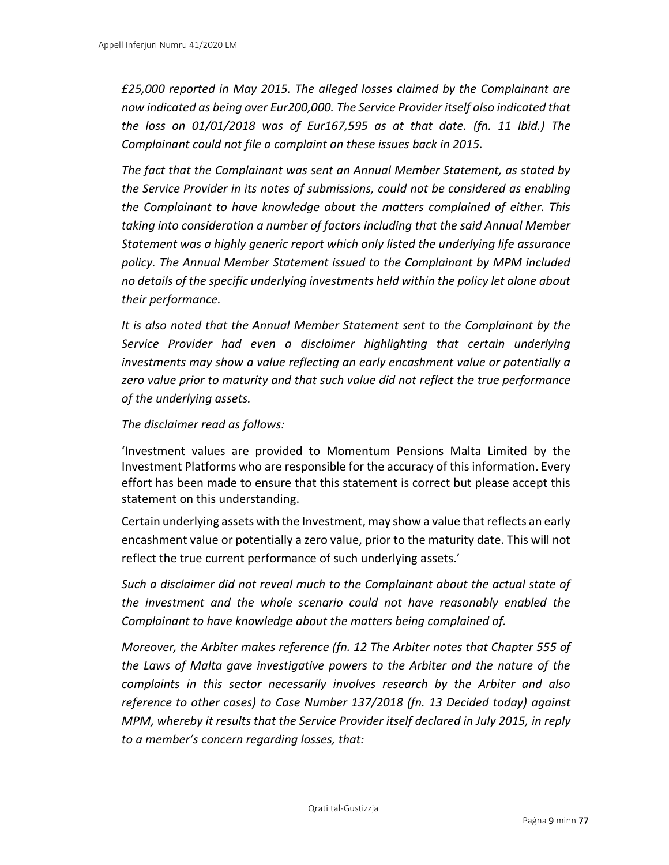*£25,000 reported in May 2015. The alleged losses claimed by the Complainant are now indicated as being over Eur200,000. The Service Provider itself also indicated that the loss on 01/01/2018 was of Eur167,595 as at that date. (fn. 11 Ibid.) The Complainant could not file a complaint on these issues back in 2015.* 

*The fact that the Complainant was sent an Annual Member Statement, as stated by the Service Provider in its notes of submissions, could not be considered as enabling the Complainant to have knowledge about the matters complained of either. This taking into consideration a number of factors including that the said Annual Member Statement was a highly generic report which only listed the underlying life assurance policy. The Annual Member Statement issued to the Complainant by MPM included no details of the specific underlying investments held within the policy let alone about their performance.* 

*It is also noted that the Annual Member Statement sent to the Complainant by the Service Provider had even a disclaimer highlighting that certain underlying investments may show a value reflecting an early encashment value or potentially a zero value prior to maturity and that such value did not reflect the true performance of the underlying assets.* 

#### *The disclaimer read as follows:*

'Investment values are provided to Momentum Pensions Malta Limited by the Investment Platforms who are responsible for the accuracy of this information. Every effort has been made to ensure that this statement is correct but please accept this statement on this understanding.

Certain underlying assets with the Investment, may show a value that reflects an early encashment value or potentially a zero value, prior to the maturity date. This will not reflect the true current performance of such underlying assets.'

*Such a disclaimer did not reveal much to the Complainant about the actual state of the investment and the whole scenario could not have reasonably enabled the Complainant to have knowledge about the matters being complained of.* 

*Moreover, the Arbiter makes reference (fn. 12 The Arbiter notes that Chapter 555 of the Laws of Malta gave investigative powers to the Arbiter and the nature of the complaints in this sector necessarily involves research by the Arbiter and also reference to other cases) to Case Number 137/2018 (fn. 13 Decided today) against MPM, whereby it results that the Service Provider itself declared in July 2015, in reply to a member's concern regarding losses, that:*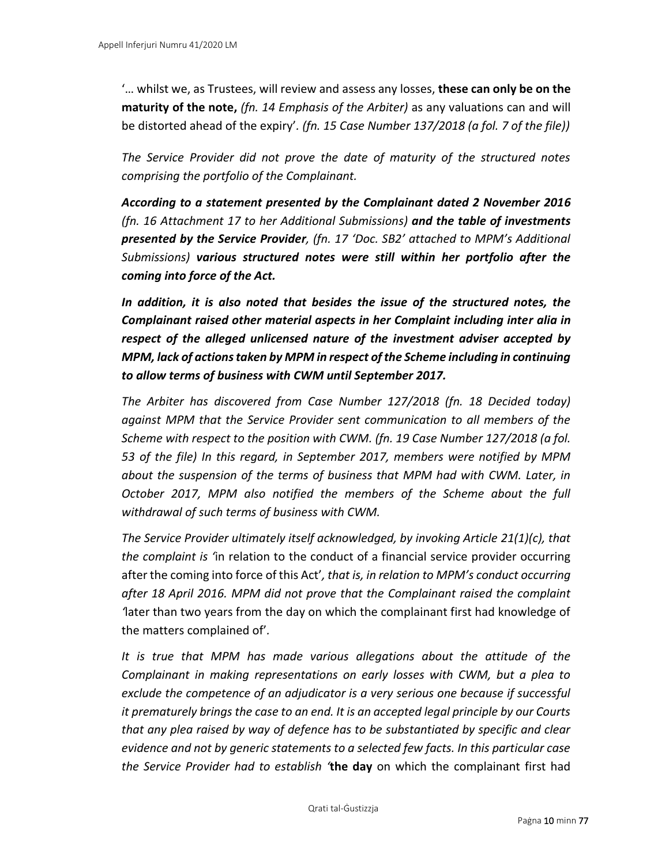'… whilst we, as Trustees, will review and assess any losses, **these can only be on the maturity of the note,** *(fn. 14 Emphasis of the Arbiter)* as any valuations can and will be distorted ahead of the expiry'*. (fn. 15 Case Number 137/2018 (a fol. 7 of the file))*

*The Service Provider did not prove the date of maturity of the structured notes comprising the portfolio of the Complainant.* 

*According to a statement presented by the Complainant dated 2 November 2016 (fn. 16 Attachment 17 to her Additional Submissions) and the table of investments presented by the Service Provider, (fn. 17 'Doc. SB2' attached to MPM's Additional Submissions) various structured notes were still within her portfolio after the coming into force of the Act.*

*In addition, it is also noted that besides the issue of the structured notes, the Complainant raised other material aspects in her Complaint including inter alia in respect of the alleged unlicensed nature of the investment adviser accepted by MPM, lack of actions taken by MPM in respect of the Scheme including in continuing to allow terms of business with CWM until September 2017.* 

*The Arbiter has discovered from Case Number 127/2018 (fn. 18 Decided today) against MPM that the Service Provider sent communication to all members of the Scheme with respect to the position with CWM. (fn. 19 Case Number 127/2018 (a fol. 53 of the file) In this regard, in September 2017, members were notified by MPM about the suspension of the terms of business that MPM had with CWM. Later, in October 2017, MPM also notified the members of the Scheme about the full withdrawal of such terms of business with CWM.* 

*The Service Provider ultimately itself acknowledged, by invoking Article 21(1)(c), that the complaint is '*in relation to the conduct of a financial service provider occurring after the coming into force of this Act'*, that is, in relation to MPM's conduct occurring after 18 April 2016. MPM did not prove that the Complainant raised the complaint '*later than two years from the day on which the complainant first had knowledge of the matters complained of'*.*

*It is true that MPM has made various allegations about the attitude of the Complainant in making representations on early losses with CWM, but a plea to exclude the competence of an adjudicator is a very serious one because if successful it prematurely brings the case to an end. It is an accepted legal principle by our Courts that any plea raised by way of defence has to be substantiated by specific and clear evidence and not by generic statements to a selected few facts. In this particular case the Service Provider had to establish '***the day** on which the complainant first had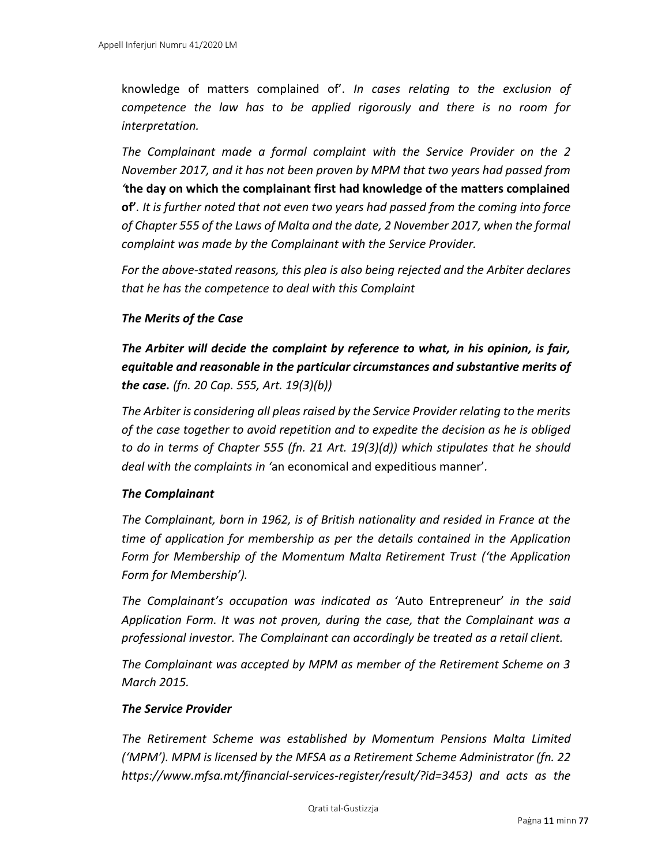knowledge of matters complained of'. *In cases relating to the exclusion of competence the law has to be applied rigorously and there is no room for interpretation.* 

*The Complainant made a formal complaint with the Service Provider on the 2 November 2017, and it has not been proven by MPM that two years had passed from '***the day on which the complainant first had knowledge of the matters complained of'***. It is further noted that not even two years had passed from the coming into force of Chapter 555 of the Laws of Malta and the date, 2 November 2017, when the formal complaint was made by the Complainant with the Service Provider.* 

*For the above-stated reasons, this plea is also being rejected and the Arbiter declares that he has the competence to deal with this Complaint*

## *The Merits of the Case*

*The Arbiter will decide the complaint by reference to what, in his opinion, is fair, equitable and reasonable in the particular circumstances and substantive merits of the case. (fn. 20 Cap. 555, Art. 19(3)(b))*

*The Arbiter is considering all pleas raised by the Service Provider relating to the merits of the case together to avoid repetition and to expedite the decision as he is obliged to do in terms of Chapter 555 (fn. 21 Art. 19(3)(d)) which stipulates that he should deal with the complaints in '*an economical and expeditious manner'*.* 

## *The Complainant*

*The Complainant, born in 1962, is of British nationality and resided in France at the time of application for membership as per the details contained in the Application Form for Membership of the Momentum Malta Retirement Trust ('the Application Form for Membership').* 

*The Complainant's occupation was indicated as '*Auto Entrepreneur' *in the said Application Form. It was not proven, during the case, that the Complainant was a professional investor. The Complainant can accordingly be treated as a retail client.* 

*The Complainant was accepted by MPM as member of the Retirement Scheme on 3 March 2015.* 

#### *The Service Provider*

*The Retirement Scheme was established by Momentum Pensions Malta Limited ('MPM'). MPM is licensed by the MFSA as a Retirement Scheme Administrator (fn. 22 https://www.mfsa.mt/financial-services-register/result/?id=3453) and acts as the*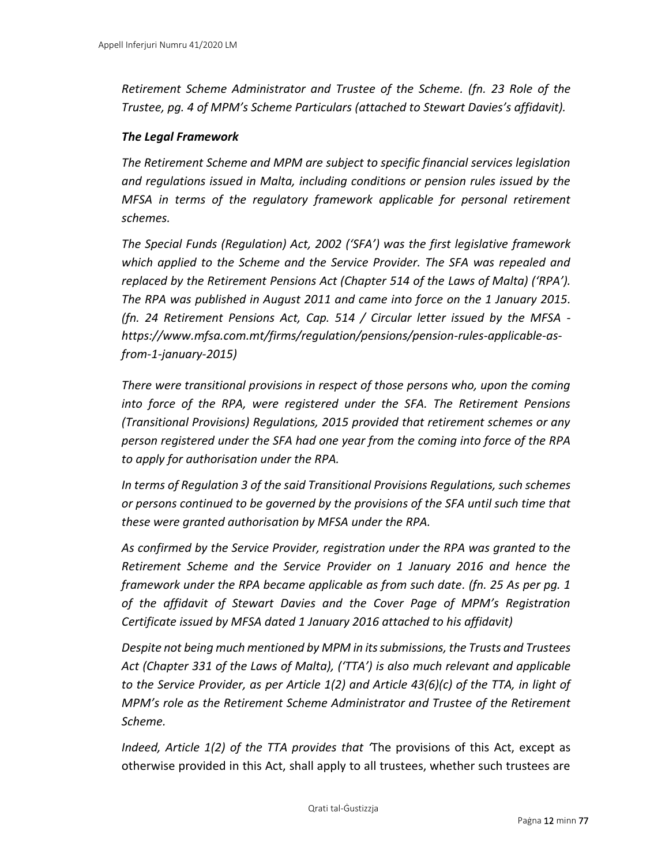*Retirement Scheme Administrator and Trustee of the Scheme. (fn. 23 Role of the Trustee, pg. 4 of MPM's Scheme Particulars (attached to Stewart Davies's affidavit).*

#### *The Legal Framework*

*The Retirement Scheme and MPM are subject to specific financial services legislation and regulations issued in Malta, including conditions or pension rules issued by the MFSA in terms of the regulatory framework applicable for personal retirement schemes.* 

*The Special Funds (Regulation) Act, 2002 ('SFA') was the first legislative framework which applied to the Scheme and the Service Provider. The SFA was repealed and replaced by the Retirement Pensions Act (Chapter 514 of the Laws of Malta) ('RPA'). The RPA was published in August 2011 and came into force on the 1 January 2015. (fn. 24 Retirement Pensions Act, Cap. 514 / Circular letter issued by the MFSA https://www.mfsa.com.mt/firms/regulation/pensions/pension-rules-applicable-asfrom-1-january-2015)*

*There were transitional provisions in respect of those persons who, upon the coming into force of the RPA, were registered under the SFA. The Retirement Pensions (Transitional Provisions) Regulations, 2015 provided that retirement schemes or any person registered under the SFA had one year from the coming into force of the RPA to apply for authorisation under the RPA.* 

*In terms of Regulation 3 of the said Transitional Provisions Regulations, such schemes or persons continued to be governed by the provisions of the SFA until such time that these were granted authorisation by MFSA under the RPA.* 

*As confirmed by the Service Provider, registration under the RPA was granted to the Retirement Scheme and the Service Provider on 1 January 2016 and hence the framework under the RPA became applicable as from such date. (fn. 25 As per pg. 1 of the affidavit of Stewart Davies and the Cover Page of MPM's Registration Certificate issued by MFSA dated 1 January 2016 attached to his affidavit)*

*Despite not being much mentioned by MPM in its submissions, the Trusts and Trustees Act (Chapter 331 of the Laws of Malta), ('TTA') is also much relevant and applicable to the Service Provider, as per Article 1(2) and Article 43(6)(c) of the TTA, in light of MPM's role as the Retirement Scheme Administrator and Trustee of the Retirement Scheme.* 

*Indeed, Article 1(2) of the TTA provides that '*The provisions of this Act, except as otherwise provided in this Act, shall apply to all trustees, whether such trustees are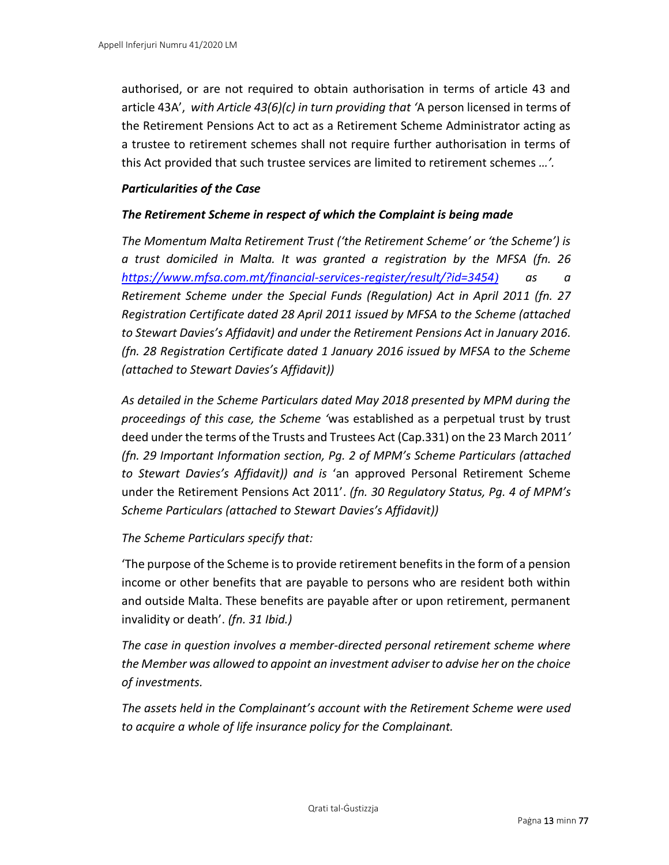authorised, or are not required to obtain authorisation in terms of article 43 and article 43A', *with Article 43(6)(c) in turn providing that '*A person licensed in terms of the Retirement Pensions Act to act as a Retirement Scheme Administrator acting as a trustee to retirement schemes shall not require further authorisation in terms of this Act provided that such trustee services are limited to retirement schemes *…'.*

### *Particularities of the Case*

## *The Retirement Scheme in respect of which the Complaint is being made*

*The Momentum Malta Retirement Trust ('the Retirement Scheme' or 'the Scheme') is a trust domiciled in Malta. It was granted a registration by the MFSA (fn. 26 <https://www.mfsa.com.mt/financial-services-register/result/?id=3454>) as a Retirement Scheme under the Special Funds (Regulation) Act in April 2011 (fn. 27 Registration Certificate dated 28 April 2011 issued by MFSA to the Scheme (attached to Stewart Davies's Affidavit) and under the Retirement Pensions Act in January 2016. (fn. 28 Registration Certificate dated 1 January 2016 issued by MFSA to the Scheme (attached to Stewart Davies's Affidavit))*

*As detailed in the Scheme Particulars dated May 2018 presented by MPM during the proceedings of this case, the Scheme '*was established as a perpetual trust by trust deed under the terms of the Trusts and Trustees Act (Cap.331) on the 23 March 2011*' (fn. 29 Important Information section, Pg. 2 of MPM's Scheme Particulars (attached to Stewart Davies's Affidavit)) and is* 'an approved Personal Retirement Scheme under the Retirement Pensions Act 2011'. *(fn. 30 Regulatory Status, Pg. 4 of MPM's Scheme Particulars (attached to Stewart Davies's Affidavit))*

## *The Scheme Particulars specify that:*

'The purpose of the Scheme is to provide retirement benefits in the form of a pension income or other benefits that are payable to persons who are resident both within and outside Malta. These benefits are payable after or upon retirement, permanent invalidity or death'. *(fn. 31 Ibid.)*

*The case in question involves a member-directed personal retirement scheme where the Member was allowed to appoint an investment adviser to advise her on the choice of investments.*

*The assets held in the Complainant's account with the Retirement Scheme were used to acquire a whole of life insurance policy for the Complainant.*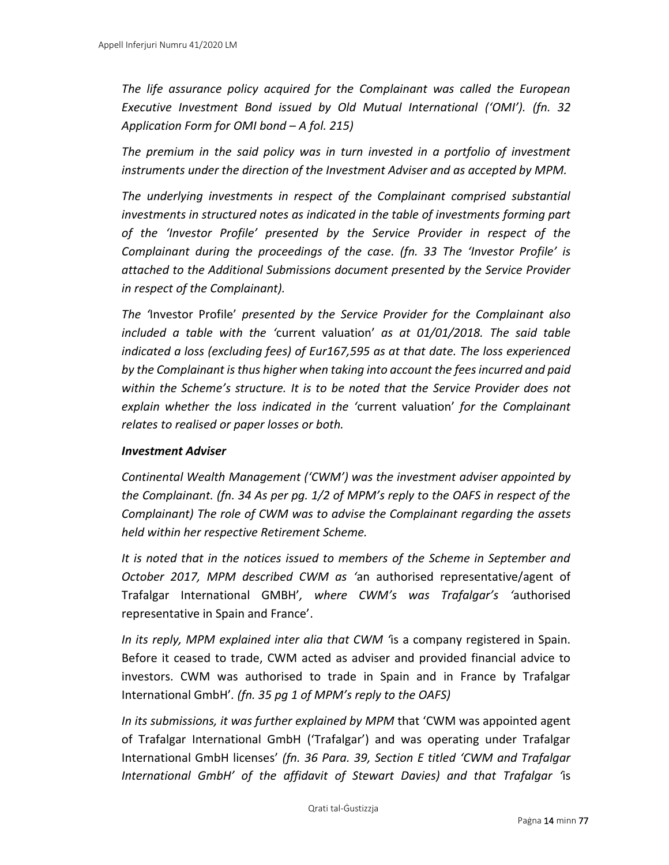*The life assurance policy acquired for the Complainant was called the European Executive Investment Bond issued by Old Mutual International ('OMI'). (fn. 32 Application Form for OMI bond – A fol. 215)*

*The premium in the said policy was in turn invested in a portfolio of investment instruments under the direction of the Investment Adviser and as accepted by MPM.* 

*The underlying investments in respect of the Complainant comprised substantial investments in structured notes as indicated in the table of investments forming part of the 'Investor Profile' presented by the Service Provider in respect of the Complainant during the proceedings of the case. (fn. 33 The 'Investor Profile' is attached to the Additional Submissions document presented by the Service Provider in respect of the Complainant).*

*The '*Investor Profile' *presented by the Service Provider for the Complainant also included a table with the '*current valuation' *as at 01/01/2018. The said table indicated a loss (excluding fees) of Eur167,595 as at that date. The loss experienced by the Complainant is thus higher when taking into account the fees incurred and paid within the Scheme's structure. It is to be noted that the Service Provider does not explain whether the loss indicated in the '*current valuation' *for the Complainant relates to realised or paper losses or both.* 

#### *Investment Adviser*

*Continental Wealth Management ('CWM') was the investment adviser appointed by the Complainant. (fn. 34 As per pg. 1/2 of MPM's reply to the OAFS in respect of the Complainant) The role of CWM was to advise the Complainant regarding the assets held within her respective Retirement Scheme.* 

*It is noted that in the notices issued to members of the Scheme in September and October 2017, MPM described CWM as '*an authorised representative/agent of Trafalgar International GMBH'*, where CWM's was Trafalgar's '*authorised representative in Spain and France'.

*In its reply, MPM explained inter alia that CWM '*is a company registered in Spain. Before it ceased to trade, CWM acted as adviser and provided financial advice to investors. CWM was authorised to trade in Spain and in France by Trafalgar International GmbH'*. (fn. 35 pg 1 of MPM's reply to the OAFS)*

*In its submissions, it was further explained by MPM* that 'CWM was appointed agent of Trafalgar International GmbH ('Trafalgar') and was operating under Trafalgar International GmbH licenses' *(fn. 36 Para. 39, Section E titled 'CWM and Trafalgar International GmbH' of the affidavit of Stewart Davies) and that Trafalgar '*is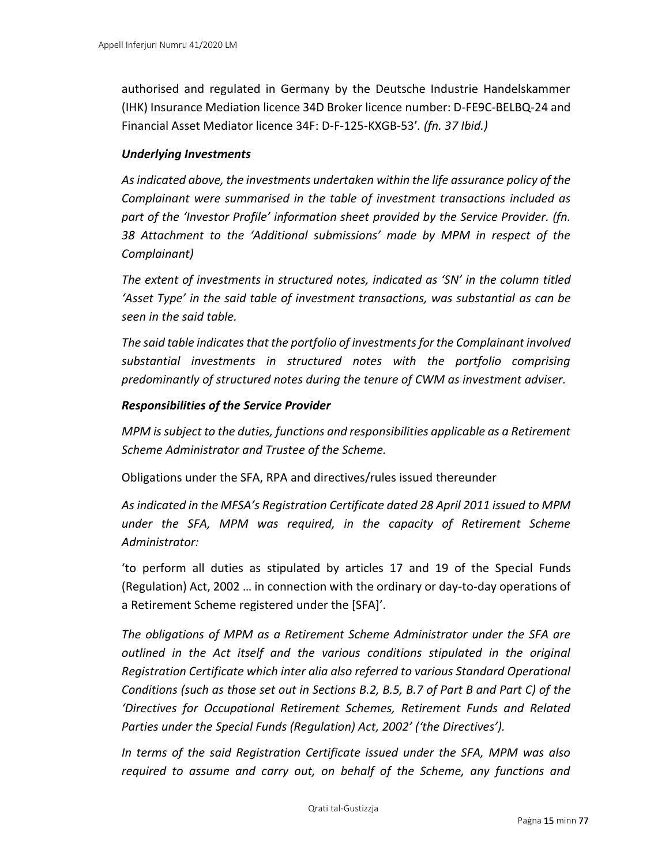authorised and regulated in Germany by the Deutsche Industrie Handelskammer (IHK) Insurance Mediation licence 34D Broker licence number: D-FE9C-BELBQ-24 and Financial Asset Mediator licence 34F: D-F-125-KXGB-53'*. (fn. 37 Ibid.)*

#### *Underlying Investments*

*As indicated above, the investments undertaken within the life assurance policy of the Complainant were summarised in the table of investment transactions included as part of the 'Investor Profile' information sheet provided by the Service Provider. (fn. 38 Attachment to the 'Additional submissions' made by MPM in respect of the Complainant)*

*The extent of investments in structured notes, indicated as 'SN' in the column titled 'Asset Type' in the said table of investment transactions, was substantial as can be seen in the said table.* 

*The said table indicates that the portfolio of investments for the Complainant involved substantial investments in structured notes with the portfolio comprising predominantly of structured notes during the tenure of CWM as investment adviser.* 

#### *Responsibilities of the Service Provider*

*MPM is subject to the duties, functions and responsibilities applicable as a Retirement Scheme Administrator and Trustee of the Scheme.* 

Obligations under the SFA, RPA and directives/rules issued thereunder

*As indicated in the MFSA's Registration Certificate dated 28 April 2011 issued to MPM under the SFA, MPM was required, in the capacity of Retirement Scheme Administrator:* 

'to perform all duties as stipulated by articles 17 and 19 of the Special Funds (Regulation) Act, 2002 … in connection with the ordinary or day-to-day operations of a Retirement Scheme registered under the [SFA]'.

*The obligations of MPM as a Retirement Scheme Administrator under the SFA are outlined in the Act itself and the various conditions stipulated in the original Registration Certificate which inter alia also referred to various Standard Operational Conditions (such as those set out in Sections B.2, B.5, B.7 of Part B and Part C) of the 'Directives for Occupational Retirement Schemes, Retirement Funds and Related Parties under the Special Funds (Regulation) Act, 2002' ('the Directives').* 

*In terms of the said Registration Certificate issued under the SFA, MPM was also required to assume and carry out, on behalf of the Scheme, any functions and*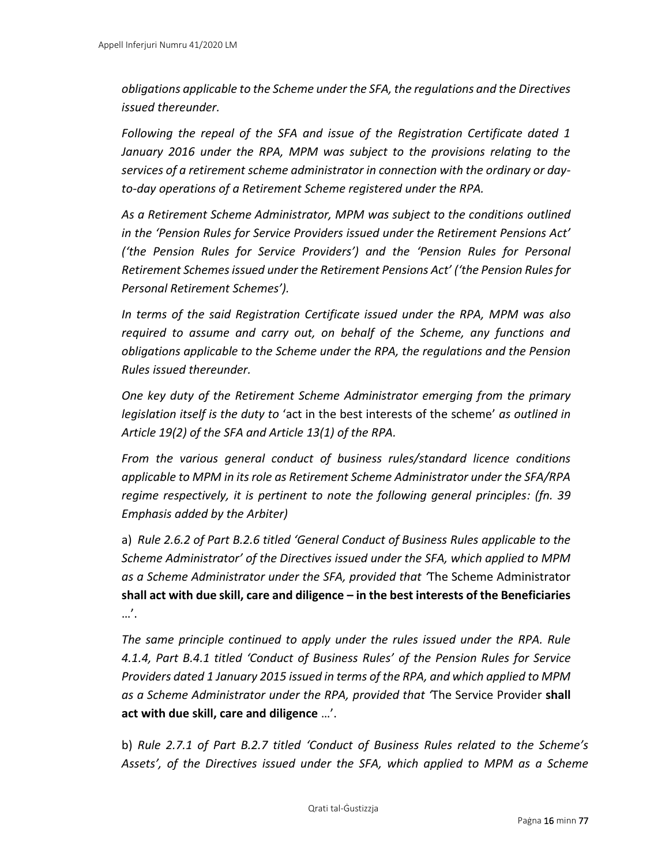*obligations applicable to the Scheme under the SFA, the regulations and the Directives issued thereunder.* 

*Following the repeal of the SFA and issue of the Registration Certificate dated 1 January 2016 under the RPA, MPM was subject to the provisions relating to the services of a retirement scheme administrator in connection with the ordinary or dayto-day operations of a Retirement Scheme registered under the RPA.* 

*As a Retirement Scheme Administrator, MPM was subject to the conditions outlined in the 'Pension Rules for Service Providers issued under the Retirement Pensions Act' ('the Pension Rules for Service Providers') and the 'Pension Rules for Personal Retirement Schemes issued under the Retirement Pensions Act' ('the Pension Rules for Personal Retirement Schemes').* 

*In terms of the said Registration Certificate issued under the RPA, MPM was also required to assume and carry out, on behalf of the Scheme, any functions and obligations applicable to the Scheme under the RPA, the regulations and the Pension Rules issued thereunder.* 

*One key duty of the Retirement Scheme Administrator emerging from the primary legislation itself is the duty to* 'act in the best interests of the scheme' *as outlined in Article 19(2) of the SFA and Article 13(1) of the RPA.* 

*From the various general conduct of business rules/standard licence conditions applicable to MPM in its role as Retirement Scheme Administrator under the SFA/RPA regime respectively, it is pertinent to note the following general principles: (fn. 39 Emphasis added by the Arbiter)*

a) *Rule 2.6.2 of Part B.2.6 titled 'General Conduct of Business Rules applicable to the Scheme Administrator' of the Directives issued under the SFA, which applied to MPM as a Scheme Administrator under the SFA, provided that '*The Scheme Administrator **shall act with due skill, care and diligence – in the best interests of the Beneficiaries** …'.

*The same principle continued to apply under the rules issued under the RPA. Rule 4.1.4, Part B.4.1 titled 'Conduct of Business Rules' of the Pension Rules for Service Providers dated 1 January 2015 issued in terms of the RPA, and which applied to MPM as a Scheme Administrator under the RPA, provided that '*The Service Provider **shall act with due skill, care and diligence** …'.

b) *Rule 2.7.1 of Part B.2.7 titled 'Conduct of Business Rules related to the Scheme's Assets', of the Directives issued under the SFA, which applied to MPM as a Scheme*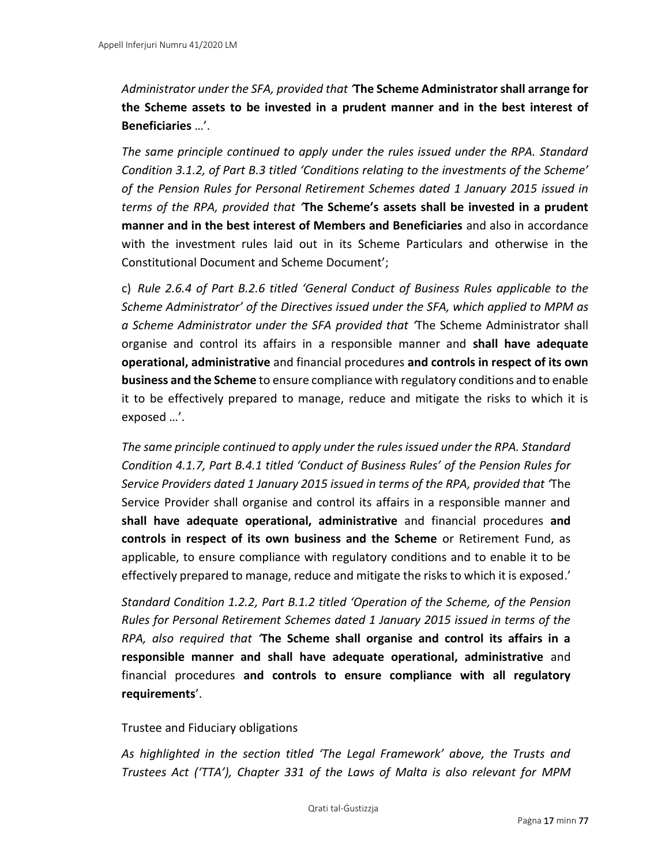*Administrator under the SFA, provided that '***The Scheme Administrator shall arrange for the Scheme assets to be invested in a prudent manner and in the best interest of Beneficiaries** …'.

*The same principle continued to apply under the rules issued under the RPA. Standard Condition 3.1.2, of Part B.3 titled 'Conditions relating to the investments of the Scheme' of the Pension Rules for Personal Retirement Schemes dated 1 January 2015 issued in terms of the RPA, provided that '***The Scheme's assets shall be invested in a prudent manner and in the best interest of Members and Beneficiaries** and also in accordance with the investment rules laid out in its Scheme Particulars and otherwise in the Constitutional Document and Scheme Document';

c) *Rule 2.6.4 of Part B.2.6 titled 'General Conduct of Business Rules applicable to the Scheme Administrator' of the Directives issued under the SFA, which applied to MPM as a Scheme Administrator under the SFA provided that '*The Scheme Administrator shall organise and control its affairs in a responsible manner and **shall have adequate operational, administrative** and financial procedures **and controls in respect of its own business and the Scheme** to ensure compliance with regulatory conditions and to enable it to be effectively prepared to manage, reduce and mitigate the risks to which it is exposed …'.

*The same principle continued to apply under the rules issued under the RPA. Standard Condition 4.1.7, Part B.4.1 titled 'Conduct of Business Rules' of the Pension Rules for Service Providers dated 1 January 2015 issued in terms of the RPA, provided that '*The Service Provider shall organise and control its affairs in a responsible manner and **shall have adequate operational, administrative** and financial procedures **and controls in respect of its own business and the Scheme** or Retirement Fund, as applicable, to ensure compliance with regulatory conditions and to enable it to be effectively prepared to manage, reduce and mitigate the risks to which it is exposed.'

*Standard Condition 1.2.2, Part B.1.2 titled 'Operation of the Scheme, of the Pension Rules for Personal Retirement Schemes dated 1 January 2015 issued in terms of the RPA, also required that '***The Scheme shall organise and control its affairs in a responsible manner and shall have adequate operational, administrative** and financial procedures **and controls to ensure compliance with all regulatory requirements**'.

#### Trustee and Fiduciary obligations

*As highlighted in the section titled 'The Legal Framework' above, the Trusts and Trustees Act ('TTA'), Chapter 331 of the Laws of Malta is also relevant for MPM*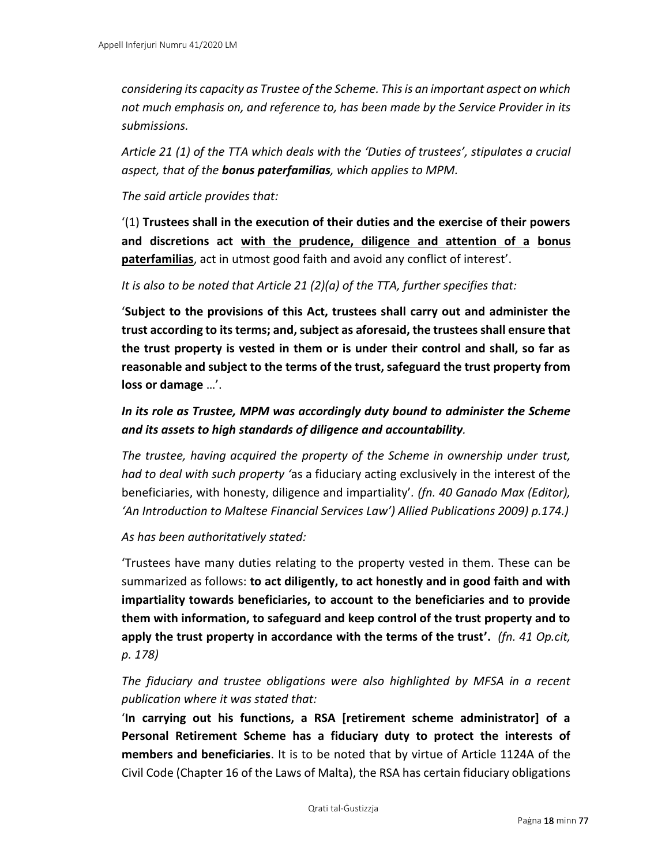*considering its capacity as Trustee of the Scheme. This is an important aspect on which not much emphasis on, and reference to, has been made by the Service Provider in its submissions.* 

*Article 21 (1) of the TTA which deals with the 'Duties of trustees', stipulates a crucial aspect, that of the bonus paterfamilias, which applies to MPM.* 

## *The said article provides that:*

'(1) **Trustees shall in the execution of their duties and the exercise of their powers and discretions act with the prudence, diligence and attention of a bonus paterfamilias**, act in utmost good faith and avoid any conflict of interest'.

*It is also to be noted that Article 21 (2)(a) of the TTA, further specifies that:* 

'**Subject to the provisions of this Act, trustees shall carry out and administer the trust according to its terms; and, subject as aforesaid, the trustees shall ensure that the trust property is vested in them or is under their control and shall, so far as reasonable and subject to the terms of the trust, safeguard the trust property from loss or damage** …'.

# *In its role as Trustee, MPM was accordingly duty bound to administer the Scheme and its assets to high standards of diligence and accountability.*

*The trustee, having acquired the property of the Scheme in ownership under trust, had to deal with such property '*as a fiduciary acting exclusively in the interest of the beneficiaries, with honesty, diligence and impartiality'*. (fn. 40 Ganado Max (Editor), 'An Introduction to Maltese Financial Services Law') Allied Publications 2009) p.174.)*

*As has been authoritatively stated:* 

'Trustees have many duties relating to the property vested in them. These can be summarized as follows: **to act diligently, to act honestly and in good faith and with impartiality towards beneficiaries, to account to the beneficiaries and to provide them with information, to safeguard and keep control of the trust property and to apply the trust property in accordance with the terms of the trust'.** *(fn. 41 Op.cit, p. 178)*

# *The fiduciary and trustee obligations were also highlighted by MFSA in a recent publication where it was stated that:*

'**In carrying out his functions, a RSA [retirement scheme administrator] of a Personal Retirement Scheme has a fiduciary duty to protect the interests of members and beneficiaries**. It is to be noted that by virtue of Article 1124A of the Civil Code (Chapter 16 of the Laws of Malta), the RSA has certain fiduciary obligations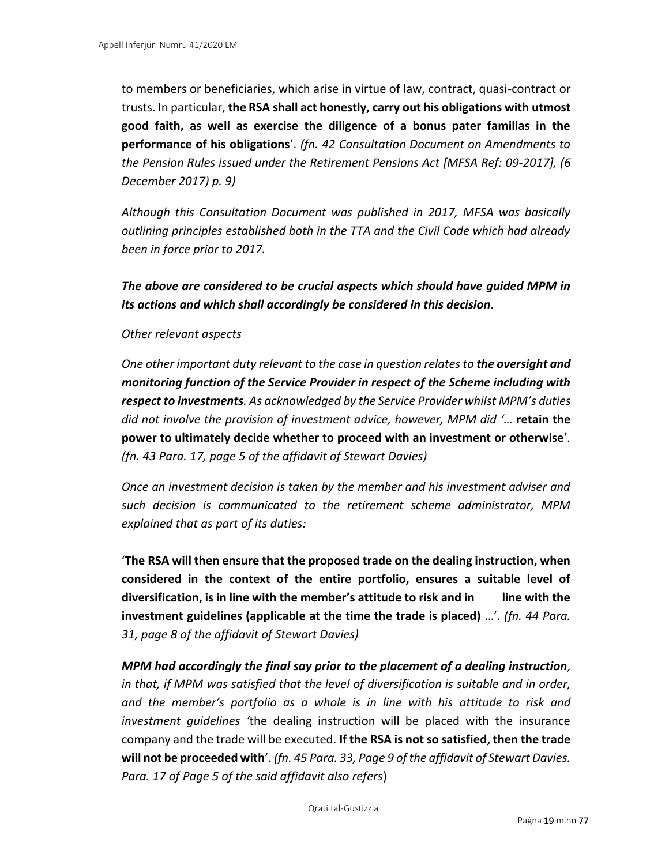to members or beneficiaries, which arise in virtue of law, contract, quasi-contract or trusts. In particular, **the RSA shall act honestly, carry out his obligations with utmost good faith, as well as exercise the diligence of a bonus pater familias in the performance of his obligations**'. *(fn. 42 Consultation Document on Amendments to the Pension Rules issued under the Retirement Pensions Act [MFSA Ref: 09-2017], (6 December 2017) p. 9)*

*Although this Consultation Document was published in 2017, MFSA was basically outlining principles established both in the TTA and the Civil Code which had already been in force prior to 2017.* 

*The above are considered to be crucial aspects which should have guided MPM in its actions and which shall accordingly be considered in this decision.* 

#### *Other relevant aspects*

*One other important duty relevant to the case in question relates to the oversight and monitoring function of the Service Provider in respect of the Scheme including with respect to investments. As acknowledged by the Service Provider whilst MPM's duties did not involve the provision of investment advice, however, MPM did '…* **retain the power to ultimately decide whether to proceed with an investment or otherwise**'*. (fn. 43 Para. 17, page 5 of the affidavit of Stewart Davies)*

*Once an investment decision is taken by the member and his investment adviser and such decision is communicated to the retirement scheme administrator, MPM explained that as part of its duties:* 

'**The RSA will then ensure that the proposed trade on the dealing instruction, when considered in the context of the entire portfolio, ensures a suitable level of diversification, is in line with the member's attitude to risk and in line with the investment guidelines (applicable at the time the trade is placed)** …'. *(fn. 44 Para. 31, page 8 of the affidavit of Stewart Davies)*

*MPM had accordingly the final say prior to the placement of a dealing instruction, in that, if MPM was satisfied that the level of diversification is suitable and in order, and the member's portfolio as a whole is in line with his attitude to risk and investment guidelines '*the dealing instruction will be placed with the insurance company and the trade will be executed. **If the RSA is not so satisfied, then the trade will not be proceeded with**'. *(fn. 45 Para. 33, Page 9 of the affidavit of Stewart Davies. Para. 17 of Page 5 of the said affidavit also refers*)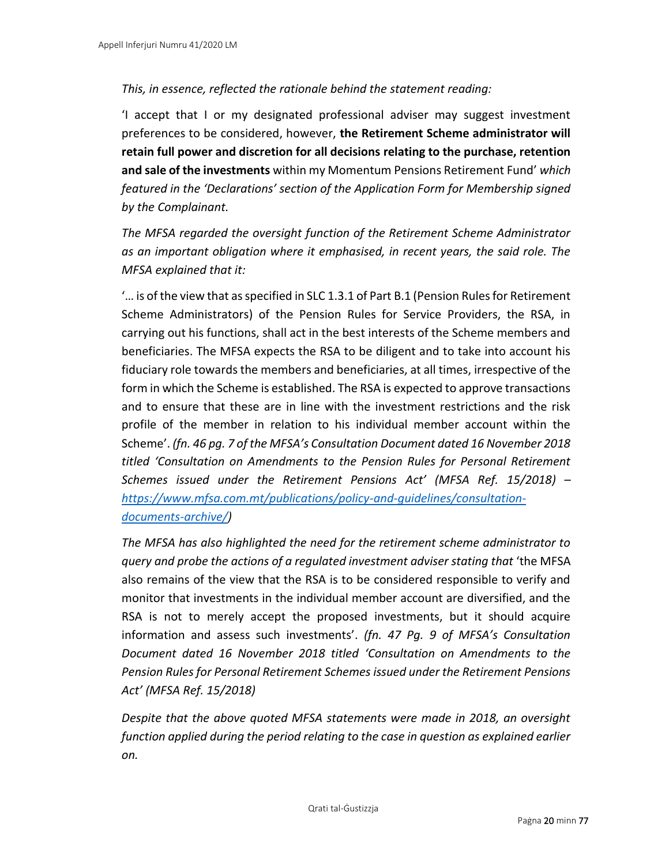## *This, in essence, reflected the rationale behind the statement reading:*

'I accept that I or my designated professional adviser may suggest investment preferences to be considered, however, **the Retirement Scheme administrator will retain full power and discretion for all decisions relating to the purchase, retention and sale of the investments** within my Momentum Pensions Retirement Fund' *which featured in the 'Declarations' section of the Application Form for Membership signed by the Complainant.* 

*The MFSA regarded the oversight function of the Retirement Scheme Administrator as an important obligation where it emphasised, in recent years, the said role. The MFSA explained that it:* 

'… is of the view that as specified in SLC 1.3.1 of Part B.1 (Pension Rules for Retirement Scheme Administrators) of the Pension Rules for Service Providers, the RSA, in carrying out his functions, shall act in the best interests of the Scheme members and beneficiaries. The MFSA expects the RSA to be diligent and to take into account his fiduciary role towards the members and beneficiaries, at all times, irrespective of the form in which the Scheme is established. The RSA is expected to approve transactions and to ensure that these are in line with the investment restrictions and the risk profile of the member in relation to his individual member account within the Scheme'. *(fn. 46 pg. 7 of the MFSA's Consultation Document dated 16 November 2018 titled 'Consultation on Amendments to the Pension Rules for Personal Retirement Schemes issued under the Retirement Pensions Act' (MFSA Ref. 15/2018) – [https://www.mfsa.com.mt/publications/policy-and-guidelines/consultation](https://www.mfsa.com.mt/publications/policy-and-guidelines/consultation-documents-archive/)[documents-archive/\)](https://www.mfsa.com.mt/publications/policy-and-guidelines/consultation-documents-archive/)*

*The MFSA has also highlighted the need for the retirement scheme administrator to query and probe the actions of a regulated investment adviser stating that* 'the MFSA also remains of the view that the RSA is to be considered responsible to verify and monitor that investments in the individual member account are diversified, and the RSA is not to merely accept the proposed investments, but it should acquire information and assess such investments'. *(fn. 47 Pg. 9 of MFSA's Consultation Document dated 16 November 2018 titled 'Consultation on Amendments to the Pension Rules for Personal Retirement Schemes issued under the Retirement Pensions Act' (MFSA Ref. 15/2018)*

*Despite that the above quoted MFSA statements were made in 2018, an oversight function applied during the period relating to the case in question as explained earlier on.*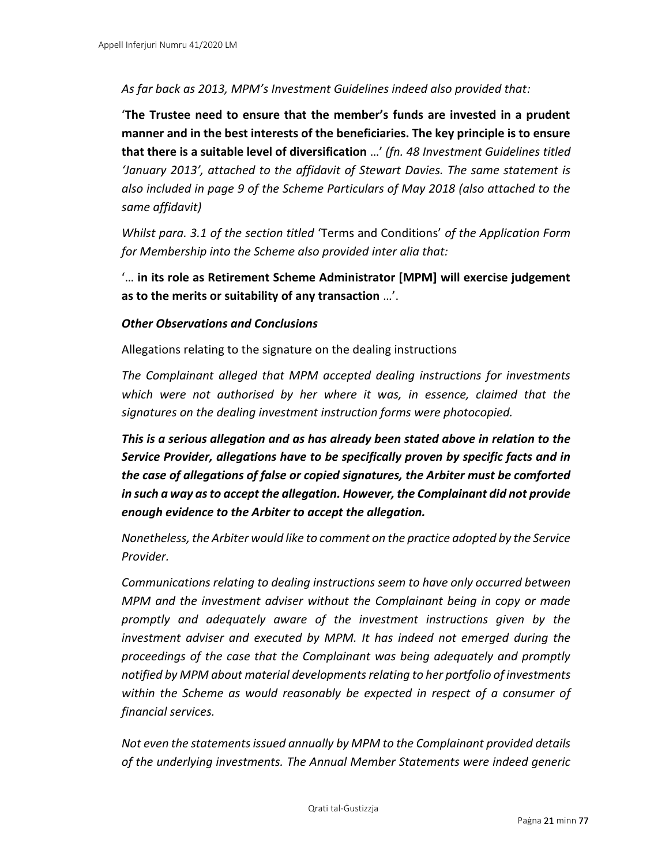*As far back as 2013, MPM's Investment Guidelines indeed also provided that:* 

'**The Trustee need to ensure that the member's funds are invested in a prudent manner and in the best interests of the beneficiaries. The key principle is to ensure that there is a suitable level of diversification** …' *(fn. 48 Investment Guidelines titled 'January 2013', attached to the affidavit of Stewart Davies. The same statement is also included in page 9 of the Scheme Particulars of May 2018 (also attached to the same affidavit)*

*Whilst para. 3.1 of the section titled* 'Terms and Conditions' *of the Application Form for Membership into the Scheme also provided inter alia that:*

'… **in its role as Retirement Scheme Administrator [MPM] will exercise judgement as to the merits or suitability of any transaction** …'.

#### *Other Observations and Conclusions*

Allegations relating to the signature on the dealing instructions

*The Complainant alleged that MPM accepted dealing instructions for investments which were not authorised by her where it was, in essence, claimed that the signatures on the dealing investment instruction forms were photocopied.* 

*This is a serious allegation and as has already been stated above in relation to the Service Provider, allegations have to be specifically proven by specific facts and in the case of allegations of false or copied signatures, the Arbiter must be comforted in such a way as to accept the allegation. However, the Complainant did not provide enough evidence to the Arbiter to accept the allegation.*

*Nonetheless, the Arbiter would like to comment on the practice adopted by the Service Provider.* 

*Communications relating to dealing instructions seem to have only occurred between MPM and the investment adviser without the Complainant being in copy or made promptly and adequately aware of the investment instructions given by the investment adviser and executed by MPM. It has indeed not emerged during the proceedings of the case that the Complainant was being adequately and promptly notified by MPM about material developments relating to her portfolio of investments within the Scheme as would reasonably be expected in respect of a consumer of financial services.* 

*Not even the statements issued annually by MPM to the Complainant provided details of the underlying investments. The Annual Member Statements were indeed generic*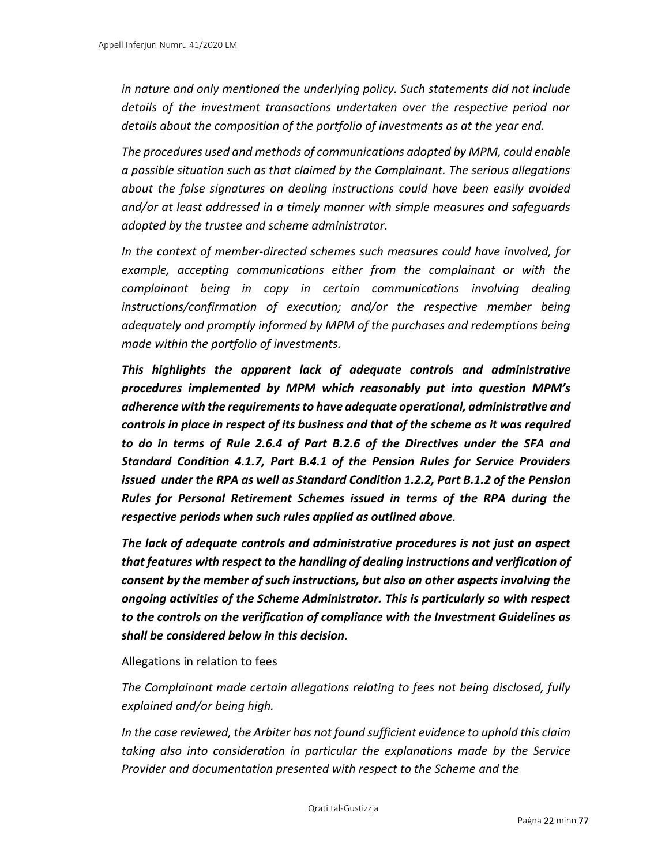*in nature and only mentioned the underlying policy. Such statements did not include details of the investment transactions undertaken over the respective period nor details about the composition of the portfolio of investments as at the year end.*

*The procedures used and methods of communications adopted by MPM, could enable a possible situation such as that claimed by the Complainant. The serious allegations about the false signatures on dealing instructions could have been easily avoided and/or at least addressed in a timely manner with simple measures and safeguards adopted by the trustee and scheme administrator.*

*In the context of member-directed schemes such measures could have involved, for example, accepting communications either from the complainant or with the complainant being in copy in certain communications involving dealing instructions/confirmation of execution; and/or the respective member being adequately and promptly informed by MPM of the purchases and redemptions being made within the portfolio of investments.* 

*This highlights the apparent lack of adequate controls and administrative procedures implemented by MPM which reasonably put into question MPM's adherence with the requirements to have adequate operational, administrative and controls in place in respect of its business and that of the scheme as it was required to do in terms of Rule 2.6.4 of Part B.2.6 of the Directives under the SFA and Standard Condition 4.1.7, Part B.4.1 of the Pension Rules for Service Providers issued under the RPA as well as Standard Condition 1.2.2, Part B.1.2 of the Pension Rules for Personal Retirement Schemes issued in terms of the RPA during the respective periods when such rules applied as outlined above.* 

*The lack of adequate controls and administrative procedures is not just an aspect that features with respect to the handling of dealing instructions and verification of consent by the member of such instructions, but also on other aspects involving the ongoing activities of the Scheme Administrator. This is particularly so with respect to the controls on the verification of compliance with the Investment Guidelines as shall be considered below in this decision.* 

Allegations in relation to fees

*The Complainant made certain allegations relating to fees not being disclosed, fully explained and/or being high.* 

*In the case reviewed, the Arbiter has not found sufficient evidence to uphold this claim taking also into consideration in particular the explanations made by the Service Provider and documentation presented with respect to the Scheme and the*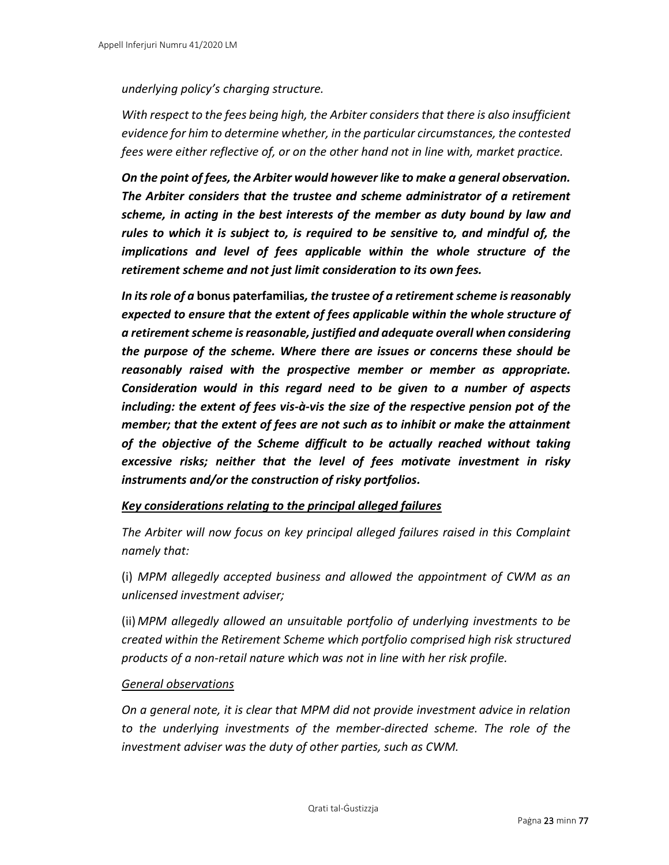*underlying policy's charging structure.*

*With respect to the fees being high, the Arbiter considers that there is also insufficient evidence for him to determine whether, in the particular circumstances, the contested fees were either reflective of, or on the other hand not in line with, market practice.* 

*On the point of fees, the Arbiter would however like to make a general observation. The Arbiter considers that the trustee and scheme administrator of a retirement scheme, in acting in the best interests of the member as duty bound by law and rules to which it is subject to, is required to be sensitive to, and mindful of, the implications and level of fees applicable within the whole structure of the retirement scheme and not just limit consideration to its own fees.* 

*In its role of a* **bonus paterfamilias***, the trustee of a retirement scheme is reasonably expected to ensure that the extent of fees applicable within the whole structure of a retirement scheme is reasonable, justified and adequate overall when considering the purpose of the scheme. Where there are issues or concerns these should be reasonably raised with the prospective member or member as appropriate. Consideration would in this regard need to be given to a number of aspects including: the extent of fees vis-à-vis the size of the respective pension pot of the member; that the extent of fees are not such as to inhibit or make the attainment of the objective of the Scheme difficult to be actually reached without taking excessive risks; neither that the level of fees motivate investment in risky instruments and/or the construction of risky portfolios.*

## *Key considerations relating to the principal alleged failures*

*The Arbiter will now focus on key principal alleged failures raised in this Complaint namely that:* 

(i) *MPM allegedly accepted business and allowed the appointment of CWM as an unlicensed investment adviser;* 

(ii) *MPM allegedly allowed an unsuitable portfolio of underlying investments to be created within the Retirement Scheme which portfolio comprised high risk structured products of a non-retail nature which was not in line with her risk profile.*

#### *General observations*

*On a general note, it is clear that MPM did not provide investment advice in relation to the underlying investments of the member-directed scheme. The role of the investment adviser was the duty of other parties, such as CWM.*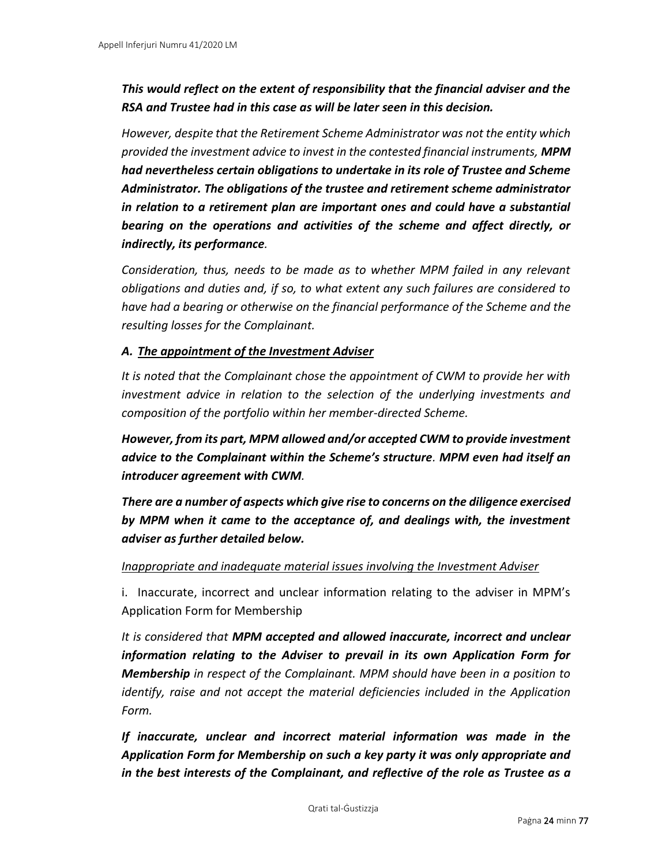# *This would reflect on the extent of responsibility that the financial adviser and the RSA and Trustee had in this case as will be later seen in this decision.*

*However, despite that the Retirement Scheme Administrator was not the entity which provided the investment advice to invest in the contested financial instruments, MPM had nevertheless certain obligations to undertake in its role of Trustee and Scheme Administrator. The obligations of the trustee and retirement scheme administrator in relation to a retirement plan are important ones and could have a substantial bearing on the operations and activities of the scheme and affect directly, or indirectly, its performance.*

*Consideration, thus, needs to be made as to whether MPM failed in any relevant obligations and duties and, if so, to what extent any such failures are considered to have had a bearing or otherwise on the financial performance of the Scheme and the resulting losses for the Complainant.* 

## *A. The appointment of the Investment Adviser*

*It is noted that the Complainant chose the appointment of CWM to provide her with investment advice in relation to the selection of the underlying investments and composition of the portfolio within her member-directed Scheme.* 

*However, from its part, MPM allowed and/or accepted CWM to provide investment advice to the Complainant within the Scheme's structure. MPM even had itself an introducer agreement with CWM.* 

*There are a number of aspects which give rise to concerns on the diligence exercised by MPM when it came to the acceptance of, and dealings with, the investment adviser as further detailed below.* 

#### *Inappropriate and inadequate material issues involving the Investment Adviser*

i. Inaccurate, incorrect and unclear information relating to the adviser in MPM's Application Form for Membership

*It is considered that MPM accepted and allowed inaccurate, incorrect and unclear information relating to the Adviser to prevail in its own Application Form for Membership in respect of the Complainant. MPM should have been in a position to identify, raise and not accept the material deficiencies included in the Application Form.* 

*If inaccurate, unclear and incorrect material information was made in the Application Form for Membership on such a key party it was only appropriate and in the best interests of the Complainant, and reflective of the role as Trustee as a*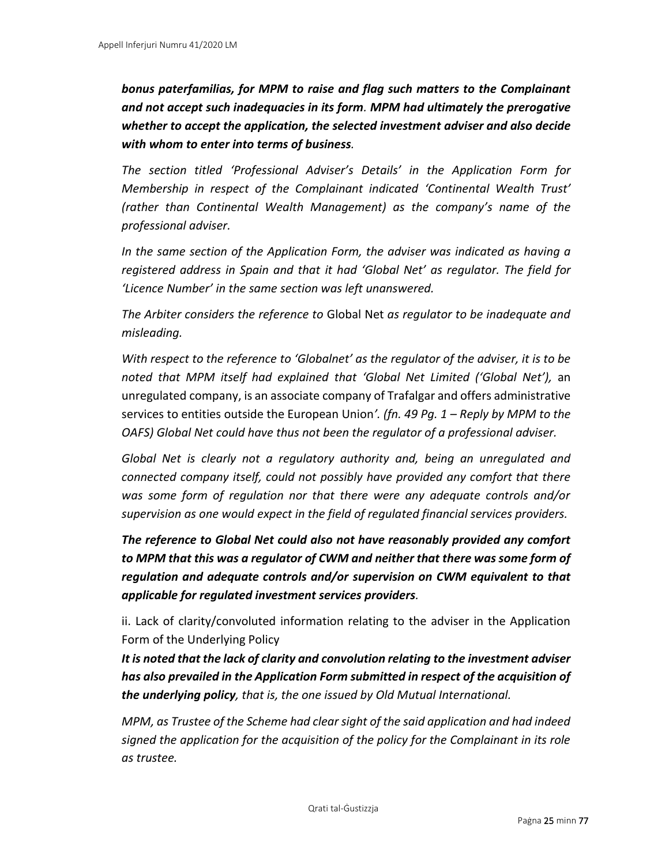*bonus paterfamilias, for MPM to raise and flag such matters to the Complainant and not accept such inadequacies in its form. MPM had ultimately the prerogative whether to accept the application, the selected investment adviser and also decide with whom to enter into terms of business.* 

*The section titled 'Professional Adviser's Details' in the Application Form for Membership in respect of the Complainant indicated 'Continental Wealth Trust' (rather than Continental Wealth Management) as the company's name of the professional adviser.* 

*In the same section of the Application Form, the adviser was indicated as having a registered address in Spain and that it had 'Global Net' as regulator. The field for 'Licence Number' in the same section was left unanswered.* 

*The Arbiter considers the reference to* Global Net *as regulator to be inadequate and misleading.* 

*With respect to the reference to 'Globalnet' as the regulator of the adviser, it is to be noted that MPM itself had explained that 'Global Net Limited ('Global Net'),* an unregulated company, is an associate company of Trafalgar and offers administrative services to entities outside the European Union*'. (fn. 49 Pg. 1 – Reply by MPM to the OAFS) Global Net could have thus not been the regulator of a professional adviser.* 

*Global Net is clearly not a regulatory authority and, being an unregulated and connected company itself, could not possibly have provided any comfort that there was some form of regulation nor that there were any adequate controls and/or supervision as one would expect in the field of regulated financial services providers.*

*The reference to Global Net could also not have reasonably provided any comfort to MPM that this was a regulator of CWM and neither that there was some form of regulation and adequate controls and/or supervision on CWM equivalent to that applicable for regulated investment services providers.* 

ii. Lack of clarity/convoluted information relating to the adviser in the Application Form of the Underlying Policy

*It is noted that the lack of clarity and convolution relating to the investment adviser has also prevailed in the Application Form submitted in respect of the acquisition of the underlying policy, that is, the one issued by Old Mutual International.* 

*MPM, as Trustee of the Scheme had clear sight of the said application and had indeed signed the application for the acquisition of the policy for the Complainant in its role as trustee.*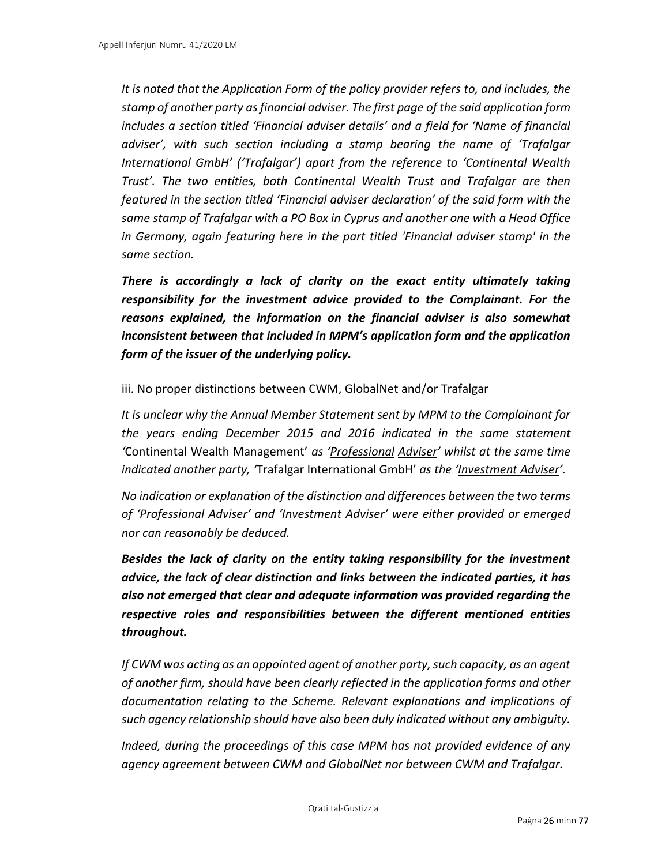*It is noted that the Application Form of the policy provider refers to, and includes, the stamp of another party as financial adviser. The first page of the said application form includes a section titled 'Financial adviser details' and a field for 'Name of financial adviser', with such section including a stamp bearing the name of 'Trafalgar International GmbH' ('Trafalgar') apart from the reference to 'Continental Wealth Trust'. The two entities, both Continental Wealth Trust and Trafalgar are then featured in the section titled 'Financial adviser declaration' of the said form with the same stamp of Trafalgar with a PO Box in Cyprus and another one with a Head Office in Germany, again featuring here in the part titled 'Financial adviser stamp' in the same section.*

*There is accordingly a lack of clarity on the exact entity ultimately taking responsibility for the investment advice provided to the Complainant. For the reasons explained, the information on the financial adviser is also somewhat inconsistent between that included in MPM's application form and the application form of the issuer of the underlying policy.* 

iii. No proper distinctions between CWM, GlobalNet and/or Trafalgar

*It is unclear why the Annual Member Statement sent by MPM to the Complainant for the years ending December 2015 and 2016 indicated in the same statement '*Continental Wealth Management' *as 'Professional Adviser' whilst at the same time indicated another party, '*Trafalgar International GmbH' *as the 'Investment Adviser'.*

*No indication or explanation of the distinction and differences between the two terms of 'Professional Adviser' and 'Investment Adviser' were either provided or emerged nor can reasonably be deduced.* 

*Besides the lack of clarity on the entity taking responsibility for the investment advice, the lack of clear distinction and links between the indicated parties, it has also not emerged that clear and adequate information was provided regarding the respective roles and responsibilities between the different mentioned entities throughout.* 

*If CWM was acting as an appointed agent of another party, such capacity, as an agent of another firm, should have been clearly reflected in the application forms and other documentation relating to the Scheme. Relevant explanations and implications of such agency relationship should have also been duly indicated without any ambiguity.*

*Indeed, during the proceedings of this case MPM has not provided evidence of any agency agreement between CWM and GlobalNet nor between CWM and Trafalgar.*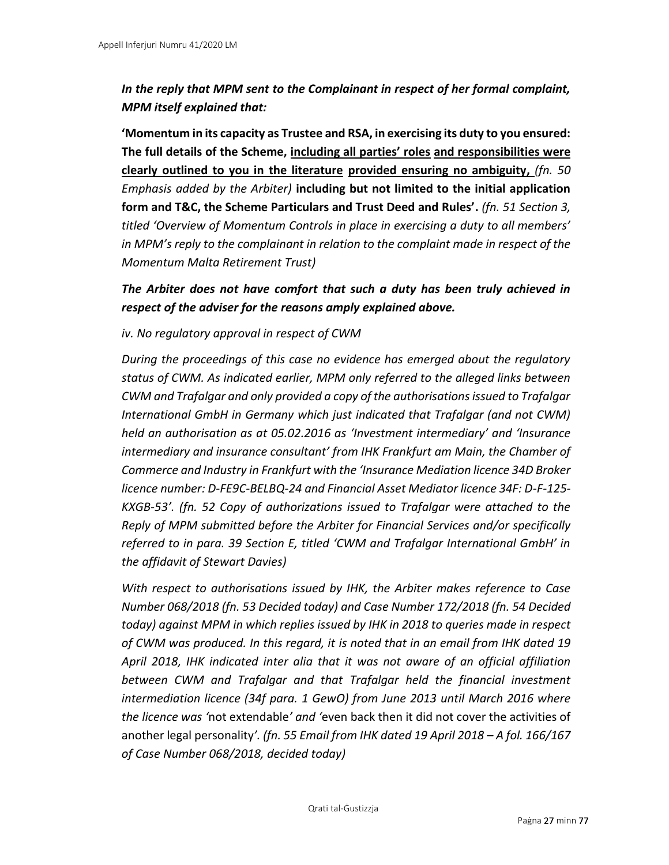# *In the reply that MPM sent to the Complainant in respect of her formal complaint, MPM itself explained that:*

**'Momentum in its capacity as Trustee and RSA, in exercising its duty to you ensured: The full details of the Scheme, including all parties' roles and responsibilities were clearly outlined to you in the literature provided ensuring no ambiguity,** *(fn. 50 Emphasis added by the Arbiter)* **including but not limited to the initial application form and T&C, the Scheme Particulars and Trust Deed and Rules'.** *(fn. 51 Section 3, titled 'Overview of Momentum Controls in place in exercising a duty to all members' in MPM's reply to the complainant in relation to the complaint made in respect of the Momentum Malta Retirement Trust)*

# *The Arbiter does not have comfort that such a duty has been truly achieved in respect of the adviser for the reasons amply explained above.*

## *iv. No regulatory approval in respect of CWM*

*During the proceedings of this case no evidence has emerged about the regulatory status of CWM. As indicated earlier, MPM only referred to the alleged links between CWM and Trafalgar and only provided a copy of the authorisations issued to Trafalgar International GmbH in Germany which just indicated that Trafalgar (and not CWM) held an authorisation as at 05.02.2016 as 'Investment intermediary' and 'Insurance intermediary and insurance consultant' from IHK Frankfurt am Main, the Chamber of Commerce and Industry in Frankfurt with the 'Insurance Mediation licence 34D Broker licence number: D-FE9C-BELBQ-24 and Financial Asset Mediator licence 34F: D-F-125- KXGB-53'. (fn. 52 Copy of authorizations issued to Trafalgar were attached to the Reply of MPM submitted before the Arbiter for Financial Services and/or specifically referred to in para. 39 Section E, titled 'CWM and Trafalgar International GmbH' in the affidavit of Stewart Davies)*

*With respect to authorisations issued by IHK, the Arbiter makes reference to Case Number 068/2018 (fn. 53 Decided today) and Case Number 172/2018 (fn. 54 Decided today) against MPM in which replies issued by IHK in 2018 to queries made in respect of CWM was produced. In this regard, it is noted that in an email from IHK dated 19 April 2018, IHK indicated inter alia that it was not aware of an official affiliation between CWM and Trafalgar and that Trafalgar held the financial investment intermediation licence (34f para. 1 GewO) from June 2013 until March 2016 where the licence was '*not extendable*' and '*even back then it did not cover the activities of another legal personality*'. (fn. 55 Email from IHK dated 19 April 2018 – A fol. 166/167 of Case Number 068/2018, decided today)*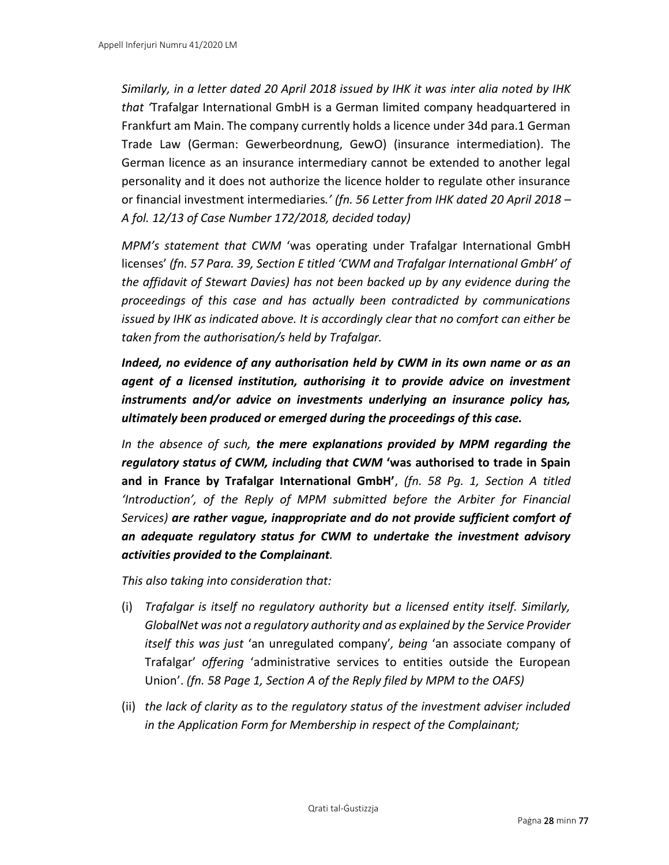*Similarly, in a letter dated 20 April 2018 issued by IHK it was inter alia noted by IHK that '*Trafalgar International GmbH is a German limited company headquartered in Frankfurt am Main. The company currently holds a licence under 34d para.1 German Trade Law (German: Gewerbeordnung, GewO) (insurance intermediation). The German licence as an insurance intermediary cannot be extended to another legal personality and it does not authorize the licence holder to regulate other insurance or financial investment intermediaries*.' (fn. 56 Letter from IHK dated 20 April 2018 – A fol. 12/13 of Case Number 172/2018, decided today)*

*MPM's statement that CWM* 'was operating under Trafalgar International GmbH licenses' *(fn. 57 Para. 39, Section E titled 'CWM and Trafalgar International GmbH' of the affidavit of Stewart Davies) has not been backed up by any evidence during the proceedings of this case and has actually been contradicted by communications issued by IHK as indicated above. It is accordingly clear that no comfort can either be taken from the authorisation/s held by Trafalgar.* 

*Indeed, no evidence of any authorisation held by CWM in its own name or as an agent of a licensed institution, authorising it to provide advice on investment instruments and/or advice on investments underlying an insurance policy has, ultimately been produced or emerged during the proceedings of this case.* 

*In the absence of such, the mere explanations provided by MPM regarding the regulatory status of CWM, including that CWM* **'was authorised to trade in Spain and in France by Trafalgar International GmbH'**, *(fn. 58 Pg. 1, Section A titled 'Introduction', of the Reply of MPM submitted before the Arbiter for Financial Services) are rather vague, inappropriate and do not provide sufficient comfort of an adequate regulatory status for CWM to undertake the investment advisory activities provided to the Complainant.*

*This also taking into consideration that:* 

- (i) *Trafalgar is itself no regulatory authority but a licensed entity itself. Similarly, GlobalNet was not a regulatory authority and as explained by the Service Provider itself this was just* 'an unregulated company'*, being* 'an associate company of Trafalgar' *offering* 'administrative services to entities outside the European Union'. *(fn. 58 Page 1, Section A of the Reply filed by MPM to the OAFS)*
- (ii) *the lack of clarity as to the regulatory status of the investment adviser included in the Application Form for Membership in respect of the Complainant;*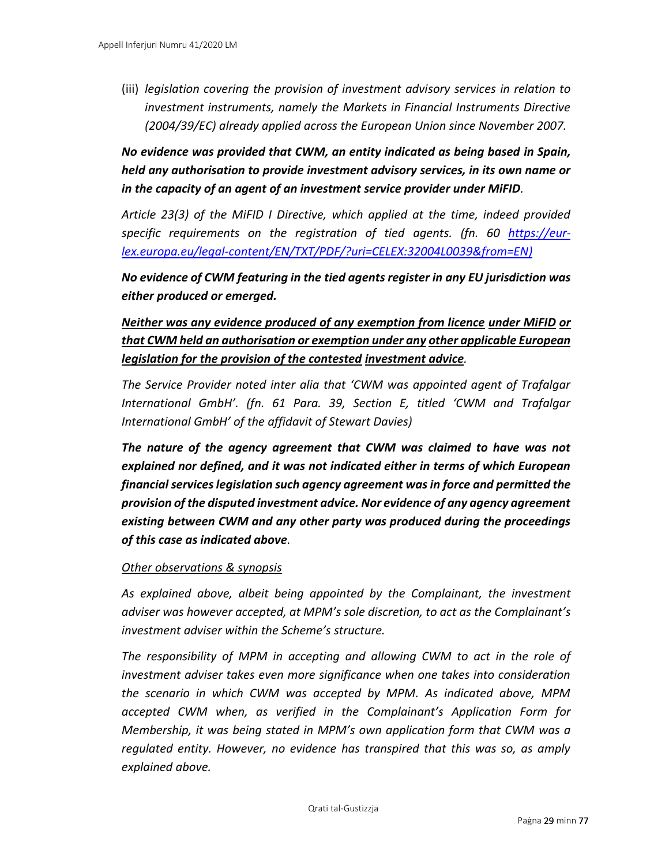(iii) *legislation covering the provision of investment advisory services in relation to investment instruments, namely the Markets in Financial Instruments Directive (2004/39/EC) already applied across the European Union since November 2007.* 

*No evidence was provided that CWM, an entity indicated as being based in Spain, held any authorisation to provide investment advisory services, in its own name or in the capacity of an agent of an investment service provider under MiFID.*

*Article 23(3) of the MiFID I Directive, which applied at the time, indeed provided specific requirements on the registration of tied agents. (fn. 60 [https://eur](https://eur-lex.europa.eu/legal-content/EN/TXT/PDF/?uri=CELEX:32004L0039&from=EN)[lex.europa.eu/legal-content/EN/TXT/PDF/?uri=CELEX:32004L0039&from=EN\)](https://eur-lex.europa.eu/legal-content/EN/TXT/PDF/?uri=CELEX:32004L0039&from=EN)*

*No evidence of CWM featuring in the tied agents register in any EU jurisdiction was either produced or emerged.*

*Neither was any evidence produced of any exemption from licence under MiFID or that CWM held an authorisation or exemption under any other applicable European legislation for the provision of the contested investment advice.*

*The Service Provider noted inter alia that 'CWM was appointed agent of Trafalgar International GmbH'. (fn. 61 Para. 39, Section E, titled 'CWM and Trafalgar International GmbH' of the affidavit of Stewart Davies)*

*The nature of the agency agreement that CWM was claimed to have was not explained nor defined, and it was not indicated either in terms of which European financial services legislation such agency agreement was in force and permitted the provision of the disputed investment advice. Nor evidence of any agency agreement existing between CWM and any other party was produced during the proceedings of this case as indicated above.*

#### *Other observations & synopsis*

*As explained above, albeit being appointed by the Complainant, the investment adviser was however accepted, at MPM's sole discretion, to act as the Complainant's investment adviser within the Scheme's structure.* 

The responsibility of MPM in accepting and allowing CWM to act in the role of *investment adviser takes even more significance when one takes into consideration the scenario in which CWM was accepted by MPM. As indicated above, MPM accepted CWM when, as verified in the Complainant's Application Form for Membership, it was being stated in MPM's own application form that CWM was a regulated entity. However, no evidence has transpired that this was so, as amply explained above.*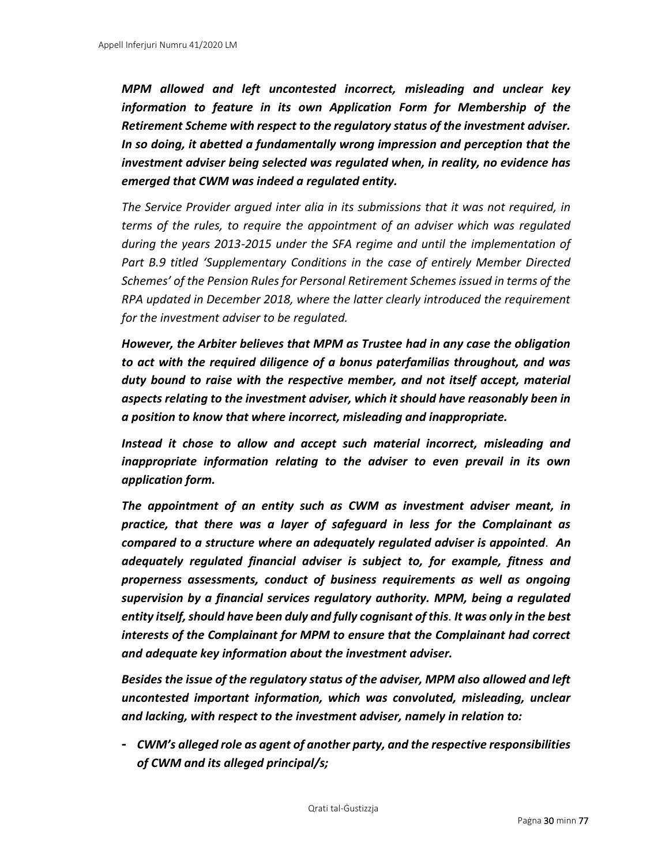*MPM allowed and left uncontested incorrect, misleading and unclear key information to feature in its own Application Form for Membership of the Retirement Scheme with respect to the regulatory status of the investment adviser. In so doing, it abetted a fundamentally wrong impression and perception that the investment adviser being selected was regulated when, in reality, no evidence has emerged that CWM was indeed a regulated entity.*

*The Service Provider argued inter alia in its submissions that it was not required, in terms of the rules, to require the appointment of an adviser which was regulated during the years 2013-2015 under the SFA regime and until the implementation of Part B.9 titled 'Supplementary Conditions in the case of entirely Member Directed Schemes' of the Pension Rules for Personal Retirement Schemes issued in terms of the RPA updated in December 2018, where the latter clearly introduced the requirement for the investment adviser to be regulated.* 

*However, the Arbiter believes that MPM as Trustee had in any case the obligation to act with the required diligence of a bonus paterfamilias throughout, and was duty bound to raise with the respective member, and not itself accept, material aspects relating to the investment adviser, which it should have reasonably been in a position to know that where incorrect, misleading and inappropriate.* 

*Instead it chose to allow and accept such material incorrect, misleading and inappropriate information relating to the adviser to even prevail in its own application form.* 

*The appointment of an entity such as CWM as investment adviser meant, in practice, that there was a layer of safeguard in less for the Complainant as compared to a structure where an adequately regulated adviser is appointed. An adequately regulated financial adviser is subject to, for example, fitness and properness assessments, conduct of business requirements as well as ongoing supervision by a financial services regulatory authority. MPM, being a regulated entity itself, should have been duly and fully cognisant of this. It was only in the best interests of the Complainant for MPM to ensure that the Complainant had correct and adequate key information about the investment adviser.*

*Besides the issue of the regulatory status of the adviser, MPM also allowed and left uncontested important information, which was convoluted, misleading, unclear and lacking, with respect to the investment adviser, namely in relation to:* 

**-** *CWM's alleged role as agent of another party, and the respective responsibilities of CWM and its alleged principal/s;*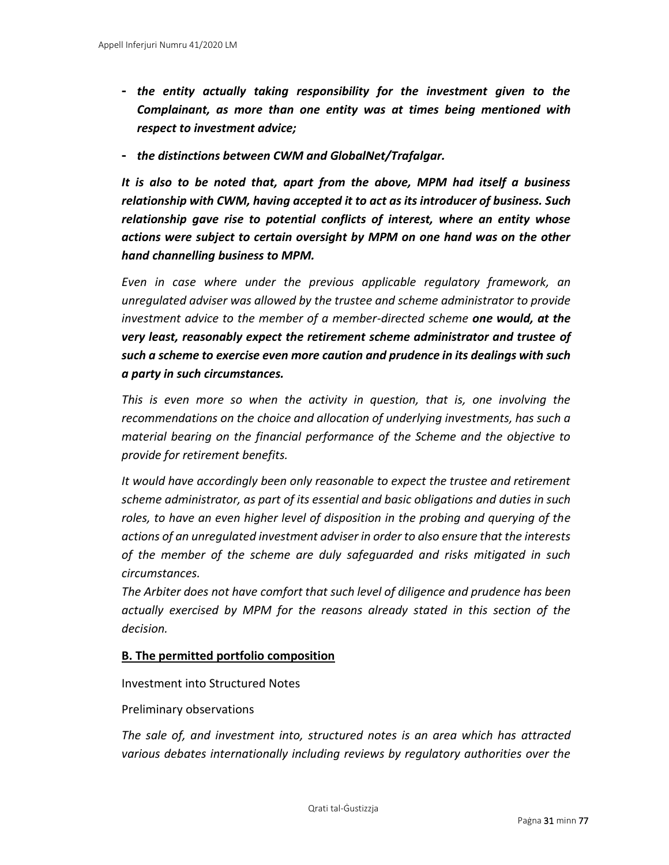- **-** *the entity actually taking responsibility for the investment given to the Complainant, as more than one entity was at times being mentioned with respect to investment advice;*
- **-** *the distinctions between CWM and GlobalNet/Trafalgar.*

*It is also to be noted that, apart from the above, MPM had itself a business relationship with CWM, having accepted it to act as its introducer of business. Such relationship gave rise to potential conflicts of interest, where an entity whose actions were subject to certain oversight by MPM on one hand was on the other hand channelling business to MPM.* 

*Even in case where under the previous applicable regulatory framework, an unregulated adviser was allowed by the trustee and scheme administrator to provide investment advice to the member of a member-directed scheme one would, at the very least, reasonably expect the retirement scheme administrator and trustee of such a scheme to exercise even more caution and prudence in its dealings with such a party in such circumstances.* 

*This is even more so when the activity in question, that is, one involving the recommendations on the choice and allocation of underlying investments, has such a material bearing on the financial performance of the Scheme and the objective to provide for retirement benefits.* 

*It would have accordingly been only reasonable to expect the trustee and retirement scheme administrator, as part of its essential and basic obligations and duties in such roles, to have an even higher level of disposition in the probing and querying of the actions of an unregulated investment adviser in order to also ensure that the interests of the member of the scheme are duly safeguarded and risks mitigated in such circumstances.* 

*The Arbiter does not have comfort that such level of diligence and prudence has been actually exercised by MPM for the reasons already stated in this section of the decision.* 

## **B. The permitted portfolio composition**

Investment into Structured Notes

#### Preliminary observations

*The sale of, and investment into, structured notes is an area which has attracted various debates internationally including reviews by regulatory authorities over the*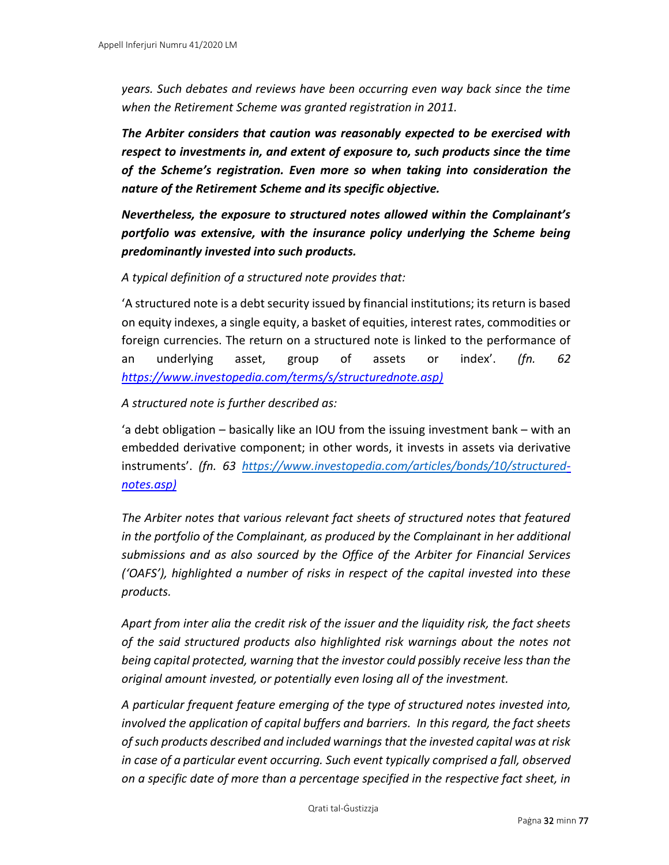*years. Such debates and reviews have been occurring even way back since the time when the Retirement Scheme was granted registration in 2011.*

*The Arbiter considers that caution was reasonably expected to be exercised with respect to investments in, and extent of exposure to, such products since the time of the Scheme's registration. Even more so when taking into consideration the nature of the Retirement Scheme and its specific objective.* 

*Nevertheless, the exposure to structured notes allowed within the Complainant's portfolio was extensive, with the insurance policy underlying the Scheme being predominantly invested into such products.*

*A typical definition of a structured note provides that:* 

'A structured note is a [debt security](https://www.investopedia.com/terms/d/debtsecurity.asp) [i](https://www.investopedia.com/terms/d/debtsecurity.asp)ssued by financial institutions; its return is based on equity indexes, a single equity, a basket of equities, interest rates, commodities or foreign currencies. The return on a structured note is linked to the performance of an [underlying asset,](https://www.investopedia.com/terms/u/underlying-asset.asp) group of assets or index'. *(fn. 62 [https://www.investopedia.com/terms/s/structurednote.asp\)](https://www.investopedia.com/terms/s/structurednote.asp)*

#### *A structured note is further described as:*

'a [debt obligation](https://www.investopedia.com/terms/c/cdo.asp) – basically like an [IOU](https://www.investopedia.com/terms/i/iou.asp) from the issuing [investment bank](https://www.investopedia.com/terms/i/investmentbank.asp) – with an embedded [derivative](https://www.investopedia.com/terms/d/derivative.asp) component; in other words, it invests in [assets](https://www.investopedia.com/terms/a/asset.asp) via derivative instruments'. *(fn. 63 <https://www.investopedia.com/articles/bonds/10/structured>[notes.asp\)](https://www.investopedia.com/articles/bonds/10/structured-notes.asp)*

*The Arbiter notes that various relevant fact sheets of structured notes that featured in the portfolio of the Complainant, as produced by the Complainant in her additional submissions and as also sourced by the Office of the Arbiter for Financial Services ('OAFS'), highlighted a number of risks in respect of the capital invested into these products.* 

*Apart from inter alia the credit risk of the issuer and the liquidity risk, the fact sheets of the said structured products also highlighted risk warnings about the notes not being capital protected, warning that the investor could possibly receive less than the original amount invested, or potentially even losing all of the investment.* 

*A particular frequent feature emerging of the type of structured notes invested into, involved the application of capital buffers and barriers. In this regard, the fact sheets of such products described and included warnings that the invested capital was at risk in case of a particular event occurring. Such event typically comprised a fall, observed on a specific date of more than a percentage specified in the respective fact sheet, in*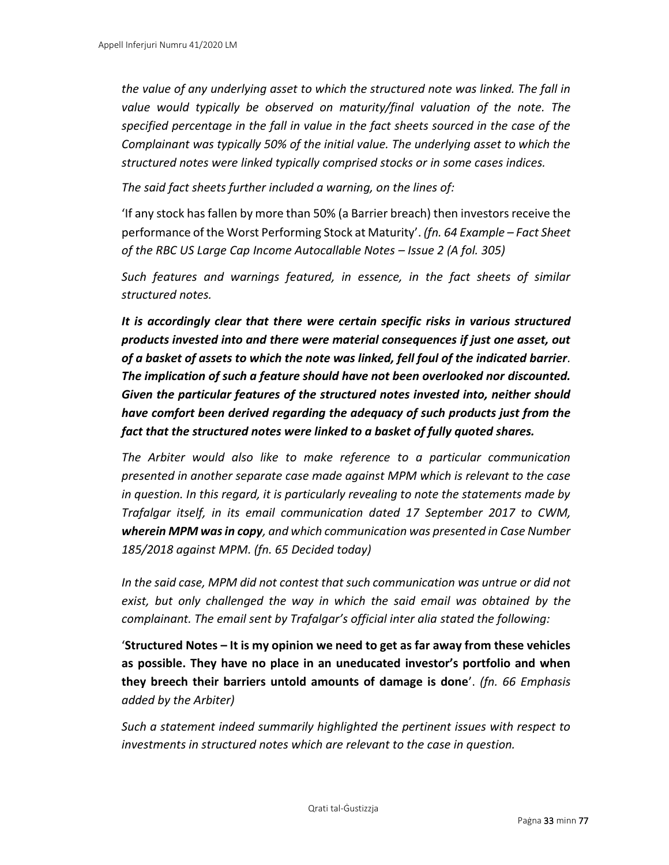*the value of any underlying asset to which the structured note was linked. The fall in*  value would typically be observed on maturity/final valuation of the note. The *specified percentage in the fall in value in the fact sheets sourced in the case of the Complainant was typically 50% of the initial value. The underlying asset to which the structured notes were linked typically comprised stocks or in some cases indices.* 

*The said fact sheets further included a warning, on the lines of:* 

'If any stock has fallen by more than 50% (a Barrier breach) then investors receive the performance of the Worst Performing Stock at Maturity'. *(fn. 64 Example – Fact Sheet of the RBC US Large Cap Income Autocallable Notes – Issue 2 (A fol. 305)*

*Such features and warnings featured, in essence, in the fact sheets of similar structured notes.* 

*It is accordingly clear that there were certain specific risks in various structured products invested into and there were material consequences if just one asset, out of a basket of assets to which the note was linked, fell foul of the indicated barrier. The implication of such a feature should have not been overlooked nor discounted. Given the particular features of the structured notes invested into, neither should have comfort been derived regarding the adequacy of such products just from the fact that the structured notes were linked to a basket of fully quoted shares.*

*The Arbiter would also like to make reference to a particular communication presented in another separate case made against MPM which is relevant to the case in question. In this regard, it is particularly revealing to note the statements made by Trafalgar itself, in its email communication dated 17 September 2017 to CWM, wherein MPM was in copy, and which communication was presented in Case Number 185/2018 against MPM. (fn. 65 Decided today)*

*In the said case, MPM did not contest that such communication was untrue or did not exist, but only challenged the way in which the said email was obtained by the complainant. The email sent by Trafalgar's official inter alia stated the following:*

'**Structured Notes – It is my opinion we need to get as far away from these vehicles as possible. They have no place in an uneducated investor's portfolio and when they breech their barriers untold amounts of damage is done**'. *(fn. 66 Emphasis added by the Arbiter)*

*Such a statement indeed summarily highlighted the pertinent issues with respect to investments in structured notes which are relevant to the case in question.*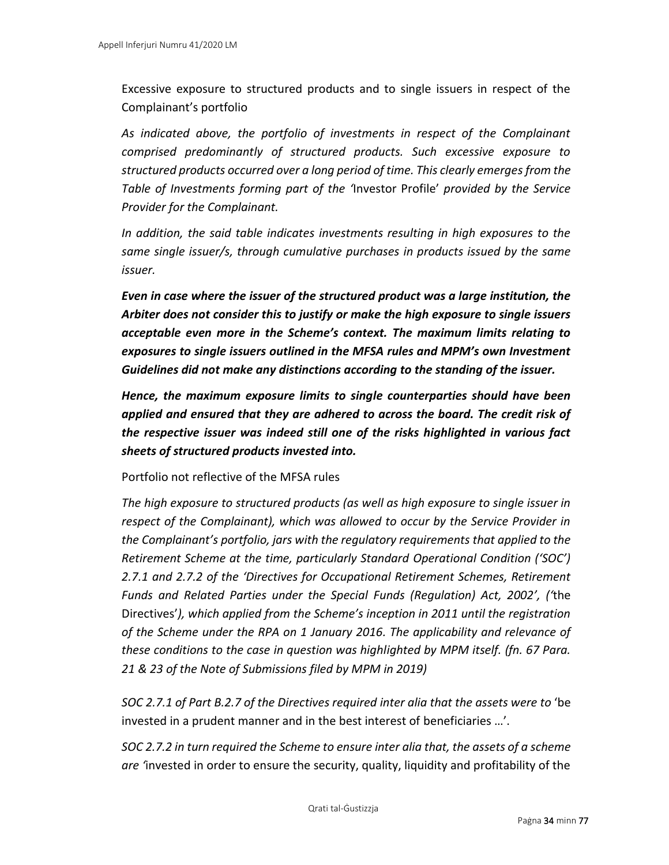Excessive exposure to structured products and to single issuers in respect of the Complainant's portfolio

*As indicated above, the portfolio of investments in respect of the Complainant comprised predominantly of structured products. Such excessive exposure to structured products occurred over a long period of time. This clearly emerges from the Table of Investments forming part of the '*Investor Profile' *provided by the Service Provider for the Complainant.*

*In addition, the said table indicates investments resulting in high exposures to the same single issuer/s, through cumulative purchases in products issued by the same issuer.* 

*Even in case where the issuer of the structured product was a large institution, the Arbiter does not consider this to justify or make the high exposure to single issuers acceptable even more in the Scheme's context. The maximum limits relating to exposures to single issuers outlined in the MFSA rules and MPM's own Investment Guidelines did not make any distinctions according to the standing of the issuer.*

*Hence, the maximum exposure limits to single counterparties should have been applied and ensured that they are adhered to across the board. The credit risk of the respective issuer was indeed still one of the risks highlighted in various fact sheets of structured products invested into.*

Portfolio not reflective of the MFSA rules

*The high exposure to structured products (as well as high exposure to single issuer in respect of the Complainant), which was allowed to occur by the Service Provider in the Complainant's portfolio, jars with the regulatory requirements that applied to the Retirement Scheme at the time, particularly Standard Operational Condition ('SOC') 2.7.1 and 2.7.2 of the 'Directives for Occupational Retirement Schemes, Retirement Funds and Related Parties under the Special Funds (Regulation) Act, 2002', ('*the Directives'*), which applied from the Scheme's inception in 2011 until the registration of the Scheme under the RPA on 1 January 2016. The applicability and relevance of these conditions to the case in question was highlighted by MPM itself. (fn. 67 Para. 21 & 23 of the Note of Submissions filed by MPM in 2019)*

*SOC 2.7.1 of Part B.2.7 of the Directives required inter alia that the assets were to* 'be invested in a prudent manner and in the best interest of beneficiaries …'.

*SOC 2.7.2 in turn required the Scheme to ensure inter alia that, the assets of a scheme are '*invested in order to ensure the security, quality, liquidity and profitability of the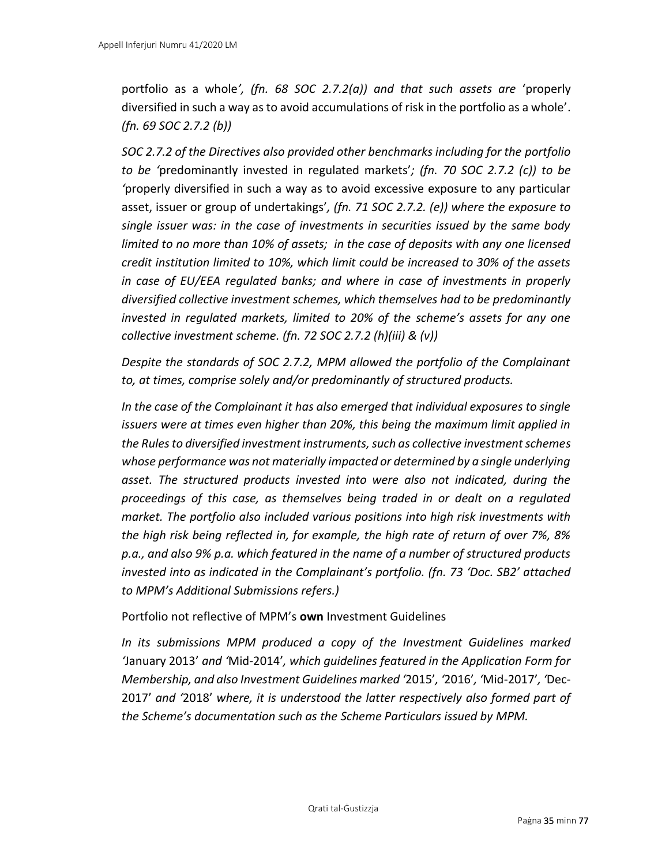portfolio as a whole*', (fn. 68 SOC 2.7.2(a)) and that such assets are* 'properly diversified in such a way as to avoid accumulations of risk in the portfolio as a whole'. *(fn. 69 SOC 2.7.2 (b))*

*SOC 2.7.2 of the Directives also provided other benchmarks including for the portfolio to be '*predominantly invested in regulated markets'*; (fn. 70 SOC 2.7.2 (c)) to be '*properly diversified in such a way as to avoid excessive exposure to any particular asset, issuer or group of undertakings'*, (fn. 71 SOC 2.7.2. (e)) where the exposure to single issuer was: in the case of investments in securities issued by the same body limited to no more than 10% of assets; in the case of deposits with any one licensed credit institution limited to 10%, which limit could be increased to 30% of the assets in case of EU/EEA regulated banks; and where in case of investments in properly diversified collective investment schemes, which themselves had to be predominantly invested in regulated markets, limited to 20% of the scheme's assets for any one collective investment scheme. (fn. 72 SOC 2.7.2 (h)(iii) & (v))*

*Despite the standards of SOC 2.7.2, MPM allowed the portfolio of the Complainant to, at times, comprise solely and/or predominantly of structured products.* 

*In the case of the Complainant it has also emerged that individual exposures to single issuers were at times even higher than 20%, this being the maximum limit applied in the Rules to diversified investment instruments, such as collective investment schemes whose performance was not materially impacted or determined by a single underlying asset. The structured products invested into were also not indicated, during the proceedings of this case, as themselves being traded in or dealt on a regulated market. The portfolio also included various positions into high risk investments with the high risk being reflected in, for example, the high rate of return of over 7%, 8% p.a., and also 9% p.a. which featured in the name of a number of structured products invested into as indicated in the Complainant's portfolio. (fn. 73 'Doc. SB2' attached to MPM's Additional Submissions refers.)*

Portfolio not reflective of MPM's **own** Investment Guidelines

*In its submissions MPM produced a copy of the Investment Guidelines marked '*January 2013' *and '*Mid-2014'*, which guidelines featured in the Application Form for Membership, and also Investment Guidelines marked '*2015'*, '*2016'*, '*Mid-2017'*, '*Dec-2017' *and '*2018' *where, it is understood the latter respectively also formed part of the Scheme's documentation such as the Scheme Particulars issued by MPM.*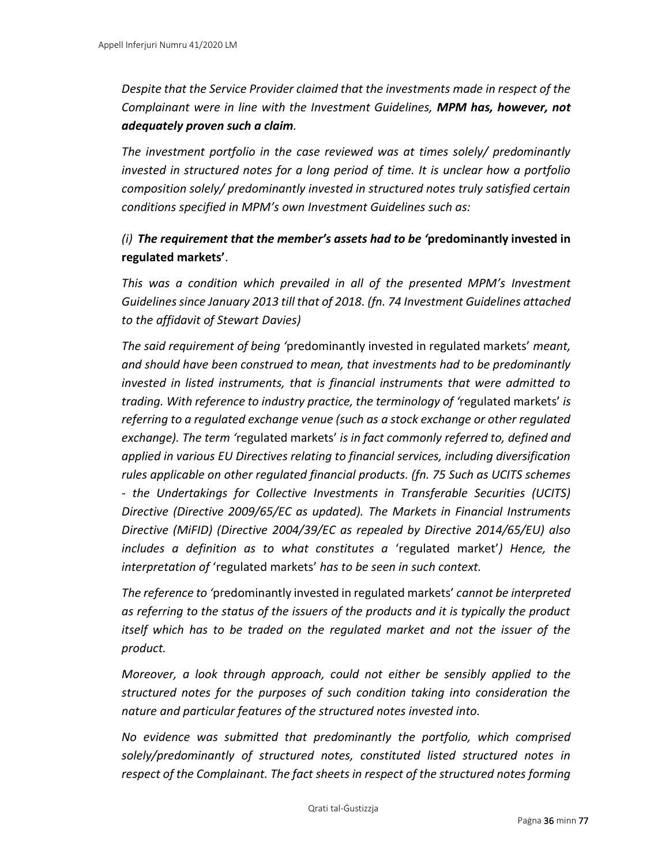*Despite that the Service Provider claimed that the investments made in respect of the Complainant were in line with the Investment Guidelines, MPM has, however, not adequately proven such a claim.* 

*The investment portfolio in the case reviewed was at times solely/ predominantly invested in structured notes for a long period of time. It is unclear how a portfolio composition solely/ predominantly invested in structured notes truly satisfied certain conditions specified in MPM's own Investment Guidelines such as:* 

# *(i) The requirement that the member's assets had to be '***predominantly invested in regulated markets'**.

*This was a condition which prevailed in all of the presented MPM's Investment Guidelines since January 2013 till that of 2018. (fn. 74 Investment Guidelines attached to the affidavit of Stewart Davies)*

*The said requirement of being '*predominantly invested in regulated markets' *meant, and should have been construed to mean, that investments had to be predominantly invested in listed instruments, that is financial instruments that were admitted to trading. With reference to industry practice, the terminology of '*regulated markets' *is referring to a regulated exchange venue (such as a stock exchange or other regulated exchange). The term '*regulated markets' *is in fact commonly referred to, defined and applied in various EU Directives relating to financial services, including diversification rules applicable on other regulated financial products. (fn. 75 Such as UCITS schemes - the Undertakings for Collective Investments in Transferable Securities (UCITS) Directive (Directive 2009/65/EC as updated). The Markets in Financial Instruments Directive (MiFID) (Directive 2004/39/EC as repealed by Directive 2014/65/EU) also includes a definition as to what constitutes a* 'regulated market'*) Hence, the interpretation of* 'regulated markets' *has to be seen in such context.* 

*The reference to '*predominantly invested in regulated markets' *cannot be interpreted as referring to the status of the issuers of the products and it is typically the product itself which has to be traded on the regulated market and not the issuer of the product.* 

*Moreover, a look through approach, could not either be sensibly applied to the structured notes for the purposes of such condition taking into consideration the nature and particular features of the structured notes invested into.* 

*No evidence was submitted that predominantly the portfolio, which comprised solely/predominantly of structured notes, constituted listed structured notes in respect of the Complainant. The fact sheets in respect of the structured notes forming*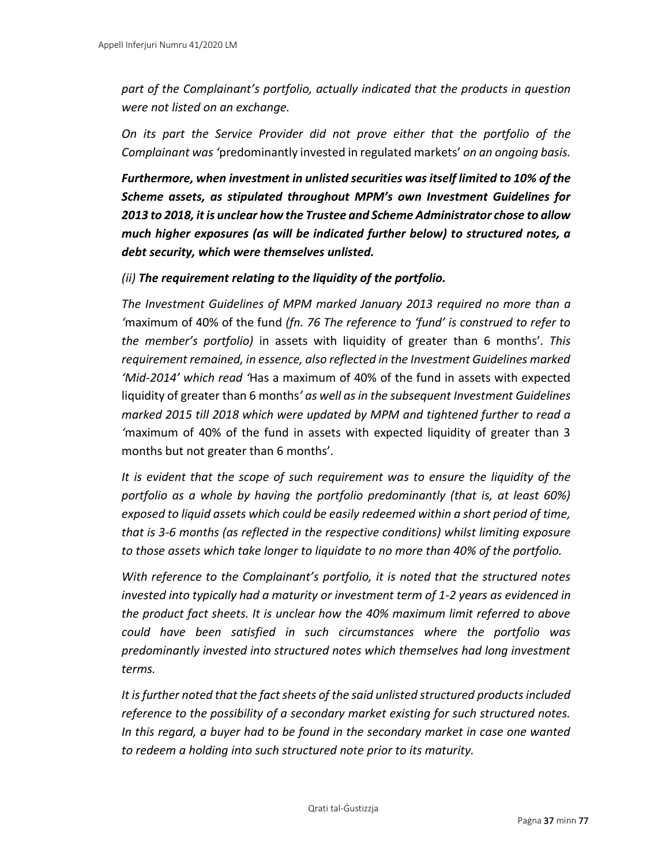*part of the Complainant's portfolio, actually indicated that the products in question were not listed on an exchange.* 

*On its part the Service Provider did not prove either that the portfolio of the Complainant was '*predominantly invested in regulated markets' *on an ongoing basis.* 

*Furthermore, when investment in unlisted securities was itself limited to 10% of the Scheme assets, as stipulated throughout MPM's own Investment Guidelines for 2013 to 2018, it is unclear how the Trustee and Scheme Administrator chose to allow much higher exposures (as will be indicated further below) to structured notes, a debt security, which were themselves unlisted.*

*(ii) The requirement relating to the liquidity of the portfolio.*

*The Investment Guidelines of MPM marked January 2013 required no more than a '*maximum of 40% of the fund *(fn. 76 The reference to 'fund' is construed to refer to the member's portfolio)* in assets with liquidity of greater than 6 months'*. This requirement remained, in essence, also reflected in the Investment Guidelines marked 'Mid-2014' which read '*Has a maximum of 40% of the fund in assets with expected liquidity of greater than 6 months*' as well as in the subsequent Investment Guidelines marked 2015 till 2018 which were updated by MPM and tightened further to read a '*maximum of 40% of the fund in assets with expected liquidity of greater than 3 months but not greater than 6 months'*.* 

*It is evident that the scope of such requirement was to ensure the liquidity of the portfolio as a whole by having the portfolio predominantly (that is, at least 60%) exposed to liquid assets which could be easily redeemed within a short period of time, that is 3-6 months (as reflected in the respective conditions) whilst limiting exposure to those assets which take longer to liquidate to no more than 40% of the portfolio.* 

*With reference to the Complainant's portfolio, it is noted that the structured notes invested into typically had a maturity or investment term of 1-2 years as evidenced in the product fact sheets. It is unclear how the 40% maximum limit referred to above could have been satisfied in such circumstances where the portfolio was predominantly invested into structured notes which themselves had long investment terms.* 

*It is further noted that the fact sheets of the said unlisted structured products included reference to the possibility of a secondary market existing for such structured notes. In this regard, a buyer had to be found in the secondary market in case one wanted to redeem a holding into such structured note prior to its maturity.*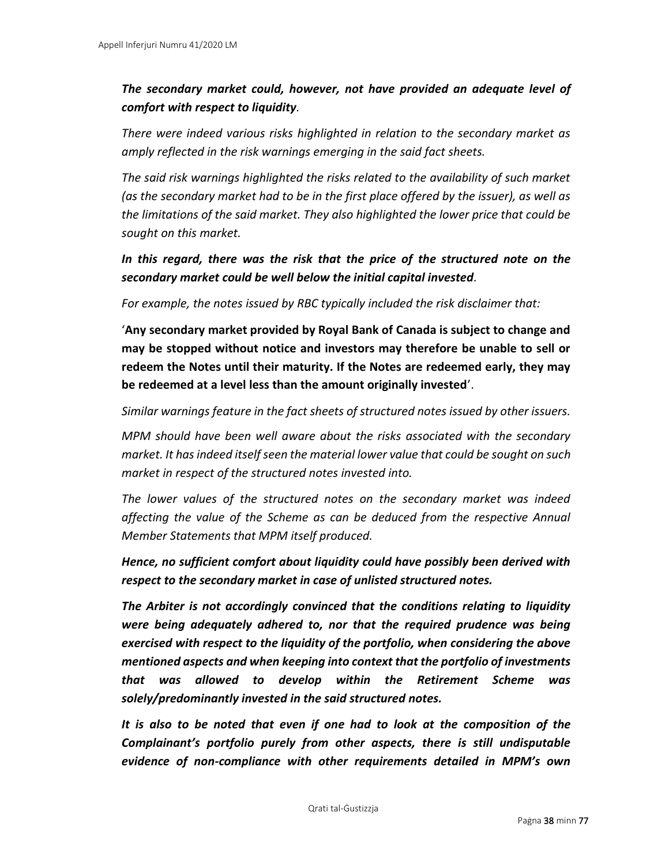## *The secondary market could, however, not have provided an adequate level of comfort with respect to liquidity.*

*There were indeed various risks highlighted in relation to the secondary market as amply reflected in the risk warnings emerging in the said fact sheets.* 

*The said risk warnings highlighted the risks related to the availability of such market (as the secondary market had to be in the first place offered by the issuer), as well as the limitations of the said market. They also highlighted the lower price that could be sought on this market.* 

*In this regard, there was the risk that the price of the structured note on the secondary market could be well below the initial capital invested.* 

*For example, the notes issued by RBC typically included the risk disclaimer that:* 

'**Any secondary market provided by Royal Bank of Canada is subject to change and may be stopped without notice and investors may therefore be unable to sell or redeem the Notes until their maturity. If the Notes are redeemed early, they may be redeemed at a level less than the amount originally invested**'.

*Similar warnings feature in the fact sheets of structured notes issued by other issuers.* 

*MPM should have been well aware about the risks associated with the secondary market. It has indeed itself seen the material lower value that could be sought on such market in respect of the structured notes invested into.* 

*The lower values of the structured notes on the secondary market was indeed affecting the value of the Scheme as can be deduced from the respective Annual Member Statements that MPM itself produced.* 

*Hence, no sufficient comfort about liquidity could have possibly been derived with respect to the secondary market in case of unlisted structured notes.* 

*The Arbiter is not accordingly convinced that the conditions relating to liquidity were being adequately adhered to, nor that the required prudence was being exercised with respect to the liquidity of the portfolio, when considering the above mentioned aspects and when keeping into context that the portfolio of investments that was allowed to develop within the Retirement Scheme was solely/predominantly invested in the said structured notes.* 

*It is also to be noted that even if one had to look at the composition of the Complainant's portfolio purely from other aspects, there is still undisputable evidence of non-compliance with other requirements detailed in MPM's own*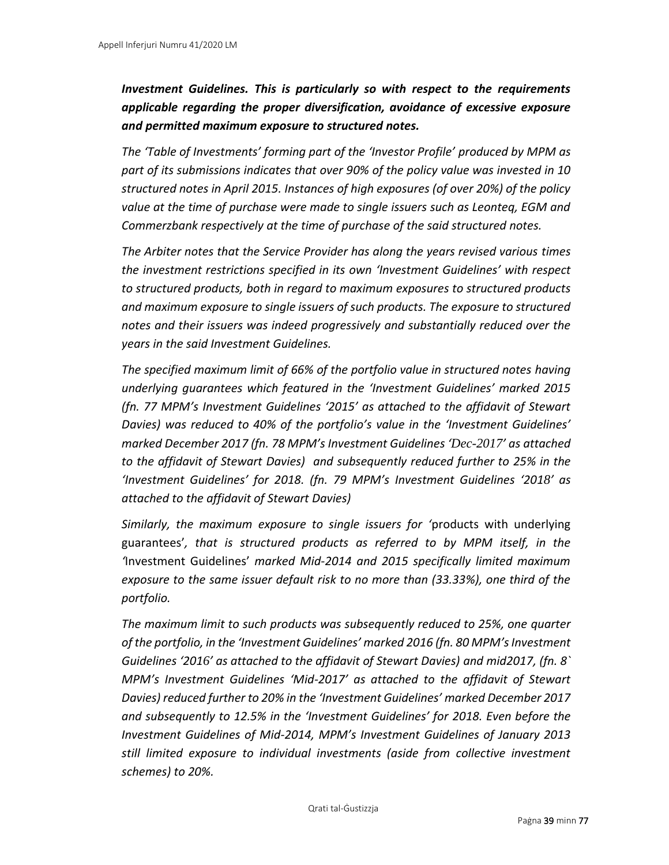# *Investment Guidelines. This is particularly so with respect to the requirements applicable regarding the proper diversification, avoidance of excessive exposure and permitted maximum exposure to structured notes.*

*The 'Table of Investments' forming part of the 'Investor Profile' produced by MPM as part of its submissions indicates that over 90% of the policy value was invested in 10 structured notes in April 2015. Instances of high exposures (of over 20%) of the policy value at the time of purchase were made to single issuers such as Leonteq, EGM and Commerzbank respectively at the time of purchase of the said structured notes.* 

*The Arbiter notes that the Service Provider has along the years revised various times the investment restrictions specified in its own 'Investment Guidelines' with respect to structured products, both in regard to maximum exposures to structured products and maximum exposure to single issuers of such products. The exposure to structured notes and their issuers was indeed progressively and substantially reduced over the years in the said Investment Guidelines.* 

*The specified maximum limit of 66% of the portfolio value in structured notes having underlying guarantees which featured in the 'Investment Guidelines' marked 2015 (fn. 77 MPM's Investment Guidelines '2015' as attached to the affidavit of Stewart Davies) was reduced to 40% of the portfolio's value in the 'Investment Guidelines' marked December 2017 (fn. 78 MPM's Investment Guidelines 'Dec-2017' as attached to the affidavit of Stewart Davies) and subsequently reduced further to 25% in the 'Investment Guidelines' for 2018. (fn. 79 MPM's Investment Guidelines '2018' as attached to the affidavit of Stewart Davies)*

*Similarly, the maximum exposure to single issuers for '*products with underlying guarantees'*, that is structured products as referred to by MPM itself, in the '*Investment Guidelines' *marked Mid-2014 and 2015 specifically limited maximum exposure to the same issuer default risk to no more than (33.33%), one third of the portfolio.* 

*The maximum limit to such products was subsequently reduced to 25%, one quarter of the portfolio, in the 'Investment Guidelines' marked 2016 (fn. 80 MPM's Investment Guidelines '2016' as attached to the affidavit of Stewart Davies) and mid2017, (fn. 8` MPM's Investment Guidelines 'Mid-2017' as attached to the affidavit of Stewart Davies) reduced further to 20% in the 'Investment Guidelines' marked December 2017 and subsequently to 12.5% in the 'Investment Guidelines' for 2018. Even before the Investment Guidelines of Mid-2014, MPM's Investment Guidelines of January 2013 still limited exposure to individual investments (aside from collective investment schemes) to 20%.*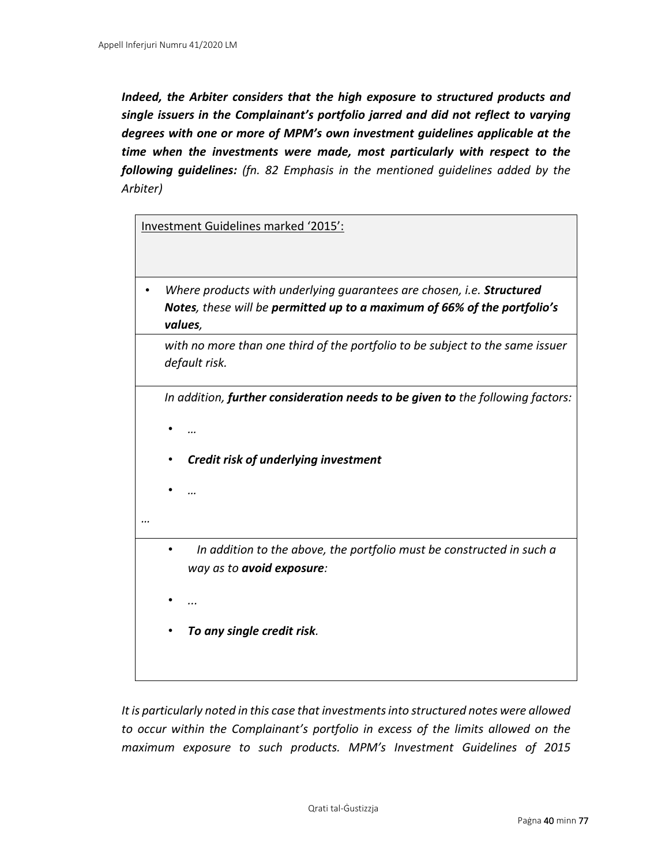*Indeed, the Arbiter considers that the high exposure to structured products and single issuers in the Complainant's portfolio jarred and did not reflect to varying degrees with one or more of MPM's own investment guidelines applicable at the time when the investments were made, most particularly with respect to the following guidelines: (fn. 82 Emphasis in the mentioned guidelines added by the Arbiter)*

Investment Guidelines marked '2015':

• *Where products with underlying guarantees are chosen, i.e. Structured Notes, these will be permitted up to a maximum of 66% of the portfolio's values,* 

*with no more than one third of the portfolio to be subject to the same issuer default risk.* 

*In addition, further consideration needs to be given to the following factors:* 

- *…*
- *Credit risk of underlying investment*
- *…*

*…* 

- • *In addition to the above, the portfolio must be constructed in such a way as to avoid exposure:*
- *...*
- *To any single credit risk.*

*It is particularly noted in this case that investments into structured notes were allowed to occur within the Complainant's portfolio in excess of the limits allowed on the maximum exposure to such products. MPM's Investment Guidelines of 2015*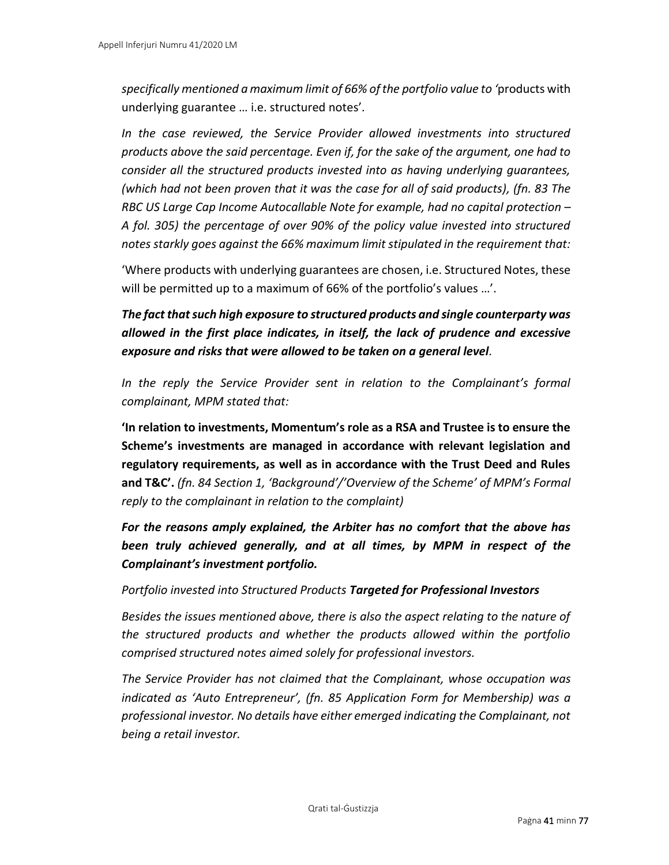*specifically mentioned a maximum limit of 66% of the portfolio value to '*products with underlying guarantee … i.e. structured notes'*.* 

*In the case reviewed, the Service Provider allowed investments into structured products above the said percentage. Even if, for the sake of the argument, one had to consider all the structured products invested into as having underlying guarantees, (which had not been proven that it was the case for all of said products), (fn. 83 The RBC US Large Cap Income Autocallable Note for example, had no capital protection – A fol. 305) the percentage of over 90% of the policy value invested into structured notes starkly goes against the 66% maximum limit stipulated in the requirement that:* 

'Where products with underlying guarantees are chosen, i.e. Structured Notes, these will be permitted up to a maximum of 66% of the portfolio's values …'.

*The fact that such high exposure to structured products and single counterparty was allowed in the first place indicates, in itself, the lack of prudence and excessive exposure and risks that were allowed to be taken on a general level.* 

*In the reply the Service Provider sent in relation to the Complainant's formal complainant, MPM stated that:* 

**'In relation to investments, Momentum's role as a RSA and Trustee is to ensure the Scheme's investments are managed in accordance with relevant legislation and regulatory requirements, as well as in accordance with the Trust Deed and Rules and T&C'.** *(fn. 84 Section 1, 'Background'/'Overview of the Scheme' of MPM's Formal reply to the complainant in relation to the complaint)*

*For the reasons amply explained, the Arbiter has no comfort that the above has been truly achieved generally, and at all times, by MPM in respect of the Complainant's investment portfolio.* 

*Portfolio invested into Structured Products Targeted for Professional Investors*

*Besides the issues mentioned above, there is also the aspect relating to the nature of the structured products and whether the products allowed within the portfolio comprised structured notes aimed solely for professional investors.* 

*The Service Provider has not claimed that the Complainant, whose occupation was indicated as 'Auto Entrepreneur', (fn. 85 Application Form for Membership) was a professional investor. No details have either emerged indicating the Complainant, not being a retail investor.*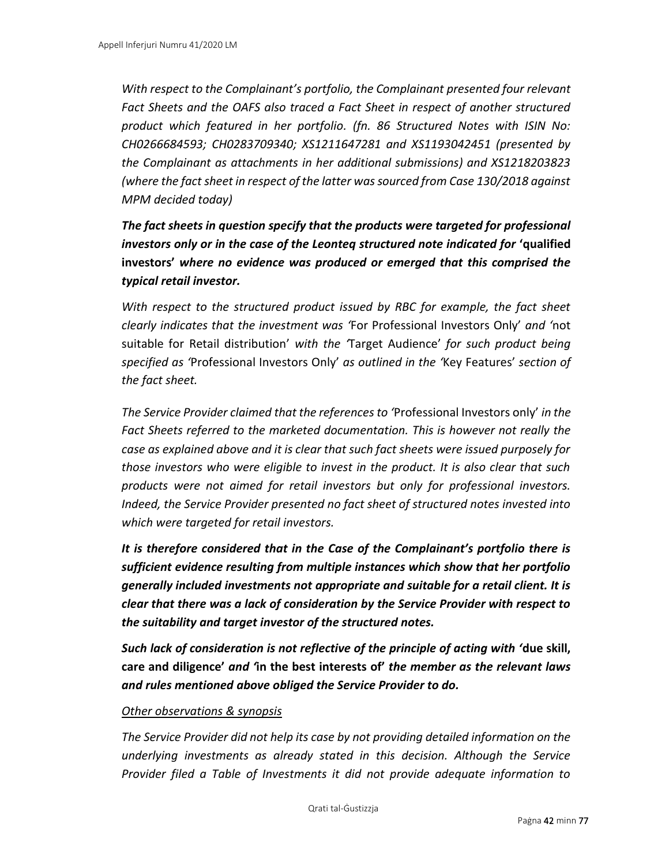*With respect to the Complainant's portfolio, the Complainant presented four relevant Fact Sheets and the OAFS also traced a Fact Sheet in respect of another structured product which featured in her portfolio. (fn. 86 Structured Notes with ISIN No: CH0266684593; CH0283709340; XS1211647281 and XS1193042451 (presented by the Complainant as attachments in her additional submissions) and XS1218203823 (where the fact sheet in respect of the latter was sourced from Case 130/2018 against MPM decided today)*

*The fact sheets in question specify that the products were targeted for professional investors only or in the case of the Leonteq structured note indicated for 'qualified* **investors'** *where no evidence was produced or emerged that this comprised the typical retail investor.*

*With respect to the structured product issued by RBC for example, the fact sheet clearly indicates that the investment was '*For Professional Investors Only' *and '*not suitable for Retail distribution' *with the '*Target Audience' *for such product being specified as '*Professional Investors Only' *as outlined in the '*Key Features' *section of the fact sheet.* 

*The Service Provider claimed that the references to '*Professional Investors only' *in the Fact Sheets referred to the marketed documentation. This is however not really the case as explained above and it is clear that such fact sheets were issued purposely for those investors who were eligible to invest in the product. It is also clear that such products were not aimed for retail investors but only for professional investors. Indeed, the Service Provider presented no fact sheet of structured notes invested into which were targeted for retail investors.*

*It is therefore considered that in the Case of the Complainant's portfolio there is sufficient evidence resulting from multiple instances which show that her portfolio generally included investments not appropriate and suitable for a retail client. It is clear that there was a lack of consideration by the Service Provider with respect to the suitability and target investor of the structured notes.* 

*Such lack of consideration is not reflective of the principle of acting with '***due skill, care and diligence'** *and '***in the best interests of'** *the member as the relevant laws and rules mentioned above obliged the Service Provider to do.* 

### *Other observations & synopsis*

*The Service Provider did not help its case by not providing detailed information on the underlying investments as already stated in this decision. Although the Service Provider filed a Table of Investments it did not provide adequate information to*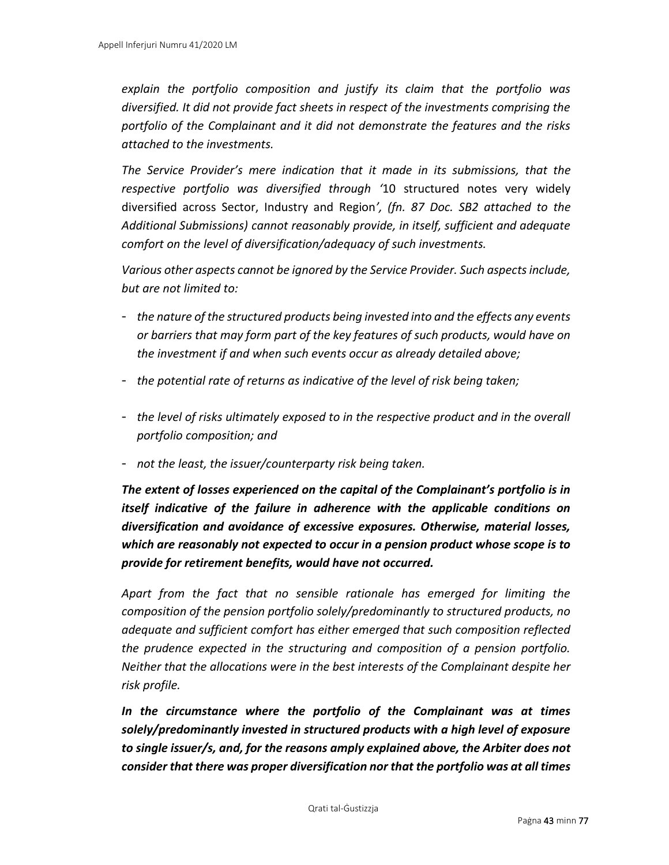*explain the portfolio composition and justify its claim that the portfolio was diversified. It did not provide fact sheets in respect of the investments comprising the portfolio of the Complainant and it did not demonstrate the features and the risks attached to the investments.*

*The Service Provider's mere indication that it made in its submissions, that the respective portfolio was diversified through '*10 structured notes very widely diversified across Sector, Industry and Region*', (fn. 87 Doc. SB2 attached to the Additional Submissions) cannot reasonably provide, in itself, sufficient and adequate comfort on the level of diversification/adequacy of such investments.*

*Various other aspects cannot be ignored by the Service Provider. Such aspects include, but are not limited to:* 

- *the nature of the structured products being invested into and the effects any events or barriers that may form part of the key features of such products, would have on the investment if and when such events occur as already detailed above;*
- *the potential rate of returns as indicative of the level of risk being taken;*
- *the level of risks ultimately exposed to in the respective product and in the overall portfolio composition; and*
- *not the least, the issuer/counterparty risk being taken.*

*The extent of losses experienced on the capital of the Complainant's portfolio is in itself indicative of the failure in adherence with the applicable conditions on diversification and avoidance of excessive exposures. Otherwise, material losses, which are reasonably not expected to occur in a pension product whose scope is to provide for retirement benefits, would have not occurred.* 

*Apart from the fact that no sensible rationale has emerged for limiting the composition of the pension portfolio solely/predominantly to structured products, no adequate and sufficient comfort has either emerged that such composition reflected the prudence expected in the structuring and composition of a pension portfolio. Neither that the allocations were in the best interests of the Complainant despite her risk profile.* 

*In the circumstance where the portfolio of the Complainant was at times solely/predominantly invested in structured products with a high level of exposure to single issuer/s, and, for the reasons amply explained above, the Arbiter does not consider that there was proper diversification nor that the portfolio was at all times*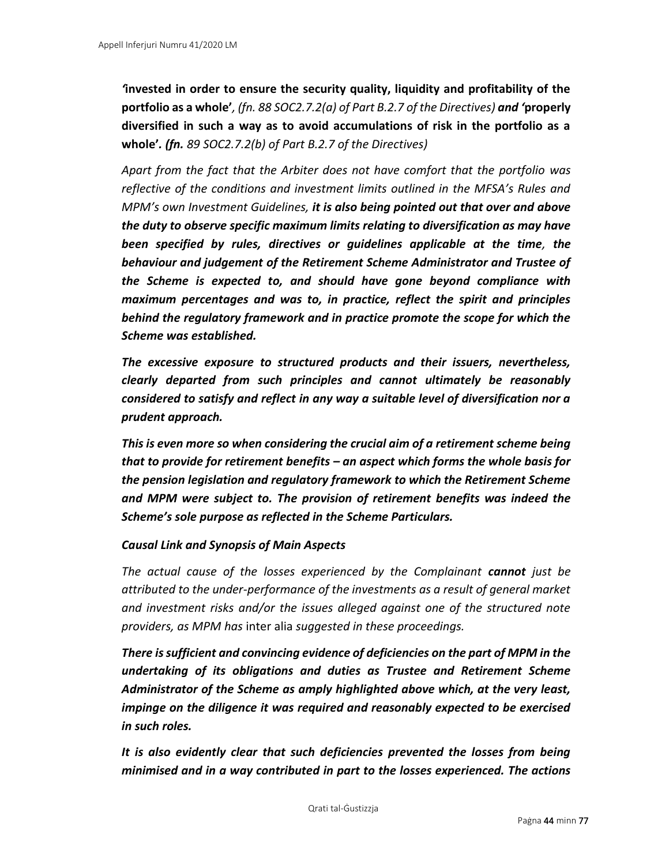*'***invested in order to ensure the security quality, liquidity and profitability of the portfolio as a whole'***, (fn. 88 SOC2.7.2(a) of Part B.2.7 of the Directives) and '***properly diversified in such a way as to avoid accumulations of risk in the portfolio as a whole'***. (fn. 89 SOC2.7.2(b) of Part B.2.7 of the Directives)*

*Apart from the fact that the Arbiter does not have comfort that the portfolio was reflective of the conditions and investment limits outlined in the MFSA's Rules and MPM's own Investment Guidelines, it is also being pointed out that over and above the duty to observe specific maximum limits relating to diversification as may have been specified by rules, directives or guidelines applicable at the time, the behaviour and judgement of the Retirement Scheme Administrator and Trustee of the Scheme is expected to, and should have gone beyond compliance with maximum percentages and was to, in practice, reflect the spirit and principles behind the regulatory framework and in practice promote the scope for which the Scheme was established.* 

*The excessive exposure to structured products and their issuers, nevertheless, clearly departed from such principles and cannot ultimately be reasonably considered to satisfy and reflect in any way a suitable level of diversification nor a prudent approach.* 

*This is even more so when considering the crucial aim of a retirement scheme being that to provide for retirement benefits – an aspect which forms the whole basis for the pension legislation and regulatory framework to which the Retirement Scheme and MPM were subject to. The provision of retirement benefits was indeed the Scheme's sole purpose as reflected in the Scheme Particulars.* 

### *Causal Link and Synopsis of Main Aspects*

*The actual cause of the losses experienced by the Complainant cannot just be attributed to the under-performance of the investments as a result of general market and investment risks and/or the issues alleged against one of the structured note providers, as MPM has* inter alia *suggested in these proceedings.* 

*There is sufficient and convincing evidence of deficiencies on the part of MPM in the undertaking of its obligations and duties as Trustee and Retirement Scheme Administrator of the Scheme as amply highlighted above which, at the very least, impinge on the diligence it was required and reasonably expected to be exercised in such roles.* 

*It is also evidently clear that such deficiencies prevented the losses from being minimised and in a way contributed in part to the losses experienced. The actions*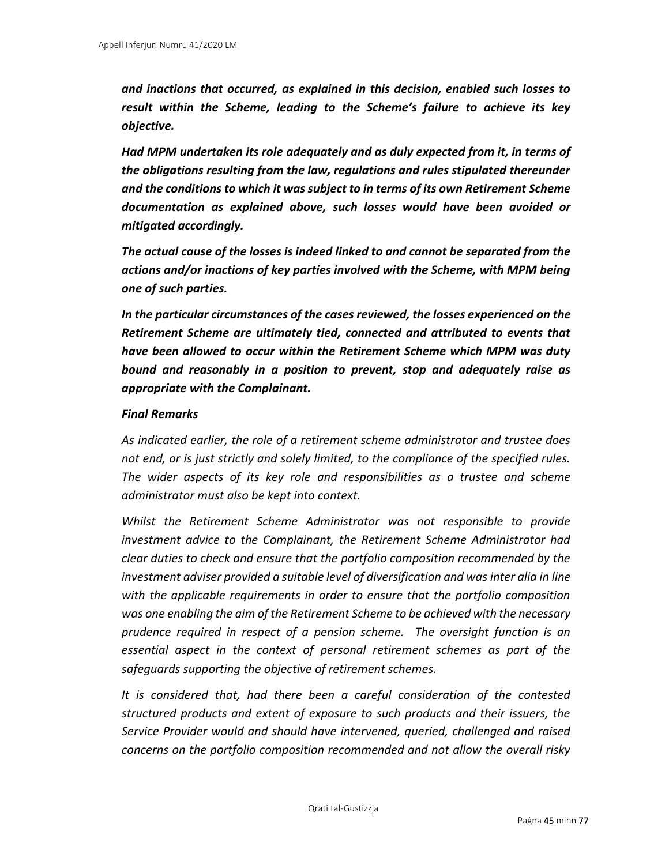*and inactions that occurred, as explained in this decision, enabled such losses to result within the Scheme, leading to the Scheme's failure to achieve its key objective.* 

*Had MPM undertaken its role adequately and as duly expected from it, in terms of the obligations resulting from the law, regulations and rules stipulated thereunder and the conditions to which it was subject to in terms of its own Retirement Scheme documentation as explained above, such losses would have been avoided or mitigated accordingly.*

*The actual cause of the losses is indeed linked to and cannot be separated from the actions and/or inactions of key parties involved with the Scheme, with MPM being one of such parties.* 

*In the particular circumstances of the cases reviewed, the losses experienced on the Retirement Scheme are ultimately tied, connected and attributed to events that have been allowed to occur within the Retirement Scheme which MPM was duty bound and reasonably in a position to prevent, stop and adequately raise as appropriate with the Complainant.* 

### *Final Remarks*

*As indicated earlier, the role of a retirement scheme administrator and trustee does not end, or is just strictly and solely limited, to the compliance of the specified rules. The wider aspects of its key role and responsibilities as a trustee and scheme administrator must also be kept into context.* 

*Whilst the Retirement Scheme Administrator was not responsible to provide investment advice to the Complainant, the Retirement Scheme Administrator had clear duties to check and ensure that the portfolio composition recommended by the investment adviser provided a suitable level of diversification and was inter alia in line with the applicable requirements in order to ensure that the portfolio composition was one enabling the aim of the Retirement Scheme to be achieved with the necessary prudence required in respect of a pension scheme. The oversight function is an essential aspect in the context of personal retirement schemes as part of the safeguards supporting the objective of retirement schemes.* 

*It is considered that, had there been a careful consideration of the contested structured products and extent of exposure to such products and their issuers, the Service Provider would and should have intervened, queried, challenged and raised concerns on the portfolio composition recommended and not allow the overall risky*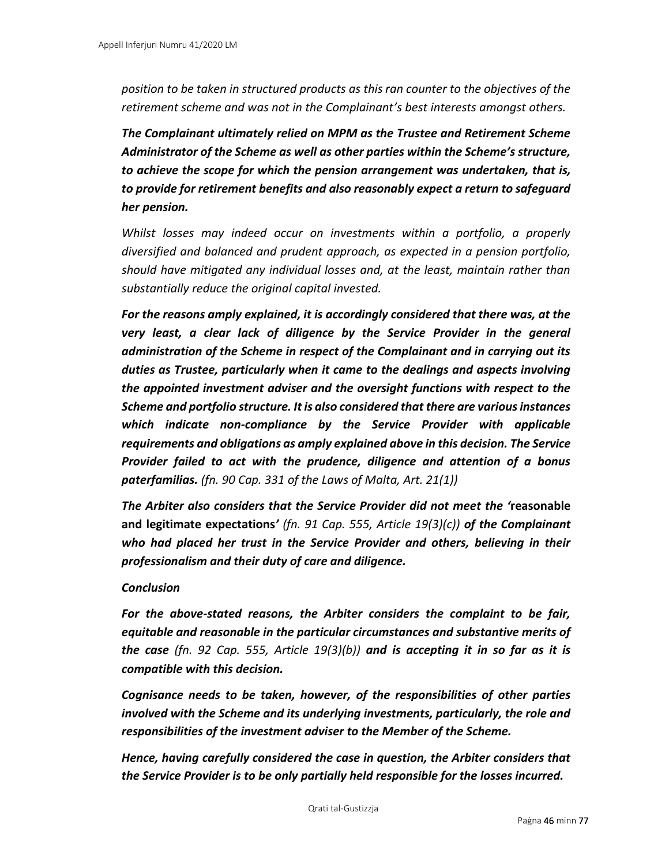*position to be taken in structured products as this ran counter to the objectives of the retirement scheme and was not in the Complainant's best interests amongst others.* 

*The Complainant ultimately relied on MPM as the Trustee and Retirement Scheme Administrator of the Scheme as well as other parties within the Scheme's structure, to achieve the scope for which the pension arrangement was undertaken, that is, to provide for retirement benefits and also reasonably expect a return to safeguard her pension.*

*Whilst losses may indeed occur on investments within a portfolio, a properly diversified and balanced and prudent approach, as expected in a pension portfolio, should have mitigated any individual losses and, at the least, maintain rather than substantially reduce the original capital invested.* 

*For the reasons amply explained, it is accordingly considered that there was, at the very least, a clear lack of diligence by the Service Provider in the general administration of the Scheme in respect of the Complainant and in carrying out its duties as Trustee, particularly when it came to the dealings and aspects involving the appointed investment adviser and the oversight functions with respect to the Scheme and portfolio structure. It is also considered that there are various instances which indicate non-compliance by the Service Provider with applicable requirements and obligations as amply explained above in this decision. The Service Provider failed to act with the prudence, diligence and attention of a bonus paterfamilias. (fn. 90 Cap. 331 of the Laws of Malta, Art. 21(1))*

*The Arbiter also considers that the Service Provider did not meet the '***reasonable and legitimate expectations***' (fn. 91 Cap. 555, Article 19(3)(c)) of the Complainant who had placed her trust in the Service Provider and others, believing in their professionalism and their duty of care and diligence.* 

### *Conclusion*

*For the above-stated reasons, the Arbiter considers the complaint to be fair, equitable and reasonable in the particular circumstances and substantive merits of the case (fn. 92 Cap. 555, Article 19(3)(b)) and is accepting it in so far as it is compatible with this decision.*

*Cognisance needs to be taken, however, of the responsibilities of other parties involved with the Scheme and its underlying investments, particularly, the role and responsibilities of the investment adviser to the Member of the Scheme.* 

*Hence, having carefully considered the case in question, the Arbiter considers that the Service Provider is to be only partially held responsible for the losses incurred.*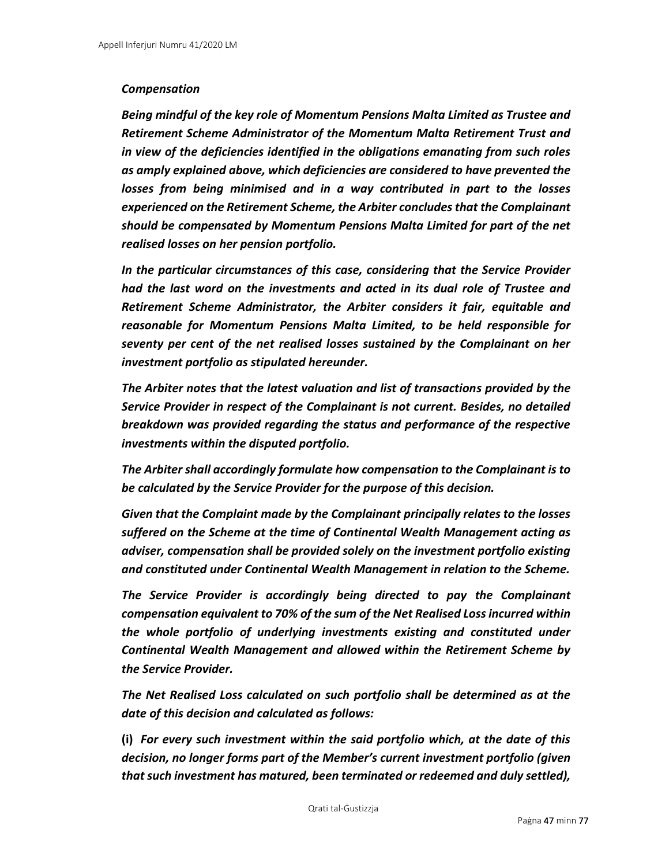### *Compensation*

*Being mindful of the key role of Momentum Pensions Malta Limited as Trustee and Retirement Scheme Administrator of the Momentum Malta Retirement Trust and in view of the deficiencies identified in the obligations emanating from such roles as amply explained above, which deficiencies are considered to have prevented the losses from being minimised and in a way contributed in part to the losses experienced on the Retirement Scheme, the Arbiter concludes that the Complainant should be compensated by Momentum Pensions Malta Limited for part of the net realised losses on her pension portfolio.*

*In the particular circumstances of this case, considering that the Service Provider had the last word on the investments and acted in its dual role of Trustee and Retirement Scheme Administrator, the Arbiter considers it fair, equitable and reasonable for Momentum Pensions Malta Limited, to be held responsible for seventy per cent of the net realised losses sustained by the Complainant on her investment portfolio as stipulated hereunder.*

*The Arbiter notes that the latest valuation and list of transactions provided by the Service Provider in respect of the Complainant is not current. Besides, no detailed breakdown was provided regarding the status and performance of the respective investments within the disputed portfolio.* 

*The Arbiter shall accordingly formulate how compensation to the Complainant is to be calculated by the Service Provider for the purpose of this decision.*

*Given that the Complaint made by the Complainant principally relates to the losses suffered on the Scheme at the time of Continental Wealth Management acting as adviser, compensation shall be provided solely on the investment portfolio existing and constituted under Continental Wealth Management in relation to the Scheme.* 

*The Service Provider is accordingly being directed to pay the Complainant compensation equivalent to 70% of the sum of the Net Realised Loss incurred within the whole portfolio of underlying investments existing and constituted under Continental Wealth Management and allowed within the Retirement Scheme by the Service Provider.* 

*The Net Realised Loss calculated on such portfolio shall be determined as at the date of this decision and calculated as follows:* 

**(i)** *For every such investment within the said portfolio which, at the date of this decision, no longer forms part of the Member's current investment portfolio (given that such investment has matured, been terminated or redeemed and duly settled),*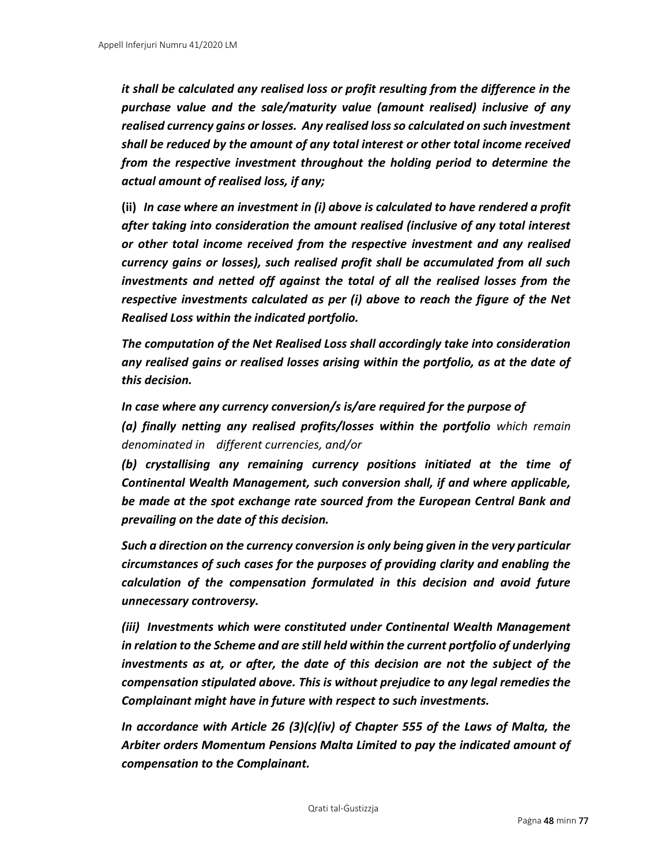*it shall be calculated any realised loss or profit resulting from the difference in the purchase value and the sale/maturity value (amount realised) inclusive of any realised currency gains or losses. Any realised loss so calculated on such investment shall be reduced by the amount of any total interest or other total income received from the respective investment throughout the holding period to determine the actual amount of realised loss, if any;* 

**(ii)** *In case where an investment in (i) above is calculated to have rendered a profit after taking into consideration the amount realised (inclusive of any total interest or other total income received from the respective investment and any realised currency gains or losses), such realised profit shall be accumulated from all such investments and netted off against the total of all the realised losses from the respective investments calculated as per (i) above to reach the figure of the Net Realised Loss within the indicated portfolio.* 

*The computation of the Net Realised Loss shall accordingly take into consideration any realised gains or realised losses arising within the portfolio, as at the date of this decision.* 

*In case where any currency conversion/s is/are required for the purpose of* 

*(a) finally netting any realised profits/losses within the portfolio which remain denominated in different currencies, and/or* 

*(b) crystallising any remaining currency positions initiated at the time of Continental Wealth Management, such conversion shall, if and where applicable, be made at the spot exchange rate sourced from the European Central Bank and prevailing on the date of this decision.* 

*Such a direction on the currency conversion is only being given in the very particular circumstances of such cases for the purposes of providing clarity and enabling the calculation of the compensation formulated in this decision and avoid future unnecessary controversy.* 

*(iii) Investments which were constituted under Continental Wealth Management in relation to the Scheme and are still held within the current portfolio of underlying investments as at, or after, the date of this decision are not the subject of the compensation stipulated above. This is without prejudice to any legal remedies the Complainant might have in future with respect to such investments.*

*In accordance with Article 26 (3)(c)(iv) of Chapter 555 of the Laws of Malta, the Arbiter orders Momentum Pensions Malta Limited to pay the indicated amount of compensation to the Complainant.*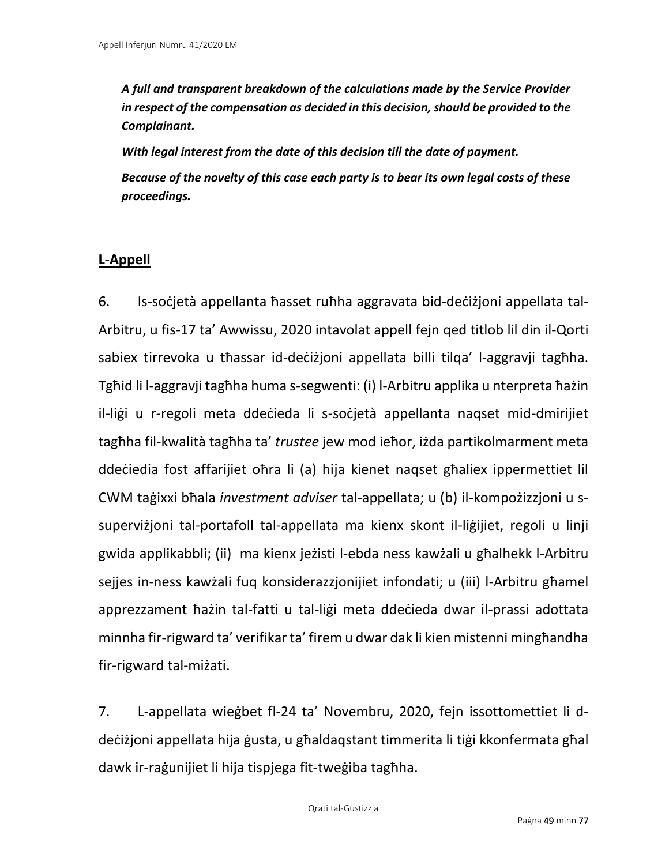*A full and transparent breakdown of the calculations made by the Service Provider in respect of the compensation as decided in this decision, should be provided to the Complainant.* 

*With legal interest from the date of this decision till the date of payment. Because of the novelty of this case each party is to bear its own legal costs of these proceedings.* 

# **L-Appell**

6. Is-soċjetà appellanta ħasset ruħha aggravata bid-deċiżjoni appellata tal-Arbitru, u fis-17 ta' Awwissu, 2020 intavolat appell fejn qed titlob lil din il-Qorti sabiex tirrevoka u tħassar id-deċiżjoni appellata billi tilqa' l-aggravji tagħha. Tgħid li l-aggravji tagħha huma s-segwenti: (i) l-Arbitru applika u nterpreta ħażin il-liġi u r-regoli meta ddeċieda li s-soċjetà appellanta naqset mid-dmirijiet tagħha fil-kwalità tagħha ta' *trustee* jew mod ieħor, iżda partikolmarment meta ddeċiedia fost affarijiet oħra li (a) hija kienet naqset għaliex ippermettiet lil CWM taġixxi bħala *investment adviser* tal-appellata; u (b) il-kompożizzjoni u ssuperviżjoni tal-portafoll tal-appellata ma kienx skont il-liġijiet, regoli u linji gwida applikabbli; (ii) ma kienx jeżisti l-ebda ness kawżali u għalhekk l-Arbitru sejjes in-ness kawżali fuq konsiderazzjonijiet infondati; u (iii) l-Arbitru għamel apprezzament ħażin tal-fatti u tal-liġi meta ddeċieda dwar il-prassi adottata minnha fir-rigward ta' verifikar ta' firem u dwar dak li kien mistenni mingħandha fir-rigward tal-miżati.

7. L-appellata wieġbet fl-24 ta' Novembru, 2020, fejn issottomettiet li ddeċiżjoni appellata hija ġusta, u għaldaqstant timmerita li tiġi kkonfermata għal dawk ir-raġunijiet li hija tispjega fit-tweġiba tagħha.

Qrati tal-Ġustizzja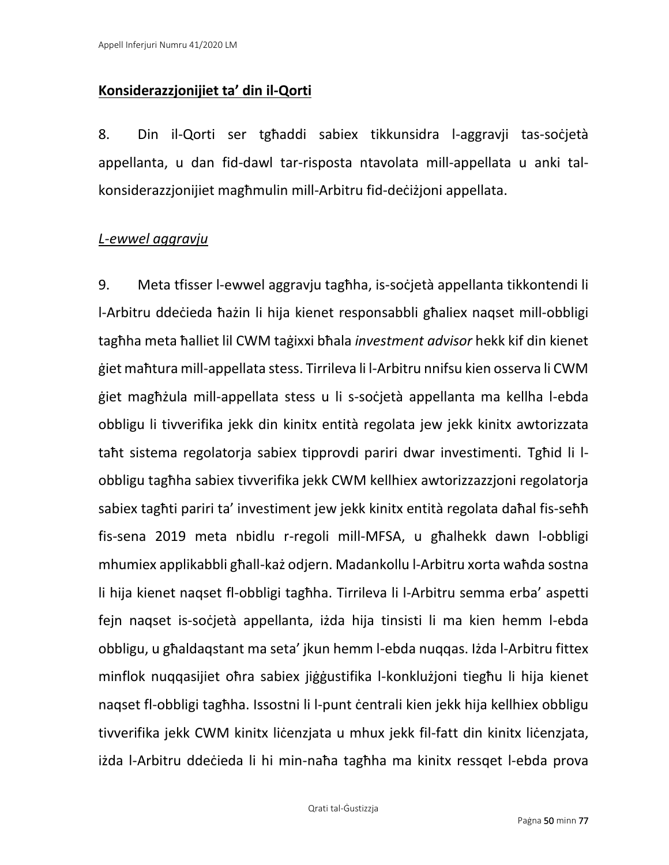## **Konsiderazzjonijiet ta' din il-Qorti**

8. Din il-Qorti ser tgħaddi sabiex tikkunsidra l-aggravji tas-soċjetà appellanta, u dan fid-dawl tar-risposta ntavolata mill-appellata u anki talkonsiderazzjonijiet magħmulin mill-Arbitru fid-deċiżjoni appellata.

## *L-ewwel aggravju*

9. Meta tfisser l-ewwel aggravju tagħha, is-soċjetà appellanta tikkontendi li l-Arbitru ddeċieda ħażin li hija kienet responsabbli għaliex naqset mill-obbligi tagħha meta ħalliet lil CWM taġixxi bħala *investment advisor* hekk kif din kienet ġiet maħtura mill-appellata stess. Tirrileva li l-Arbitru nnifsu kien osserva li CWM ġiet magħżula mill-appellata stess u li s-soċjetà appellanta ma kellha l-ebda obbligu li tivverifika jekk din kinitx entità regolata jew jekk kinitx awtorizzata taħt sistema regolatorja sabiex tipprovdi pariri dwar investimenti. Tgħid li lobbligu tagħha sabiex tivverifika jekk CWM kellhiex awtorizzazzjoni regolatorja sabiex tagħti pariri ta' investiment jew jekk kinitx entità regolata daħal fis-seħħ fis-sena 2019 meta nbidlu r-regoli mill-MFSA, u għalhekk dawn l-obbligi mhumiex applikabbli għall-każ odjern. Madankollu l-Arbitru xorta waħda sostna li hija kienet naqset fl-obbligi tagħha. Tirrileva li l-Arbitru semma erba' aspetti fejn naqset is-soċjetà appellanta, iżda hija tinsisti li ma kien hemm l-ebda obbligu, u għaldaqstant ma seta' jkun hemm l-ebda nuqqas. Iżda l-Arbitru fittex minflok nuqqasijiet oħra sabiex jiġġustifika l-konklużjoni tiegħu li hija kienet naqset fl-obbligi tagħha. Issostni li l-punt ċentrali kien jekk hija kellhiex obbligu tivverifika jekk CWM kinitx liċenzjata u mhux jekk fil-fatt din kinitx liċenzjata, iżda l-Arbitru ddeċieda li hi min-naħa tagħha ma kinitx ressqet l-ebda prova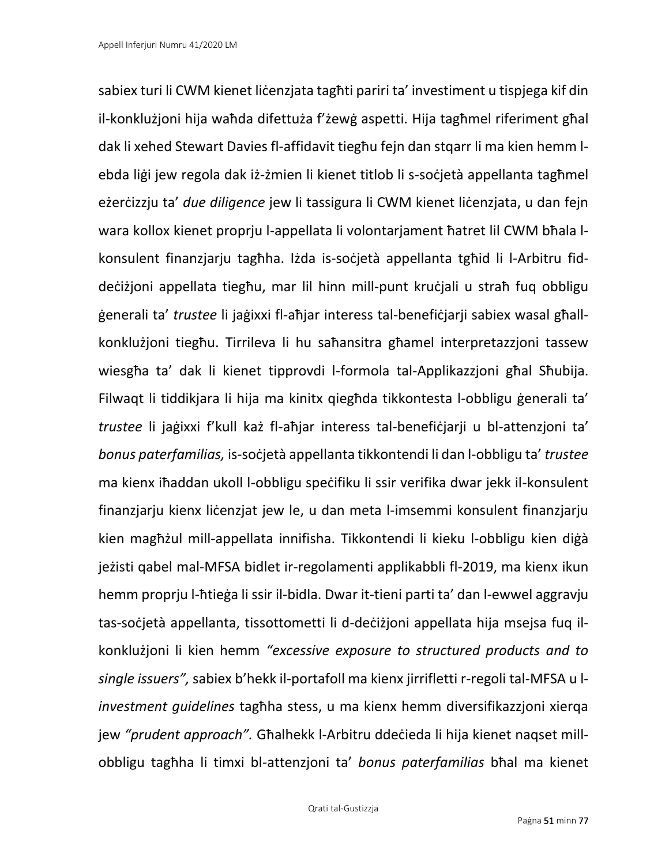sabiex turi li CWM kienet liċenzjata tagħti pariri ta' investiment u tispjega kif din il-konklużjoni hija waħda difettuża f'żewġ aspetti. Hija tagħmel riferiment għal dak li xehed Stewart Davies fl-affidavit tiegħu fejn dan stqarr li ma kien hemm lebda liġi jew regola dak iż-żmien li kienet titlob li s-soċjetà appellanta tagħmel eżerċizzju ta' *due diligence* jew li tassigura li CWM kienet liċenzjata, u dan fejn wara kollox kienet proprju l-appellata li volontarjament ħatret lil CWM bħala lkonsulent finanzjarju tagħha. Iżda is-soċjetà appellanta tgħid li l-Arbitru fiddeċiżjoni appellata tiegħu, mar lil hinn mill-punt kruċjali u straħ fuq obbligu ġenerali ta' *trustee* li jaġixxi fl-aħjar interess tal-benefiċjarji sabiex wasal għallkonklużjoni tiegħu. Tirrileva li hu saħansitra għamel interpretazzjoni tassew wiesgħa ta' dak li kienet tipprovdi l-formola tal-Applikazzjoni għal Sħubija. Filwaqt li tiddikjara li hija ma kinitx qiegħda tikkontesta l-obbligu ġenerali ta' *trustee* li jaġixxi f'kull każ fl-aħjar interess tal-benefiċjarji u bl-attenzjoni ta' *bonus paterfamilias,* is-soċjetà appellanta tikkontendi li dan l-obbligu ta' *trustee*  ma kienx iħaddan ukoll l-obbligu speċifiku li ssir verifika dwar jekk il-konsulent finanzjarju kienx liċenzjat jew le, u dan meta l-imsemmi konsulent finanzjarju kien magħżul mill-appellata innifisha. Tikkontendi li kieku l-obbligu kien diġà jeżisti qabel mal-MFSA bidlet ir-regolamenti applikabbli fl-2019, ma kienx ikun hemm proprju l-ħtieġa li ssir il-bidla. Dwar it-tieni parti ta' dan l-ewwel aggravju tas-soċjetà appellanta, tissottometti li d-deċiżjoni appellata hija msejsa fuq ilkonklużjoni li kien hemm *"excessive exposure to structured products and to single issuers",* sabiex b'hekk il-portafoll ma kienx jirrifletti r-regoli tal-MFSA u l*investment guidelines* tagħha stess, u ma kienx hemm diversifikazzjoni xierqa jew *"prudent approach".* Għalhekk l-Arbitru ddeċieda li hija kienet naqset millobbligu tagħha li timxi bl-attenzjoni ta' *bonus paterfamilias* bħal ma kienet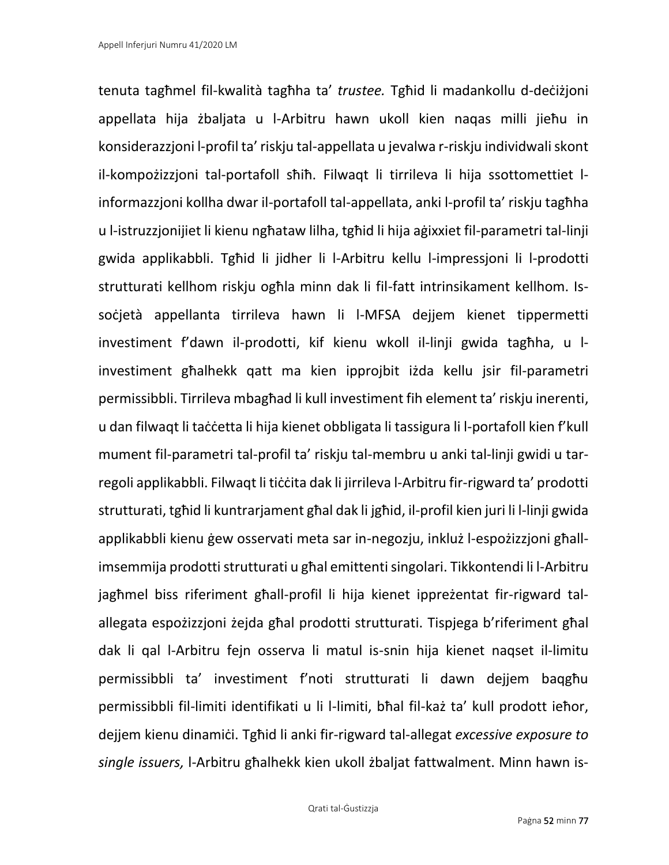tenuta tagħmel fil-kwalità tagħha ta' *trustee.* Tgħid li madankollu d-deċiżjoni appellata hija żbaljata u l-Arbitru hawn ukoll kien naqas milli jieħu in konsiderazzjoni l-profil ta' riskju tal-appellata u jevalwa r-riskju individwali skont il-kompożizzjoni tal-portafoll sħiħ. Filwaqt li tirrileva li hija ssottomettiet linformazzjoni kollha dwar il-portafoll tal-appellata, anki l-profil ta' riskju tagħha u l-istruzzjonijiet li kienu ngħataw lilha, tgħid li hija aġixxiet fil-parametri tal-linji gwida applikabbli. Tgħid li jidher li l-Arbitru kellu l-impressjoni li l-prodotti strutturati kellhom riskju ogħla minn dak li fil-fatt intrinsikament kellhom. Issoċjetà appellanta tirrileva hawn li l-MFSA dejjem kienet tippermetti investiment f'dawn il-prodotti, kif kienu wkoll il-linji gwida tagħha, u linvestiment għalhekk qatt ma kien ipprojbit iżda kellu jsir fil-parametri permissibbli. Tirrileva mbagħad li kull investiment fih element ta' riskju inerenti, u dan filwaqt li taċċetta li hija kienet obbligata li tassigura li l-portafoll kien f'kull mument fil-parametri tal-profil ta' riskju tal-membru u anki tal-linji gwidi u tarregoli applikabbli. Filwaqt li tiċċita dak li jirrileva l-Arbitru fir-rigward ta' prodotti strutturati, tgħid li kuntrarjament għal dak li jgħid, il-profil kien juri li l-linji gwida applikabbli kienu ġew osservati meta sar in-negozju, inkluż l-espożizzjoni għallimsemmija prodotti strutturati u għal emittenti singolari. Tikkontendi li l-Arbitru jagħmel biss riferiment għall-profil li hija kienet ippreżentat fir-rigward talallegata espożizzjoni żejda għal prodotti strutturati. Tispjega b'riferiment għal dak li qal l-Arbitru fejn osserva li matul is-snin hija kienet naqset il-limitu permissibbli ta' investiment f'noti strutturati li dawn dejjem baqgħu permissibbli fil-limiti identifikati u li l-limiti, bħal fil-każ ta' kull prodott ieħor, dejjem kienu dinamiċi. Tgħid li anki fir-rigward tal-allegat *excessive exposure to single issuers,* l-Arbitru għalhekk kien ukoll żbaljat fattwalment. Minn hawn is-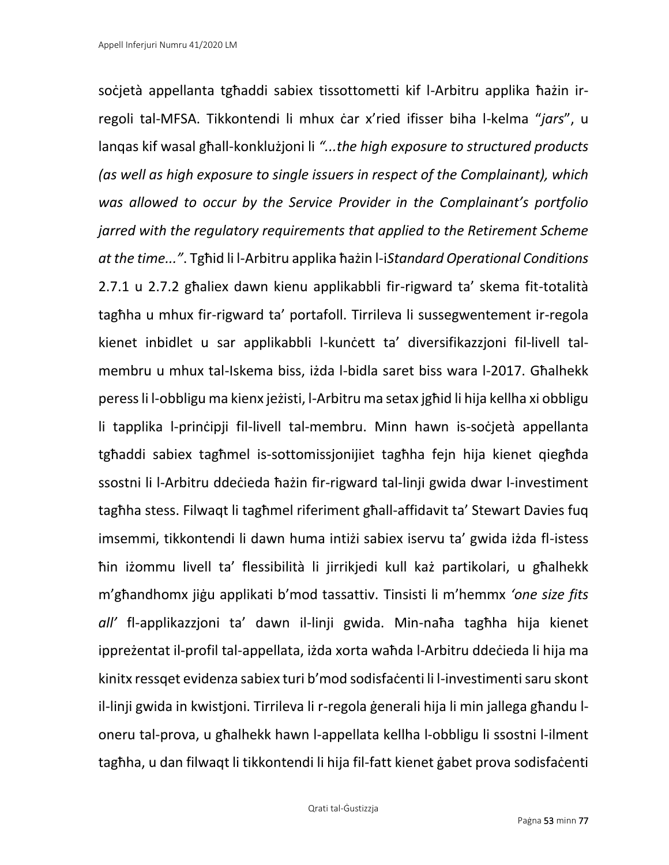soċjetà appellanta tgħaddi sabiex tissottometti kif l-Arbitru applika ħażin irregoli tal-MFSA. Tikkontendi li mhux ċar x'ried ifisser biha l-kelma "*jars*", u lanqas kif wasal għall-konklużjoni li *"...the high exposure to structured products (as well as high exposure to single issuers in respect of the Complainant), which was allowed to occur by the Service Provider in the Complainant's portfolio jarred with the regulatory requirements that applied to the Retirement Scheme at the time..."*. Tgħid li l-Arbitru applika ħażin l-i*Standard Operational Conditions*  2.7.1 u 2.7.2 għaliex dawn kienu applikabbli fir-rigward ta' skema fit-totalità tagħha u mhux fir-rigward ta' portafoll. Tirrileva li sussegwentement ir-regola kienet inbidlet u sar applikabbli l-kuncett ta' diversifikazzjoni fil-livell talmembru u mhux tal-Iskema biss, iżda l-bidla saret biss wara l-2017. Għalhekk peressli l-obbligu ma kienx jeżisti, l-Arbitru ma setax jgħid li hija kellha xi obbligu li tapplika l-prinċipji fil-livell tal-membru. Minn hawn is-soċjetà appellanta tgħaddi sabiex tagħmel is-sottomissjonijiet tagħha fejn hija kienet qiegħda ssostni li l-Arbitru ddeċieda ħażin fir-rigward tal-linji gwida dwar l-investiment tagħha stess. Filwaqt li tagħmel riferiment għall-affidavit ta' Stewart Davies fuq imsemmi, tikkontendi li dawn huma intiżi sabiex iservu ta' gwida iżda fl-istess ħin iżommu livell ta' flessibilità li jirrikjedi kull każ partikolari, u għalhekk m'għandhomx jiġu applikati b'mod tassattiv. Tinsisti li m'hemmx *'one size fits all'* fl-applikazzjoni ta' dawn il-linji gwida. Min-naħa tagħha hija kienet ippreżentat il-profil tal-appellata, iżda xorta waħda l-Arbitru ddeċieda li hija ma kinitx ressqet evidenza sabiex turi b'mod sodisfaċenti li l-investimenti saru skont il-linji gwida in kwistjoni. Tirrileva li r-regola ġenerali hija li min jallega għandu loneru tal-prova, u għalhekk hawn l-appellata kellha l-obbligu li ssostni l-ilment tagħha, u dan filwaqt li tikkontendi li hija fil-fatt kienet ġabet prova sodisfaċenti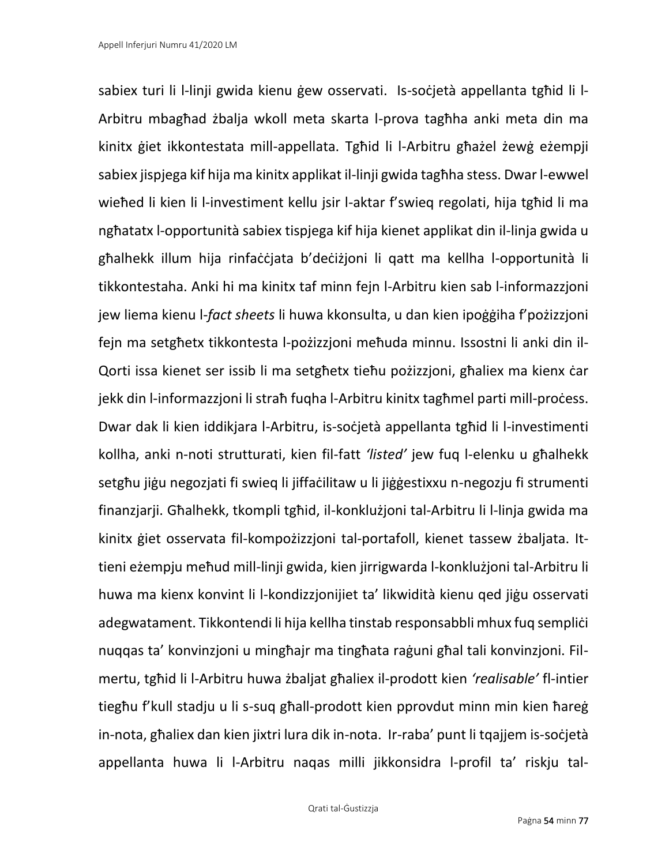sabiex turi li l-linji gwida kienu gew osservati. Is-socjetà appellanta tgħid li l-Arbitru mbagħad żbalja wkoll meta skarta l-prova tagħha anki meta din ma kinitx ġiet ikkontestata mill-appellata. Tgħid li l-Arbitru għażel żewġ eżempji sabiex jispjega kif hija ma kinitx applikat il-linji gwida tagħha stess. Dwar l-ewwel wieħed li kien li l-investiment kellu jsir l-aktar f'swieq regolati, hija tgħid li ma ngħatatx l-opportunità sabiex tispjega kif hija kienet applikat din il-linja gwida u għalhekk illum hija rinfaċċjata b'deċiżjoni li qatt ma kellha l-opportunità li tikkontestaha. Anki hi ma kinitx taf minn fejn l-Arbitru kien sab l-informazzjoni jew liema kienu l-*fact sheets* li huwa kkonsulta, u dan kien ipoġġiha f'pożizzjoni fejn ma setgħetx tikkontesta l-pożizzjoni meħuda minnu. Issostni li anki din il-Qorti issa kienet ser issib li ma setgħetx tieħu pożizzjoni, għaliex ma kienx ċar jekk din l-informazzjoni li straħ fuqha l-Arbitru kinitx tagħmel parti mill-proċess. Dwar dak li kien iddikjara l-Arbitru, is-soċjetà appellanta tgħid li l-investimenti kollha, anki n-noti strutturati, kien fil-fatt *'listed'* jew fuq l-elenku u għalhekk setgħu jiġu negozjati fi swieq li jiffaċilitaw u li jiġġestixxu n-negozju fi strumenti finanzjarji. Għalhekk, tkompli tgħid, il-konklużjoni tal-Arbitru li l-linja gwida ma kinitx ġiet osservata fil-kompożizzjoni tal-portafoll, kienet tassew żbaljata. Ittieni eżempju meħud mill-linji gwida, kien jirrigwarda l-konklużjoni tal-Arbitru li huwa ma kienx konvint li l-kondizzjonijiet ta' likwidità kienu qed jiġu osservati adegwatament. Tikkontendi li hija kellha tinstab responsabbli mhux fuq sempliċi nuqqas ta' konvinzjoni u mingħajr ma tingħata raġuni għal tali konvinzjoni. Filmertu, tgħid li l-Arbitru huwa żbaljat għaliex il-prodott kien *'realisable'* fl-intier tiegħu f'kull stadju u li s-suq għall-prodott kien pprovdut minn min kien ħareġ in-nota, għaliex dan kien jixtri lura dik in-nota. Ir-raba' punt li tqajjem is-soċjetà appellanta huwa li l-Arbitru naqas milli jikkonsidra l-profil ta' riskju tal-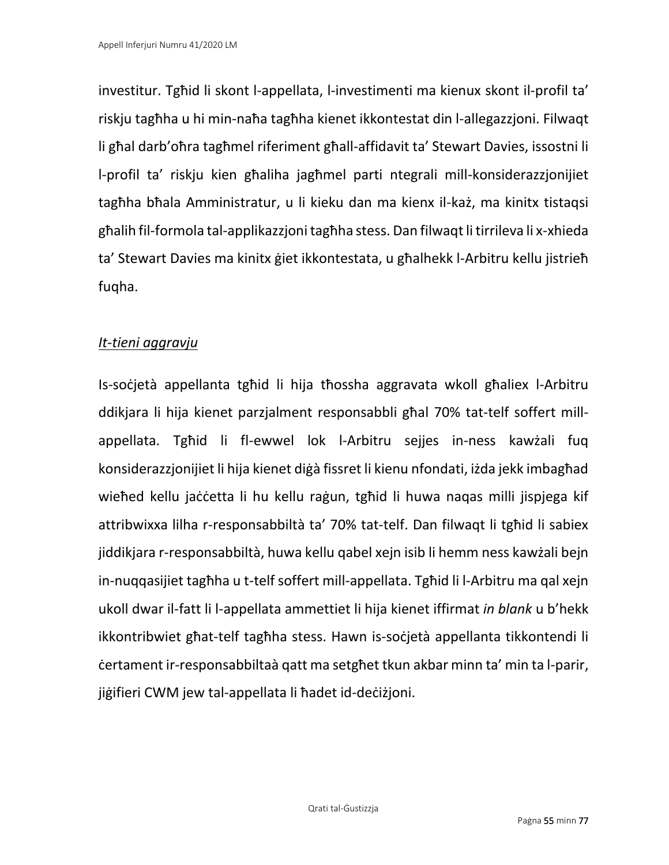investitur. Tgħid li skont l-appellata, l-investimenti ma kienux skont il-profil ta' riskju tagħha u hi min-naħa tagħha kienet ikkontestat din l-allegazzjoni. Filwaqt li għal darb'oħra tagħmel riferiment għall-affidavit ta' Stewart Davies, issostni li l-profil ta' riskju kien għaliha jagħmel parti ntegrali mill-konsiderazzjonijiet tagħha bħala Amministratur, u li kieku dan ma kienx il-każ, ma kinitx tistaqsi għalih fil-formola tal-applikazzjoni tagħha stess. Dan filwaqt li tirrileva li x-xhieda ta' Stewart Davies ma kinitx ġiet ikkontestata, u għalhekk l-Arbitru kellu jistrieħ fuqha.

### *It-tieni aggravju*

Is-soċjetà appellanta tgħid li hija tħossha aggravata wkoll għaliex l-Arbitru ddikjara li hija kienet parzjalment responsabbli għal 70% tat-telf soffert millappellata. Tgħid li fl-ewwel lok l-Arbitru sejjes in-ness kawżali fuq konsiderazzjonijiet li hija kienet diġà fissret li kienu nfondati, iżda jekk imbagħad wieħed kellu jaċċetta li hu kellu raġun, tgħid li huwa naqas milli jispjega kif attribwixxa lilha r-responsabbiltà ta' 70% tat-telf. Dan filwaqt li tgħid li sabiex jiddikjara r-responsabbiltà, huwa kellu qabel xejn isib li hemm ness kawżali bejn in-nuqqasijiet tagħha u t-telf soffert mill-appellata. Tgħid li l-Arbitru ma qal xejn ukoll dwar il-fatt li l-appellata ammettiet li hija kienet iffirmat *in blank* u b'hekk ikkontribwiet għat-telf tagħha stess. Hawn is-soċjetà appellanta tikkontendi li ċertament ir-responsabbiltaà qatt ma setgħet tkun akbar minn ta' min ta l-parir, jiġifieri CWM jew tal-appellata li ħadet id-deċiżjoni.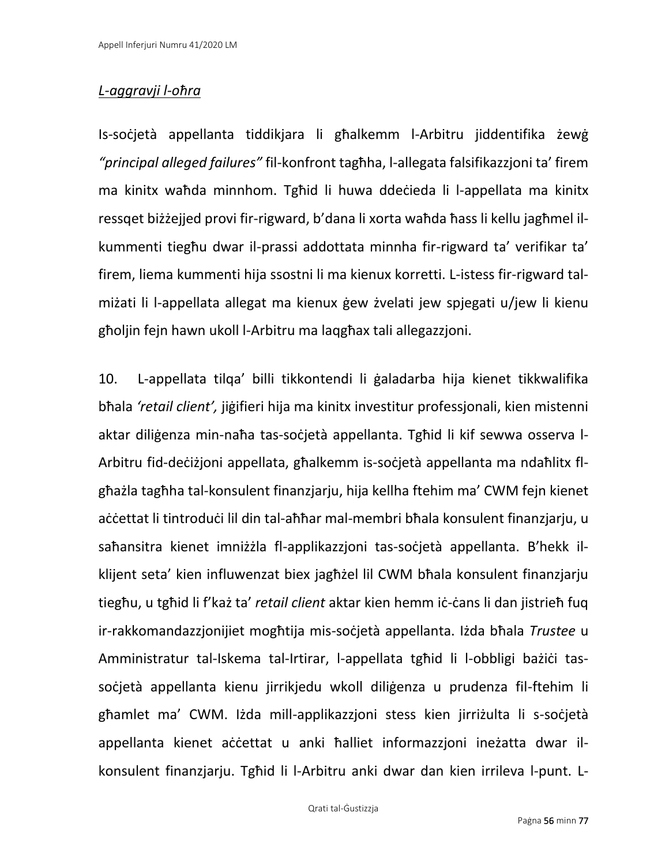## *L-aggravji l-oħra*

Is-soċjetà appellanta tiddikjara li għalkemm l-Arbitru jiddentifika żewġ *"principal alleged failures"* fil-konfront tagħha, l-allegata falsifikazzjoni ta' firem ma kinitx waħda minnhom. Tgħid li huwa ddeċieda li l-appellata ma kinitx ressqet biżżejjed provi fir-rigward, b'dana li xorta waħda ħass li kellu jagħmel ilkummenti tiegħu dwar il-prassi addottata minnha fir-rigward ta' verifikar ta' firem, liema kummenti hija ssostni li ma kienux korretti. L-istess fir-rigward talmiżati li l-appellata allegat ma kienux ġew żvelati jew spjegati u/jew li kienu għoljin fejn hawn ukoll l-Arbitru ma laqgħax tali allegazzjoni.

10. L-appellata tilqa' billi tikkontendi li ġaladarba hija kienet tikkwalifika bħala *'retail client',* jiġifieri hija ma kinitx investitur professjonali, kien mistenni aktar diliġenza min-naħa tas-soċjetà appellanta. Tgħid li kif sewwa osserva l-Arbitru fid-deċiżjoni appellata, għalkemm is-soċjetà appellanta ma ndaħlitx flgħażla tagħha tal-konsulent finanzjarju, hija kellha ftehim ma' CWM fejn kienet aċċettat li tintroduċi lil din tal-aħħar mal-membri bħala konsulent finanzjarju, u saħansitra kienet imniżżla fl-applikazzjoni tas-soċjetà appellanta. B'hekk ilklijent seta' kien influwenzat biex jagħżel lil CWM bħala konsulent finanzjarju tiegħu, u tgħid li f'każ ta' *retail client* aktar kien hemm iċ-ċans li dan jistrieħ fuq ir-rakkomandazzjonijiet mogħtija mis-soċjetà appellanta. Iżda bħala *Trustee* u Amministratur tal-Iskema tal-Irtirar, l-appellata tgħid li l-obbligi bażići tassoċjetà appellanta kienu jirrikjedu wkoll diliġenza u prudenza fil-ftehim li għamlet ma' CWM. Iżda mill-applikazzjoni stess kien jirriżulta li s-soċjetà appellanta kienet aċċettat u anki ħalliet informazzjoni ineżatta dwar ilkonsulent finanzjarju. Tgħid li l-Arbitru anki dwar dan kien irrileva l-punt. L-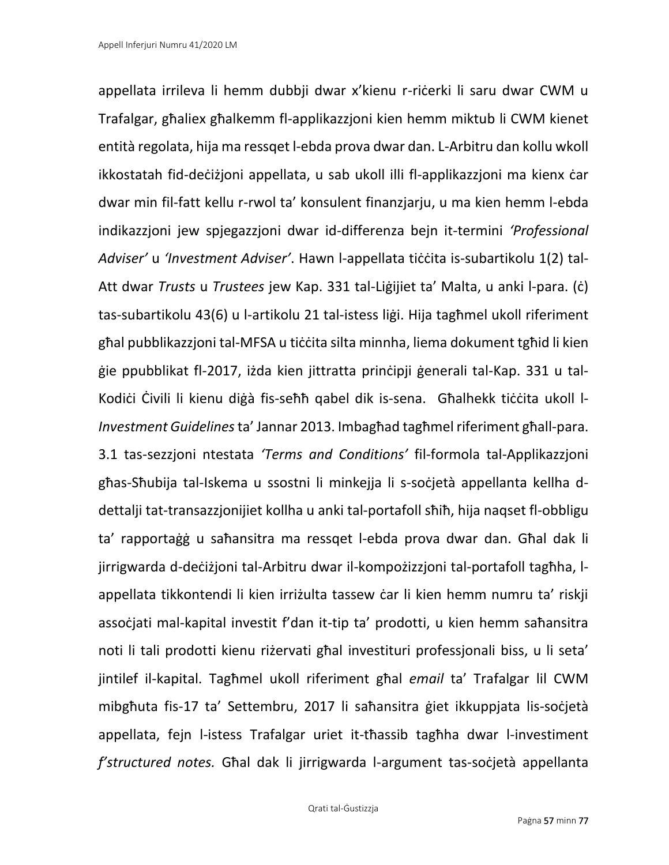appellata irrileva li hemm dubbji dwar x'kienu r-riċerki li saru dwar CWM u Trafalgar, għaliex għalkemm fl-applikazzjoni kien hemm miktub li CWM kienet entità regolata, hija ma ressqet l-ebda prova dwar dan. L-Arbitru dan kollu wkoll ikkostatah fid-deċiżjoni appellata, u sab ukoll illi fl-applikazzjoni ma kienx ċar dwar min fil-fatt kellu r-rwol ta' konsulent finanzjarju, u ma kien hemm l-ebda indikazzjoni jew spjegazzjoni dwar id-differenza bejn it-termini *'Professional Adviser'* u *'Investment Adviser'*. Hawn l-appellata tiċċita is-subartikolu 1(2) tal-Att dwar *Trusts* u *Trustees* jew Kap. 331 tal-Liġijiet ta' Malta, u anki l-para. (ċ) tas-subartikolu 43(6) u l-artikolu 21 tal-istess liġi. Hija tagħmel ukoll riferiment għal pubblikazzjoni tal-MFSA u tiċċita silta minnha, liema dokument tgħid li kien ġie ppubblikat fl-2017, iżda kien jittratta prinċipji ġenerali tal-Kap. 331 u tal-Kodići Ċivili li kienu diġà fis-seħħ qabel dik is-sena. Għalhekk tiċċita ukoll l-*Investment Guidelines* ta' Jannar 2013. Imbagħad tagħmel riferiment għall-para. 3.1 tas-sezzjoni ntestata *'Terms and Conditions'* fil-formola tal-Applikazzjoni għas-Sħubija tal-Iskema u ssostni li minkejja li s-soċjetà appellanta kellha ddettalji tat-transazzjonijiet kollha u anki tal-portafoll sħiħ, hija naqset fl-obbligu ta' rapportaġġ u saħansitra ma ressqet l-ebda prova dwar dan. Għal dak li jirrigwarda d-deċiżjoni tal-Arbitru dwar il-kompożizzjoni tal-portafoll tagħha, lappellata tikkontendi li kien irriżulta tassew ċar li kien hemm numru ta' riskji assoċjati mal-kapital investit f'dan it-tip ta' prodotti, u kien hemm saħansitra noti li tali prodotti kienu riżervati għal investituri professjonali biss, u li seta' jintilef il-kapital. Tagħmel ukoll riferiment għal *email* ta' Trafalgar lil CWM mibgħuta fis-17 ta' Settembru, 2017 li saħansitra ġiet ikkuppjata lis-soċjetà appellata, fejn l-istess Trafalgar uriet it-tħassib tagħha dwar l-investiment *f'structured notes.* Għal dak li jirrigwarda l-argument tas-soċjetà appellanta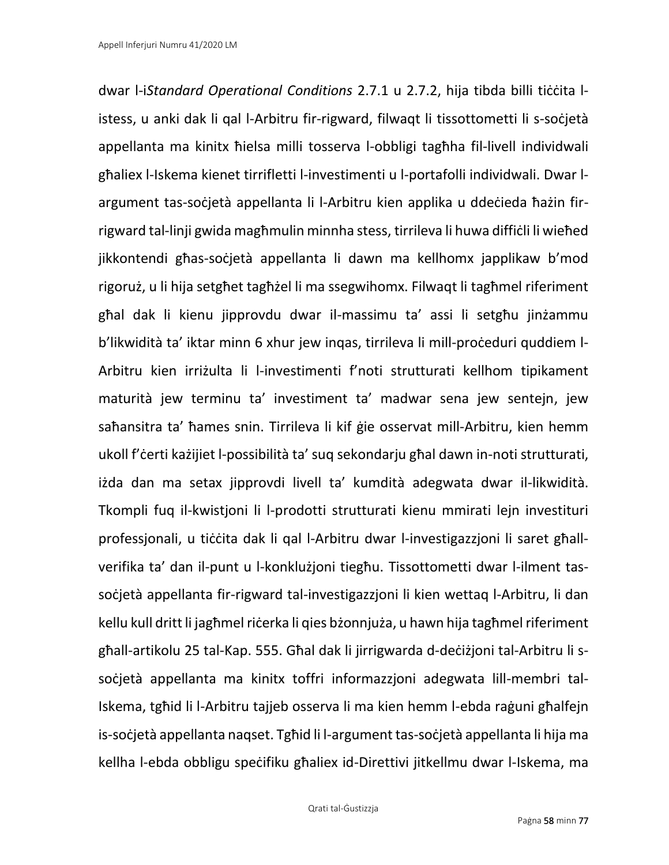dwar l-i*Standard Operational Conditions* 2.7.1 u 2.7.2, hija tibda billi tiċċita listess, u anki dak li qal l-Arbitru fir-rigward, filwaqt li tissottometti li s-soċjetà appellanta ma kinitx ħielsa milli tosserva l-obbligi tagħha fil-livell individwali għaliex l-Iskema kienet tirrifletti l-investimenti u l-portafolli individwali. Dwar largument tas-soċjetà appellanta li l-Arbitru kien applika u ddeċieda ħażin firrigward tal-linji gwida magħmulin minnha stess, tirrileva li huwa diffiċli li wieħed jikkontendi għas-soċjetà appellanta li dawn ma kellhomx japplikaw b'mod rigoruż, u li hija setgħet tagħżel li ma ssegwihomx. Filwaqt li tagħmel riferiment għal dak li kienu jipprovdu dwar il-massimu ta' assi li setgħu jinżammu b'likwidità ta' iktar minn 6 xhur jew ingas, tirrileva li mill-proceduri quddiem l-Arbitru kien irriżulta li l-investimenti f'noti strutturati kellhom tipikament maturità jew terminu ta' investiment ta' madwar sena jew sentejn, jew saħansitra ta' ħames snin. Tirrileva li kif ġie osservat mill-Arbitru, kien hemm ukoll f'ċerti każijiet l-possibilità ta' suq sekondarju għal dawn in-noti strutturati, iżda dan ma setax jipprovdi livell ta' kumdità adegwata dwar il-likwidità. Tkompli fuq il-kwistjoni li l-prodotti strutturati kienu mmirati lejn investituri professjonali, u tiċċita dak li qal l-Arbitru dwar l-investigazzjoni li saret għallverifika ta' dan il-punt u l-konklużjoni tiegħu. Tissottometti dwar l-ilment tassoċjetà appellanta fir-rigward tal-investigazzjoni li kien wettaq l-Arbitru, li dan kellu kull dritt li jagħmel riċerka li qies bżonnjuża, u hawn hija tagħmel riferiment għall-artikolu 25 tal-Kap. 555. Għal dak li jirrigwarda d-deċiżjoni tal-Arbitru li ssoċjetà appellanta ma kinitx toffri informazzjoni adegwata lill-membri tal-Iskema, tgħid li l-Arbitru tajjeb osserva li ma kien hemm l-ebda raġuni għalfejn is-soċjetà appellanta naqset. Tgħid li l-argument tas-soċjetà appellanta li hija ma kellha l-ebda obbligu speċifiku għaliex id-Direttivi jitkellmu dwar l-Iskema, ma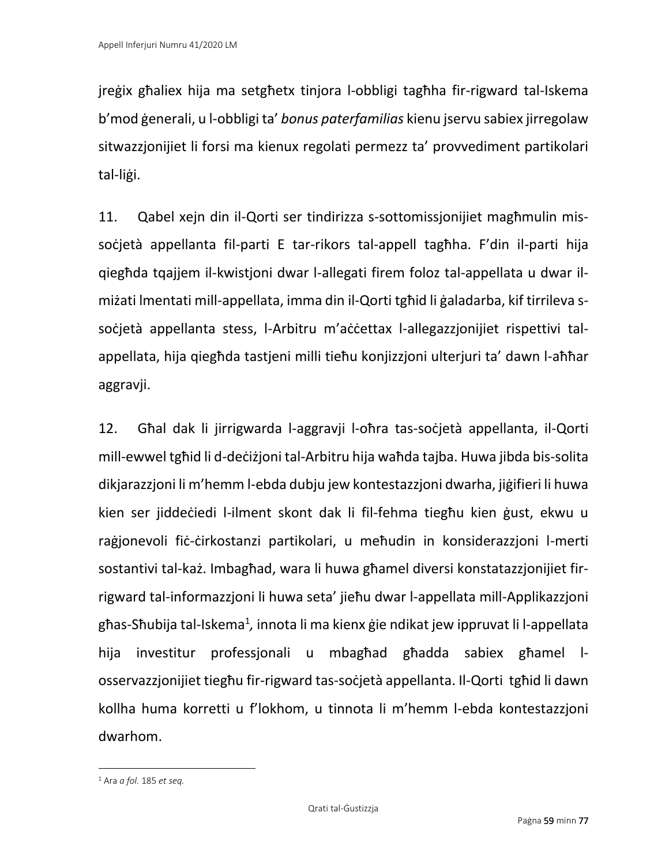jreġix għaliex hija ma setgħetx tinjora l-obbligi tagħha fir-rigward tal-Iskema b'mod ġenerali, u l-obbligi ta' *bonus paterfamilias* kienu jservu sabiex jirregolaw sitwazzjonijiet li forsi ma kienux regolati permezz ta' provvediment partikolari tal-liġi.

11. Qabel xejn din il-Qorti ser tindirizza s-sottomissjonijiet magħmulin missoċjetà appellanta fil-parti E tar-rikors tal-appell tagħha. F'din il-parti hija qiegħda tqajjem il-kwistjoni dwar l-allegati firem foloz tal-appellata u dwar ilmiżati lmentati mill-appellata, imma din il-Qorti tgħid li ġaladarba, kif tirrileva ssoċjetà appellanta stess, l-Arbitru m'aċċettax l-allegazzjonijiet rispettivi talappellata, hija qiegħda tastjeni milli tieħu konjizzjoni ulterjuri ta' dawn l-aħħar aggravji.

12. Għal dak li jirrigwarda l-aggravji l-oħra tas-soċjetà appellanta, il-Qorti mill-ewwel tgħid li d-deċiżjoni tal-Arbitru hija waħda tajba. Huwa jibda bis-solita dikjarazzjoni li m'hemm l-ebda dubju jew kontestazzjoni dwarha, jiġifieri li huwa kien ser jiddeċiedi l-ilment skont dak li fil-fehma tiegħu kien ġust, ekwu u raġjonevoli fiċ-ċirkostanzi partikolari, u meħudin in konsiderazzjoni l-merti sostantivi tal-każ. Imbagħad, wara li huwa għamel diversi konstatazzjonijiet firrigward tal-informazzjoni li huwa seta' jieħu dwar l-appellata mill-Applikazzjoni għas-Sħubija tal-Iskema<sup>1</sup>, innota li ma kienx ġie ndikat jew ippruvat li l-appellata hija investitur professjonali u mbagħad għadda sabiex għamel losservazzjonijiet tiegħu fir-rigward tas-soċjetà appellanta. Il-Qorti tgħid li dawn kollha huma korretti u f'lokhom, u tinnota li m'hemm l-ebda kontestazzjoni dwarhom.

<sup>1</sup> Ara *a fol.* 185 *et seq.*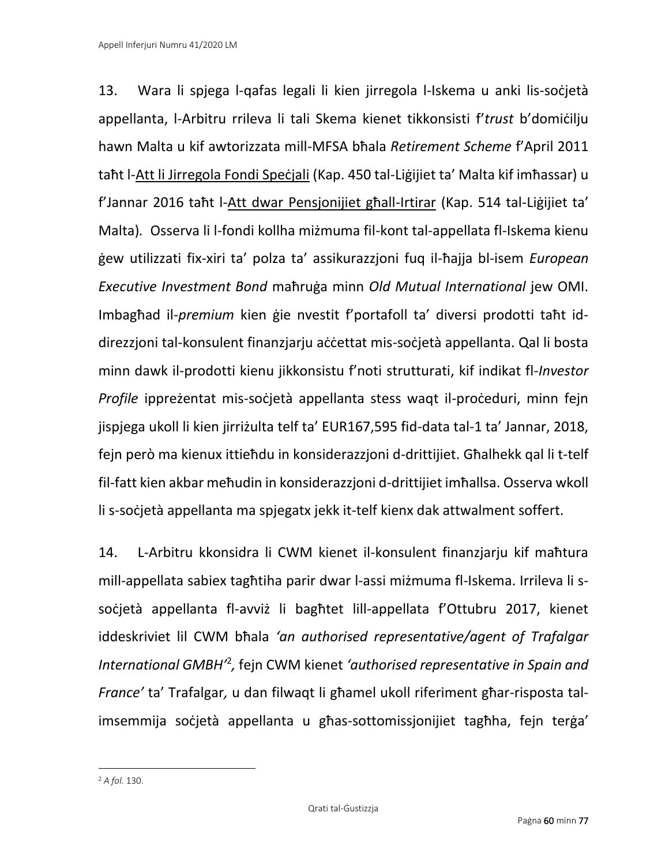13. Wara li spjega l-qafas legali li kien jirregola l-Iskema u anki lis-soċjetà appellanta, l-Arbitru rrileva li tali Skema kienet tikkonsisti f'*trust* b'domiċilju hawn Malta u kif awtorizzata mill-MFSA bħala *Retirement Scheme* f'April 2011 taħt l-Att li Jirregola Fondi Speċjali (Kap. 450 tal-Liġijiet ta' Malta kif imħassar) u f'Jannar 2016 taħt l-Att dwar Pensjonijiet għall-Irtirar (Kap. 514 tal-Liġijiet ta' Malta)*.* Osserva li l-fondi kollha miżmuma fil-kont tal-appellata fl-Iskema kienu ġew utilizzati fix-xiri ta' polza ta' assikurazzjoni fuq il-ħajja bl-isem *European Executive Investment Bond* maħruġa minn *Old Mutual International* jew OMI. Imbagħad il-*premium* kien ġie nvestit f'portafoll ta' diversi prodotti taħt iddirezzjoni tal-konsulent finanzjarju aċċettat mis-soċjetà appellanta. Qal li bosta minn dawk il-prodotti kienu jikkonsistu f'noti strutturati, kif indikat fl-*Investor Profile* ippreżentat mis-soċjetà appellanta stess waqt il-proċeduri, minn fejn jispjega ukoll li kien jirriżulta telf ta' EUR167,595 fid-data tal-1 ta' Jannar, 2018, fejn perὸ ma kienux ittieħdu in konsiderazzjoni d-drittijiet. Għalhekk qal li t-telf fil-fatt kien akbar meħudin in konsiderazzjoni d-drittijiet imħallsa. Osserva wkoll li s-soċjetà appellanta ma spjegatx jekk it-telf kienx dak attwalment soffert.

14. L-Arbitru kkonsidra li CWM kienet il-konsulent finanzjarju kif maħtura mill-appellata sabiex tagħtiha parir dwar l-assi miżmuma fl-Iskema. Irrileva li ssocietà appellanta fl-avviz li bagħtet lill-appellata f'Ottubru 2017, kienet iddeskriviet lil CWM bħala *'an authorised representative/agent of Trafalgar International GMBH'*<sup>2</sup> *,* fejn CWM kienet *'authorised representative in Spain and France'* ta' Trafalgar*,* u dan filwaqt li għamel ukoll riferiment għar-risposta talimsemmija soċjetà appellanta u għas-sottomissjonijiet tagħha, fejn terġa'

<sup>2</sup> *A fol.* 130.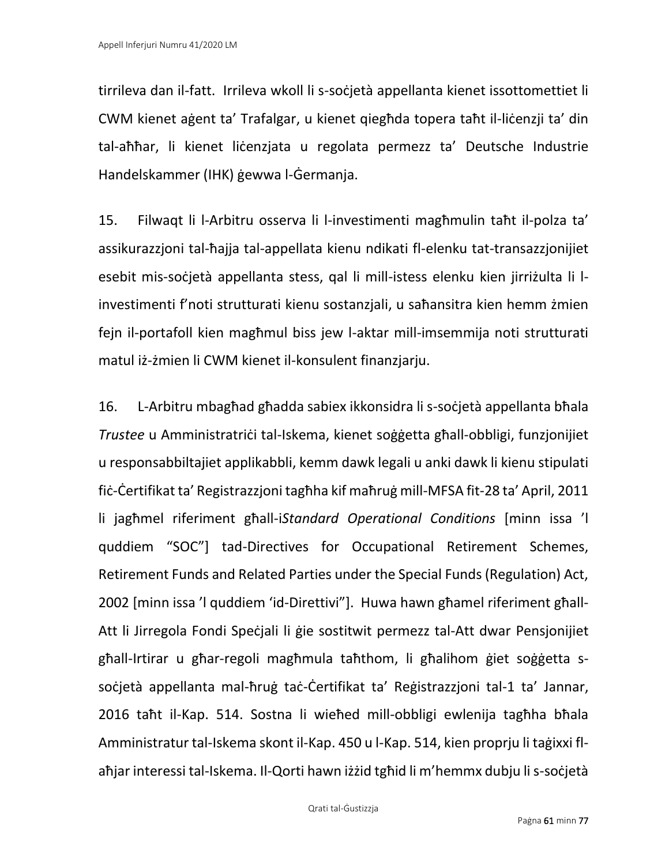tirrileva dan il-fatt. Irrileva wkoll li s-soċjetà appellanta kienet issottomettiet li CWM kienet aġent ta' Trafalgar, u kienet qiegħda topera taħt il-liċenzji ta' din tal-aħħar, li kienet liċenzjata u regolata permezz ta' Deutsche Industrie Handelskammer (IHK) ġewwa l-Ġermanja.

15. Filwaqt li l-Arbitru osserva li l-investimenti magħmulin taħt il-polza ta' assikurazzjoni tal-ħajja tal-appellata kienu ndikati fl-elenku tat-transazzjonijiet esebit mis-soċjetà appellanta stess, qal li mill-istess elenku kien jirriżulta li linvestimenti f'noti strutturati kienu sostanzjali, u saħansitra kien hemm żmien fejn il-portafoll kien magħmul biss jew l-aktar mill-imsemmija noti strutturati matul iż-żmien li CWM kienet il-konsulent finanzjarju.

16. L-Arbitru mbagħad għadda sabiex ikkonsidra li s-soċjetà appellanta bħala *Trustee* u Amministratriċi tal-Iskema, kienet soġġetta għall-obbligi, funzjonijiet u responsabbiltajiet applikabbli, kemm dawk legali u anki dawk li kienu stipulati fiċ-Ċertifikat ta' Registrazzjoni tagħha kif maħruġ mill-MFSA fit-28 ta' April, 2011 li jagħmel riferiment għall-i*Standard Operational Conditions* [minn issa 'l quddiem "SOC"] tad-Directives for Occupational Retirement Schemes, Retirement Funds and Related Parties under the Special Funds (Regulation) Act, 2002 [minn issa 'l quddiem 'id-Direttivi"]. Huwa hawn għamel riferiment għall-Att li Jirregola Fondi Speċjali li ġie sostitwit permezz tal-Att dwar Pensjonijiet għall-Irtirar u għar-regoli magħmula taħthom, li għalihom ġiet soġġetta ssoċjetà appellanta mal-ħruġ taċ-Ċertifikat ta' Reġistrazzjoni tal-1 ta' Jannar, 2016 taħt il-Kap. 514. Sostna li wieħed mill-obbligi ewlenija tagħha bħala Amministratur tal-Iskema skont il-Kap. 450 u l-Kap. 514, kien proprju li taġixxi flaħjar interessi tal-Iskema. Il-Qorti hawn iżżid tgħid li m'hemmx dubju li s-soċjetà

Qrati tal-Ġustizzja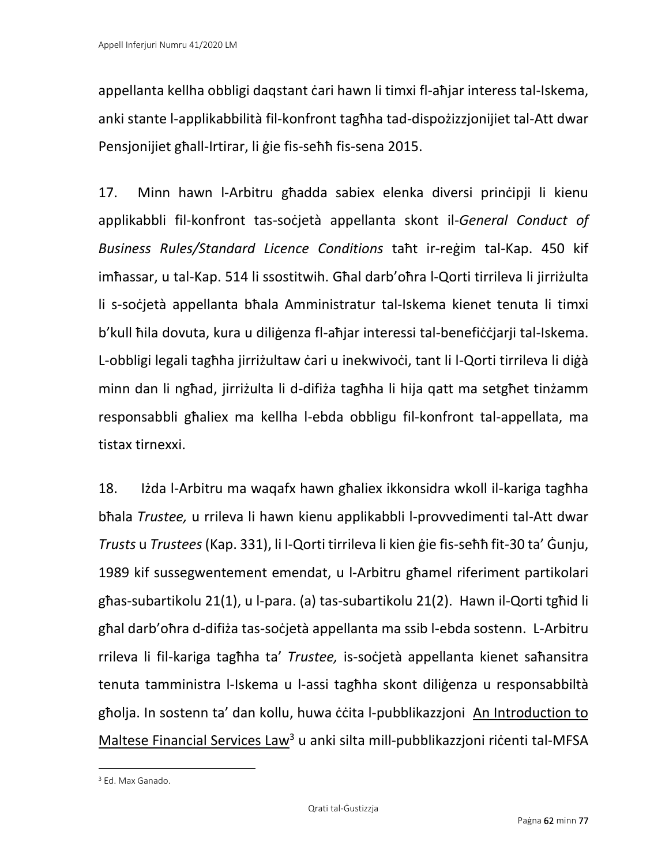appellanta kellha obbligi daqstant ċari hawn li timxi fl-aħjar interess tal-Iskema, anki stante l-applikabbilità fil-konfront tagħha tad-dispożizzjonijiet tal-Att dwar Pensjonijiet għall-Irtirar, li ġie fis-seħħ fis-sena 2015.

17. Minn hawn l-Arbitru għadda sabiex elenka diversi prinċipji li kienu applikabbli fil-konfront tas-soċjetà appellanta skont il-*General Conduct of Business Rules/Standard Licence Conditions* taħt ir-reġim tal-Kap. 450 kif imħassar, u tal-Kap. 514 li ssostitwih. Għal darb'oħra l-Qorti tirrileva li jirriżulta li s-soċjetà appellanta bħala Amministratur tal-Iskema kienet tenuta li timxi b'kull ħila dovuta, kura u diliġenza fl-aħjar interessi tal-benefiċċjarji tal-Iskema. L-obbligi legali tagħha jirriżultaw ċari u inekwivoċi, tant li l-Qorti tirrileva li diġà minn dan li ngħad, jirriżulta li d-difiża tagħha li hija qatt ma setgħet tinżamm responsabbli għaliex ma kellha l-ebda obbligu fil-konfront tal-appellata, ma tistax tirnexxi.

18. Iżda l-Arbitru ma waqafx hawn għaliex ikkonsidra wkoll il-kariga tagħha bħala *Trustee,* u rrileva li hawn kienu applikabbli l-provvedimenti tal-Att dwar *Trusts* u *Trustees* (Kap. 331), li l-Qorti tirrileva li kien ġie fis-seħħ fit-30 ta' Ġunju, 1989 kif sussegwentement emendat, u l-Arbitru għamel riferiment partikolari għas-subartikolu 21(1), u l-para. (a) tas-subartikolu 21(2). Hawn il-Qorti tgħid li għal darb'oħra d-difiża tas-soċjetà appellanta ma ssib l-ebda sostenn. L-Arbitru rrileva li fil-kariga tagħha ta' *Trustee,* is-soċjetà appellanta kienet saħansitra tenuta tamministra l-Iskema u l-assi tagħha skont diliġenza u responsabbiltà għolja. In sostenn ta' dan kollu, huwa ċċita l-pubblikazzjoni An Introduction to Maltese Financial Services Law<sup>3</sup> u anki silta mill-pubblikazzjoni riċenti tal-MFSA

<sup>3</sup> Ed. Max Ganado.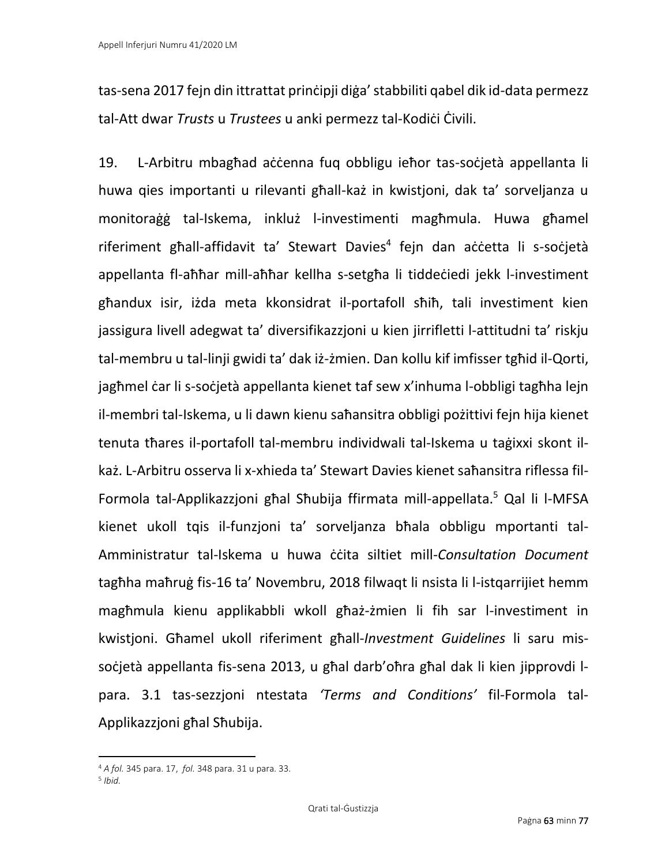tas-sena 2017 fejn din ittrattat prinċipji diġa' stabbiliti qabel dik id-data permezz tal-Att dwar *Trusts* u *Trustees* u anki permezz tal-Kodiċi Ċivili.

19. L-Arbitru mbagħad aċċenna fuq obbligu ieħor tas-soċjetà appellanta li huwa qies importanti u rilevanti għall-każ in kwistjoni, dak ta' sorveljanza u monitoraġġ tal-Iskema, inkluż l-investimenti magħmula. Huwa għamel riferiment għall-affidavit ta' Stewart Davies<sup>4</sup> fejn dan aċċetta li s-soċjetà appellanta fl-aħħar mill-aħħar kellha s-setgħa li tiddeċiedi jekk l-investiment għandux isir, iżda meta kkonsidrat il-portafoll sħiħ, tali investiment kien jassigura livell adegwat ta' diversifikazzjoni u kien jirrifletti l-attitudni ta' riskju tal-membru u tal-linji gwidi ta' dak iż-żmien. Dan kollu kif imfisser tgħid il-Qorti, jagħmel ċar li s-soċjetà appellanta kienet taf sew x'inhuma l-obbligi tagħha lejn il-membri tal-Iskema, u li dawn kienu saħansitra obbligi pożittivi fejn hija kienet tenuta tħares il-portafoll tal-membru individwali tal-Iskema u taġixxi skont ilkaż. L-Arbitru osserva li x-xhieda ta' Stewart Davies kienet saħansitra riflessa fil-Formola tal-Applikazzjoni għal Sħubija ffirmata mill-appellata. <sup>5</sup> Qal li l-MFSA kienet ukoll tqis il-funzjoni ta' sorveljanza bħala obbligu mportanti tal-Amministratur tal-Iskema u huwa ċċita siltiet mill-*Consultation Document*  tagħha maħruġ fis-16 ta' Novembru, 2018 filwaqt li nsista li l-istqarrijiet hemm magħmula kienu applikabbli wkoll għaż-żmien li fih sar l-investiment in kwistjoni. Għamel ukoll riferiment għall-*Investment Guidelines* li saru missoċjetà appellanta fis-sena 2013, u għal darb'oħra għal dak li kien jipprovdi lpara. 3.1 tas-sezzjoni ntestata *'Terms and Conditions'* fil-Formola tal-Applikazzjoni għal Sħubija.

<sup>4</sup> *A fol.* 345 para. 17, *fol.* 348 para. 31 u para. 33.

<sup>5</sup> *Ibid.*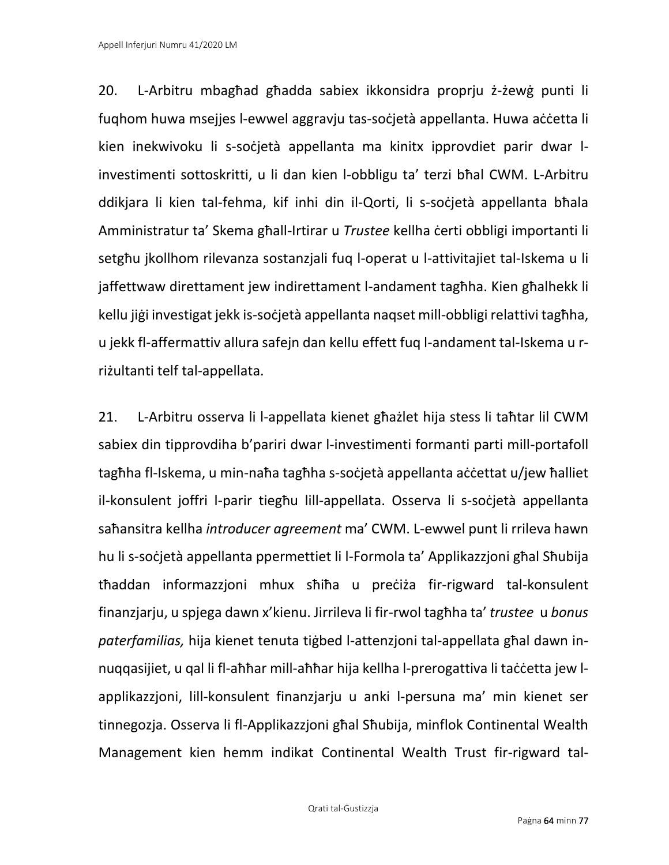20. L-Arbitru mbagħad għadda sabiex ikkonsidra proprju ż-żewġ punti li fuqhom huwa msejjes l-ewwel aggravju tas-soċjetà appellanta. Huwa aċċetta li kien inekwivoku li s-soċjetà appellanta ma kinitx ipprovdiet parir dwar linvestimenti sottoskritti, u li dan kien l-obbligu ta' terzi bħal CWM. L-Arbitru ddikjara li kien tal-fehma, kif inhi din il-Qorti, li s-soċjetà appellanta bħala Amministratur ta' Skema għall-Irtirar u *Trustee* kellha ċerti obbligi importanti li setgħu jkollhom rilevanza sostanzjali fuq l-operat u l-attivitajiet tal-Iskema u li jaffettwaw direttament jew indirettament l-andament tagħha. Kien għalhekk li kellu jiġi investigat jekk is-soċjetà appellanta naqset mill-obbligi relattivi tagħha, u jekk fl-affermattiv allura safejn dan kellu effett fuq l-andament tal-Iskema u rriżultanti telf tal-appellata.

21. L-Arbitru osserva li l-appellata kienet għażlet hija stess li taħtar lil CWM sabiex din tipprovdiha b'pariri dwar l-investimenti formanti parti mill-portafoll tagħha fl-Iskema, u min-naħa tagħha s-soċjetà appellanta aċċettat u/jew ħalliet il-konsulent joffri l-parir tiegħu lill-appellata. Osserva li s-soċjetà appellanta saħansitra kellha *introducer agreement* ma' CWM. L-ewwel punt li rrileva hawn hu li s-soċjetà appellanta ppermettiet li l-Formola ta' Applikazzjoni għal Sħubija tħaddan informazzjoni mhux sħiħa u preċiża fir-rigward tal-konsulent finanzjarju, u spjega dawn x'kienu. Jirrileva li fir-rwol tagħha ta' *trustee* u *bonus paterfamilias,* hija kienet tenuta tiġbed l-attenzjoni tal-appellata għal dawn innuqqasijiet, u qal li fl-aħħar mill-aħħar hija kellha l-prerogattiva li taċċetta jew lapplikazzjoni, lill-konsulent finanzjarju u anki l-persuna ma' min kienet ser tinnegozja. Osserva li fl-Applikazzjoni għal Sħubija, minflok Continental Wealth Management kien hemm indikat Continental Wealth Trust fir-rigward tal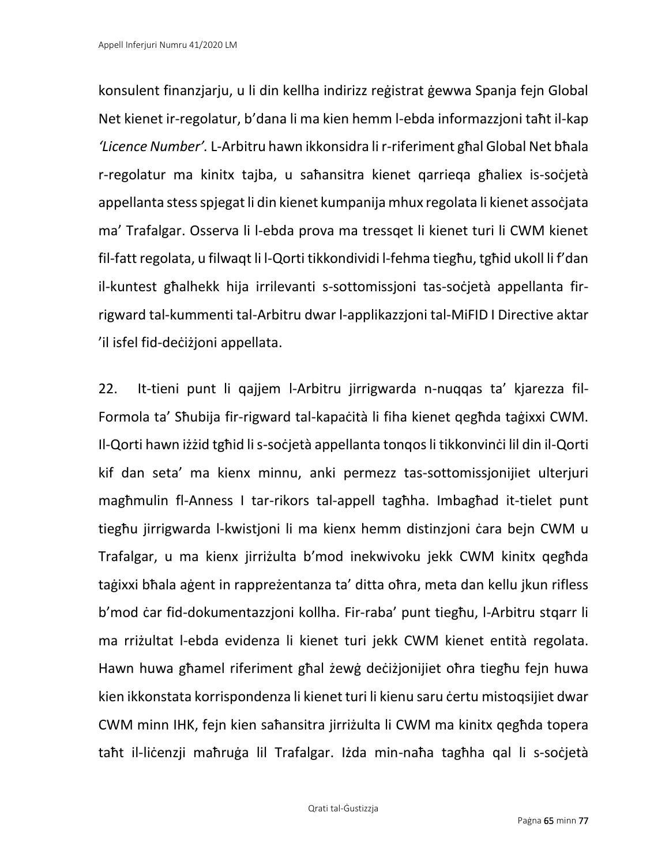konsulent finanzjarju, u li din kellha indirizz reġistrat ġewwa Spanja fejn Global Net kienet ir-regolatur, b'dana li ma kien hemm l-ebda informazzjoni taħt il-kap *'Licence Number'.* L-Arbitru hawn ikkonsidra li r-riferiment għal Global Net bħala r-regolatur ma kinitx tajba, u saħansitra kienet qarrieqa għaliex is-soċjetà appellanta stess spjegat li din kienet kumpanija mhux regolata li kienet assoċjata ma' Trafalgar. Osserva li l-ebda prova ma tressqet li kienet turi li CWM kienet fil-fatt regolata, u filwaqt li l-Qorti tikkondividi l-fehma tiegħu, tgħid ukoll li f'dan il-kuntest għalhekk hija irrilevanti s-sottomissjoni tas-soċjetà appellanta firrigward tal-kummenti tal-Arbitru dwar l-applikazzjoni tal-MiFID I Directive aktar 'il isfel fid-deċiżjoni appellata.

22. It-tieni punt li qajjem l-Arbitru jirrigwarda n-nuqqas ta' kjarezza fil-Formola ta' Sħubija fir-rigward tal-kapaċità li fiha kienet qegħda taġixxi CWM. Il-Qorti hawn iżżid tgħid li s-soċjetà appellanta tonqos li tikkonvinċi lil din il-Qorti kif dan seta' ma kienx minnu, anki permezz tas-sottomissjonijiet ulterjuri magħmulin fl-Anness I tar-rikors tal-appell tagħha. Imbagħad it-tielet punt tiegħu jirrigwarda l-kwistjoni li ma kienx hemm distinzjoni ċara bejn CWM u Trafalgar, u ma kienx jirriżulta b'mod inekwivoku jekk CWM kinitx qegħda taġixxi bħala aġent in rappreżentanza ta' ditta oħra, meta dan kellu jkun rifless b'mod ċar fid-dokumentazzjoni kollha. Fir-raba' punt tiegħu, l-Arbitru stqarr li ma rriżultat l-ebda evidenza li kienet turi jekk CWM kienet entità regolata. Hawn huwa għamel riferiment għal żewġ deċiżjonijiet oħra tiegħu fejn huwa kien ikkonstata korrispondenza li kienet turi li kienu saru certu mistoqsijiet dwar CWM minn IHK, fejn kien saħansitra jirriżulta li CWM ma kinitx qegħda topera taħt il-liċenzji maħruġa lil Trafalgar. Iżda min-naħa tagħha qal li s-soċjetà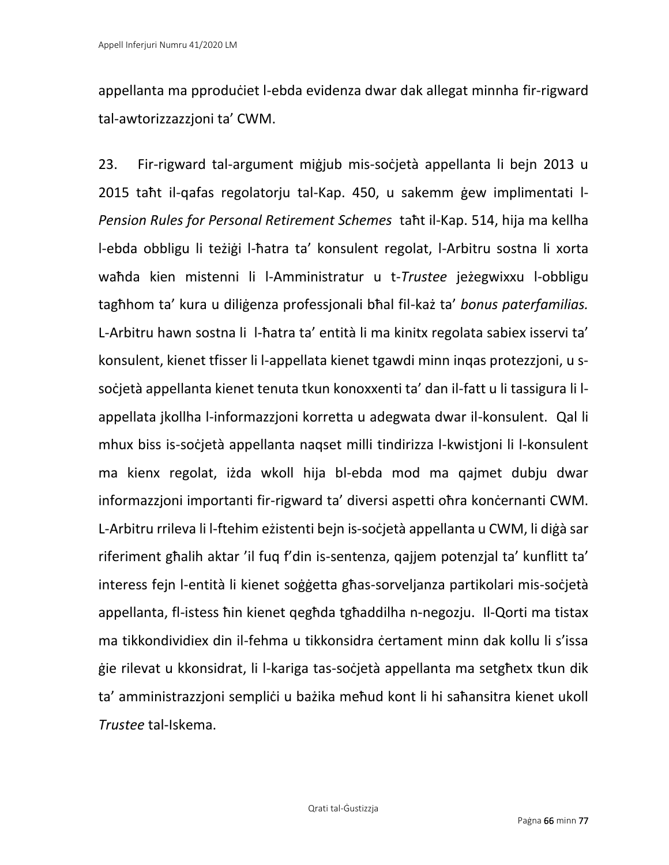appellanta ma pproduċiet l-ebda evidenza dwar dak allegat minnha fir-rigward tal-awtorizzazzjoni ta' CWM.

23. Fir-rigward tal-argument miġjub mis-soċjetà appellanta li bejn 2013 u 2015 taħt il-qafas regolatorju tal-Kap. 450, u sakemm ġew implimentati l-*Pension Rules for Personal Retirement Schemes* taħt il-Kap. 514, hija ma kellha l-ebda obbligu li teżiġi l-ħatra ta' konsulent regolat, l-Arbitru sostna li xorta waħda kien mistenni li l-Amministratur u t-*Trustee* jeżegwixxu l-obbligu tagħhom ta' kura u diliġenza professjonali bħal fil-każ ta' *bonus paterfamilias.*  L-Arbitru hawn sostna li l-ħatra ta' entità li ma kinitx regolata sabiex isservi ta' konsulent, kienet tfisser li l-appellata kienet tgawdi minn inqas protezzjoni, u ssoċjetà appellanta kienet tenuta tkun konoxxenti ta' dan il-fatt u li tassigura li lappellata jkollha l-informazzjoni korretta u adegwata dwar il-konsulent. Qal li mhux biss is-soċjetà appellanta naqset milli tindirizza l-kwistjoni li l-konsulent ma kienx regolat, iżda wkoll hija bl-ebda mod ma qajmet dubju dwar informazzjoni importanti fir-rigward ta' diversi aspetti ohra konċernanti CWM. L-Arbitru rrileva li l-ftehim eżistenti bejn is-soċjetà appellanta u CWM, li diġà sar riferiment għalih aktar 'il fuq f'din is-sentenza, qajjem potenzjal ta' kunflitt ta' interess fejn l-entità li kienet soġġetta għas-sorveljanza partikolari mis-soċjetà appellanta, fl-istess ħin kienet qegħda tgħaddilha n-negozju. Il-Qorti ma tistax ma tikkondividiex din il-fehma u tikkonsidra ċertament minn dak kollu li s'issa ġie rilevat u kkonsidrat, li l-kariga tas-soċjetà appellanta ma setgħetx tkun dik ta' amministrazzjoni sempliċi u bażika meħud kont li hi saħansitra kienet ukoll *Trustee* tal-Iskema.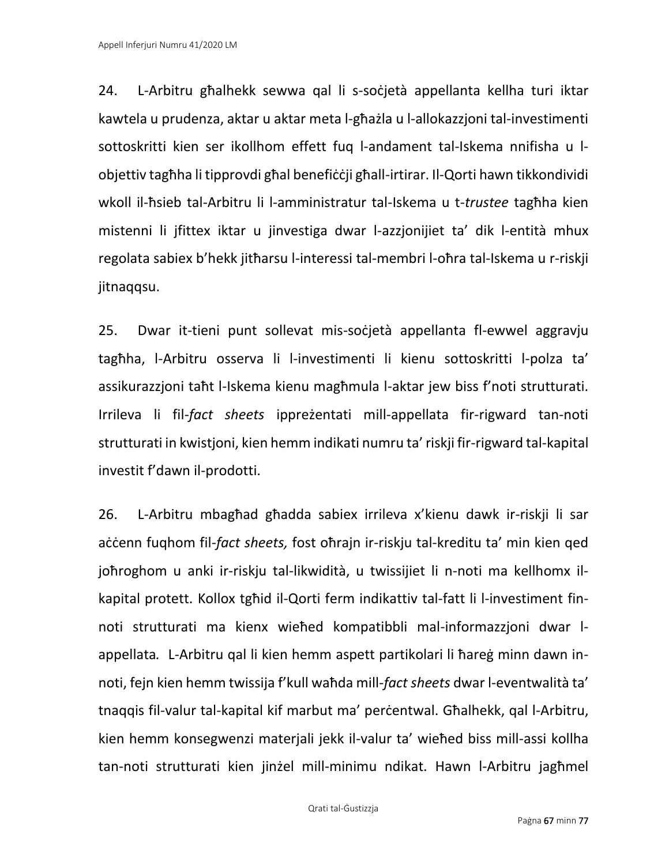24. L-Arbitru għalhekk sewwa qal li s-soċjetà appellanta kellha turi iktar kawtela u prudenza, aktar u aktar meta l-għażla u l-allokazzjoni tal-investimenti sottoskritti kien ser ikollhom effett fuq l-andament tal-Iskema nnifisha u lobjettiv tagħha li tipprovdi għal benefiċċji għall-irtirar. Il-Qorti hawn tikkondividi wkoll il-ħsieb tal-Arbitru li l-amministratur tal-Iskema u t-*trustee* tagħha kien mistenni li jfittex iktar u jinvestiga dwar l-azzjonijiet ta' dik l-entità mhux regolata sabiex b'hekk jitħarsu l-interessi tal-membri l-oħra tal-Iskema u r-riskji jitnaqqsu.

25. Dwar it-tieni punt sollevat mis-soċjetà appellanta fl-ewwel aggravju tagħha, l-Arbitru osserva li l-investimenti li kienu sottoskritti l-polza ta' assikurazzjoni taħt l-Iskema kienu magħmula l-aktar jew biss f'noti strutturati. Irrileva li fil-*fact sheets* ippreżentati mill-appellata fir-rigward tan-noti strutturati in kwistjoni, kien hemm indikati numru ta' riskji fir-rigward tal-kapital investit f'dawn il-prodotti.

26. L-Arbitru mbagħad għadda sabiex irrileva x'kienu dawk ir-riskji li sar accenn fuqhom fil-*fact sheets*, fost oħrajn ir-riskju tal-kreditu ta' min kien qed joħroghom u anki ir-riskju tal-likwidità, u twissijiet li n-noti ma kellhomx ilkapital protett. Kollox tgħid il-Qorti ferm indikattiv tal-fatt li l-investiment finnoti strutturati ma kienx wieħed kompatibbli mal-informazzjoni dwar lappellata*.* L-Arbitru qal li kien hemm aspett partikolari li ħareġ minn dawn innoti, fejn kien hemm twissija f'kull waħda mill-*fact sheets* dwar l-eventwalità ta' tnaqqis fil-valur tal-kapital kif marbut ma' perċentwal. Għalhekk, qal l-Arbitru, kien hemm konsegwenzi materjali jekk il-valur ta' wieħed biss mill-assi kollha tan-noti strutturati kien jinżel mill-minimu ndikat. Hawn l-Arbitru jagħmel

Qrati tal-Ġustizzja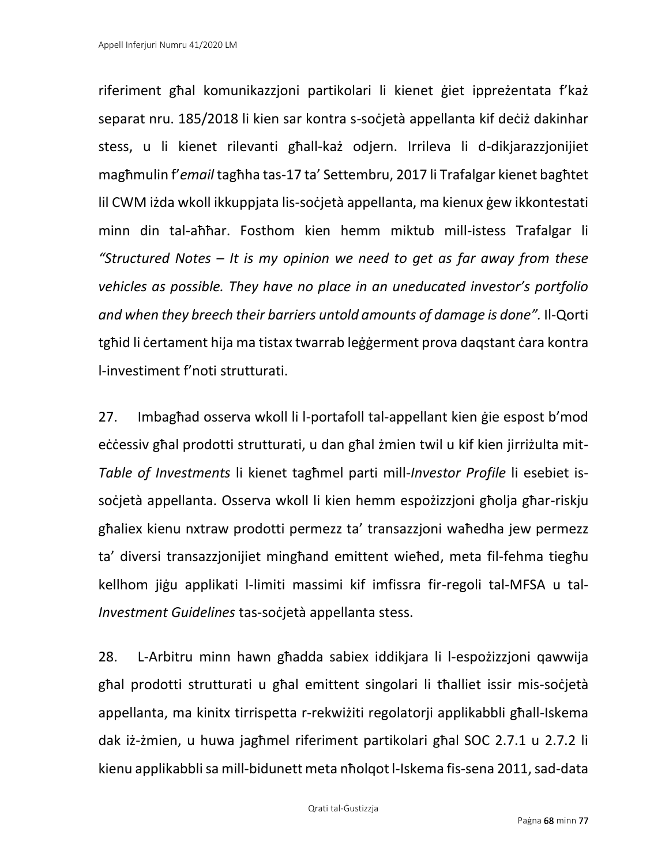riferiment għal komunikazzjoni partikolari li kienet ġiet ippreżentata f'każ separat nru. 185/2018 li kien sar kontra s-soċjetà appellanta kif deċiż dakinhar stess, u li kienet rilevanti għall-każ odjern. Irrileva li d-dikjarazzjonijiet magħmulin f'*email* tagħha tas-17 ta' Settembru, 2017 li Trafalgar kienet bagħtet lil CWM iżda wkoll ikkuppjata lis-soċjetà appellanta, ma kienux ġew ikkontestati minn din tal-aħħar. Fosthom kien hemm miktub mill-istess Trafalgar li *"Structured Notes – It is my opinion we need to get as far away from these vehicles as possible. They have no place in an uneducated investor's portfolio and when they breech their barriers untold amounts of damage is done".* Il-Qorti tgħid li ċertament hija ma tistax twarrab leġġerment prova dagstant ċara kontra l-investiment f'noti strutturati.

27. Imbagħad osserva wkoll li l-portafoll tal-appellant kien ġie espost b'mod eċċessiv għal prodotti strutturati, u dan għal żmien twil u kif kien jirriżulta mit-*Table of Investments* li kienet tagħmel parti mill-*Investor Profile* li esebiet issoċjetà appellanta. Osserva wkoll li kien hemm espożizzjoni għolja għar-riskju għaliex kienu nxtraw prodotti permezz ta' transazzjoni waħedha jew permezz ta' diversi transazzjonijiet mingħand emittent wieħed, meta fil-fehma tiegħu kellhom jiġu applikati l-limiti massimi kif imfissra fir-regoli tal-MFSA u tal-*Investment Guidelines* tas-soċjetà appellanta stess.

28. L-Arbitru minn hawn għadda sabiex iddikjara li l-espożizzjoni qawwija għal prodotti strutturati u għal emittent singolari li tħalliet issir mis-soċjetà appellanta, ma kinitx tirrispetta r-rekwiżiti regolatorji applikabbli għall-Iskema dak iż-żmien, u huwa jagħmel riferiment partikolari għal SOC 2.7.1 u 2.7.2 li kienu applikabbli sa mill-bidunett meta nħolqot l-Iskema fis-sena 2011, sad-data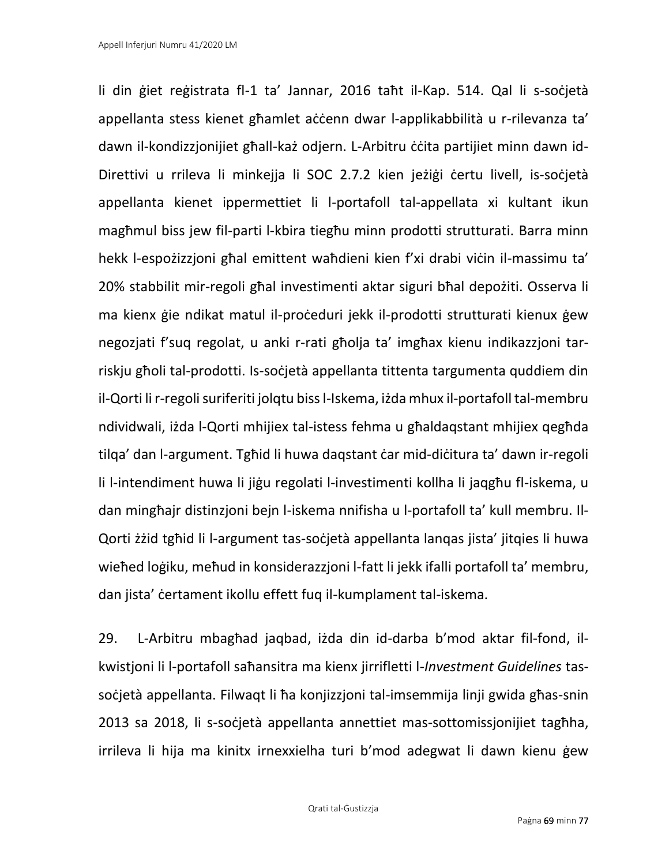li din ġiet reġistrata fl-1 ta' Jannar, 2016 taħt il-Kap. 514. Qal li s-soċjetà appellanta stess kienet għamlet aċċenn dwar l-applikabbilità u r-rilevanza ta' dawn il-kondizzjonijiet għall-każ odjern. L-Arbitru ċċita partijiet minn dawn id-Direttivi u rrileva li minkejja li SOC 2.7.2 kien jeżigi certu livell, is-socjetà appellanta kienet ippermettiet li l-portafoll tal-appellata xi kultant ikun magħmul biss jew fil-parti l-kbira tiegħu minn prodotti strutturati. Barra minn hekk l-espożizzjoni għal emittent waħdieni kien f'xi drabi viċin il-massimu ta' 20% stabbilit mir-regoli għal investimenti aktar siguri bħal depożiti. Osserva li ma kienx ġie ndikat matul il-proċeduri jekk il-prodotti strutturati kienux ġew negozjati f'suq regolat, u anki r-rati għolja ta' imgħax kienu indikazzjoni tarriskju għoli tal-prodotti. Is-soċjetà appellanta tittenta targumenta quddiem din il-Qorti li r-regoli suriferiti jolqtu biss l-Iskema, iżda mhux il-portafoll tal-membru ndividwali, iżda l-Qorti mhijiex tal-istess fehma u għaldaqstant mhijiex qegħda tilqa' dan l-argument. Tgħid li huwa daqstant ċar mid-diċitura ta' dawn ir-regoli li l-intendiment huwa li jiġu regolati l-investimenti kollha li jaqgħu fl-iskema, u dan mingħajr distinzjoni bejn l-iskema nnifisha u l-portafoll ta' kull membru. Il-Qorti żżid tgħid li l-argument tas-soċjetà appellanta lanqas jista' jitqies li huwa wieħed loġiku, meħud in konsiderazzjoni l-fatt li jekk ifalli portafoll ta' membru, dan jista' ċertament ikollu effett fuq il-kumplament tal-iskema.

29. L-Arbitru mbagħad jaqbad, iżda din id-darba b'mod aktar fil-fond, ilkwistjoni li l-portafoll saħansitra ma kienx jirrifletti l-*Investment Guidelines* tassoċjetà appellanta. Filwaqt li ħa konjizzjoni tal-imsemmija linji gwida għas-snin 2013 sa 2018, li s-soċjetà appellanta annettiet mas-sottomissjonijiet tagħha, irrileva li hija ma kinitx irnexxielha turi b'mod adegwat li dawn kienu ġew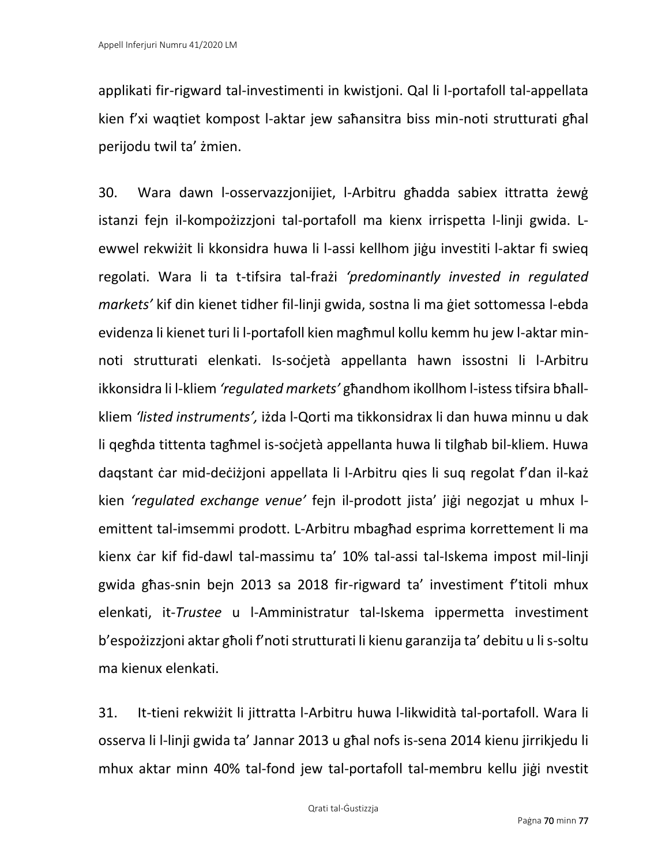applikati fir-rigward tal-investimenti in kwistjoni. Qal li l-portafoll tal-appellata kien f'xi waqtiet kompost l-aktar jew saħansitra biss min-noti strutturati għal perijodu twil ta' żmien.

30. Wara dawn l-osservazzjonijiet, l-Arbitru għadda sabiex ittratta żewġ istanzi fejn il-kompożizzjoni tal-portafoll ma kienx irrispetta l-linji gwida. Lewwel rekwiżit li kkonsidra huwa li l-assi kellhom jiġu investiti l-aktar fi swieq regolati. Wara li ta t-tifsira tal-frażi *'predominantly invested in regulated markets'* kif din kienet tidher fil-linji gwida, sostna li ma ġiet sottomessa l-ebda evidenza li kienet turi li l-portafoll kien magħmul kollu kemm hu jew l-aktar minnoti strutturati elenkati. Is-soċjetà appellanta hawn issostni li l-Arbitru ikkonsidra li l-kliem *'regulated markets'* għandhom ikollhom l-istess tifsira bħallkliem *'listed instruments',* iżda l-Qorti ma tikkonsidrax li dan huwa minnu u dak li qegħda tittenta tagħmel is-soċjetà appellanta huwa li tilgħab bil-kliem. Huwa daqstant ċar mid-deċiżjoni appellata li l-Arbitru qies li suq regolat f'dan il-każ kien *'regulated exchange venue'* fejn il-prodott jista' jiġi negozjat u mhux lemittent tal-imsemmi prodott. L-Arbitru mbagħad esprima korrettement li ma kienx ċar kif fid-dawl tal-massimu ta' 10% tal-assi tal-Iskema impost mil-linji gwida għas-snin bejn 2013 sa 2018 fir-rigward ta' investiment f'titoli mhux elenkati, it-*Trustee* u l-Amministratur tal-Iskema ippermetta investiment b'espożizzjoni aktar għoli f'noti strutturati li kienu garanzija ta' debitu u li s-soltu ma kienux elenkati.

31. It-tieni rekwiżit li jittratta l-Arbitru huwa l-likwidità tal-portafoll. Wara li osserva li l-linji gwida ta' Jannar 2013 u għal nofs is-sena 2014 kienu jirrikjedu li mhux aktar minn 40% tal-fond jew tal-portafoll tal-membru kellu jiġi nvestit

Qrati tal-Ġustizzja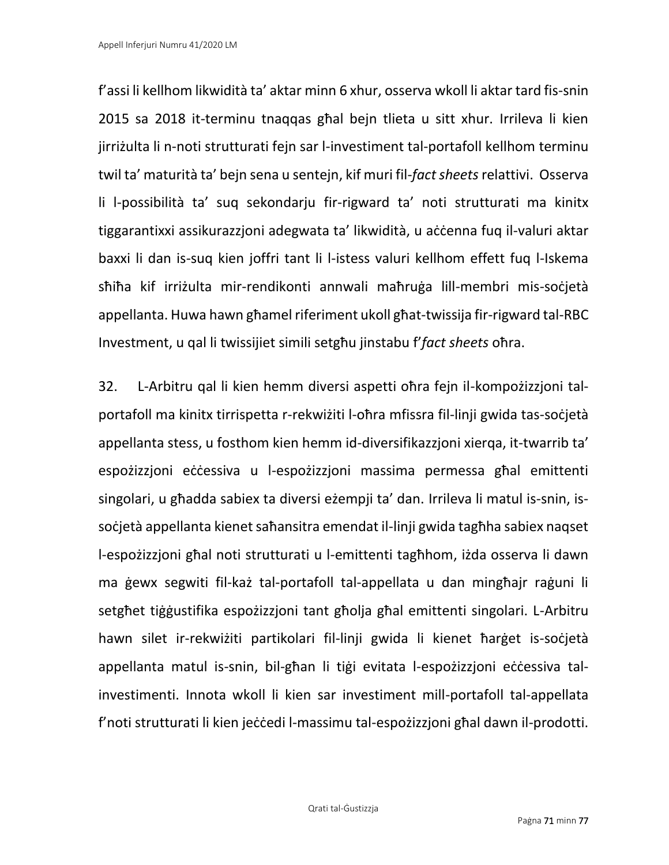f'assi li kellhom likwidità ta' aktar minn 6 xhur, osserva wkoll li aktar tard fis-snin 2015 sa 2018 it-terminu tnaqqas għal bejn tlieta u sitt xhur. Irrileva li kien jirriżulta li n-noti strutturati fejn sar l-investiment tal-portafoll kellhom terminu twil ta' maturità ta' bejn sena u sentejn, kif muri fil-*fact sheets* relattivi. Osserva li l-possibilità ta' suq sekondarju fir-rigward ta' noti strutturati ma kinitx tiggarantixxi assikurazzjoni adegwata ta' likwidità, u aċċenna fuq il-valuri aktar baxxi li dan is-suq kien joffri tant li l-istess valuri kellhom effett fuq l-Iskema sħiħa kif irriżulta mir-rendikonti annwali maħruġa lill-membri mis-soċjetà appellanta. Huwa hawn għamel riferiment ukoll għat-twissija fir-rigward tal-RBC Investment, u qal li twissijiet simili setgħu jinstabu f'*fact sheets* oħra.

32. L-Arbitru qal li kien hemm diversi aspetti oħra fejn il-kompożizzjoni talportafoll ma kinitx tirrispetta r-rekwiżiti l-oħra mfissra fil-linji gwida tas-soċjetà appellanta stess, u fosthom kien hemm id-diversifikazzjoni xierqa, it-twarrib ta' espożizzjoni eċċessiva u l-espożizzjoni massima permessa għal emittenti singolari, u għadda sabiex ta diversi eżempji ta' dan. Irrileva li matul is-snin, issoċjetà appellanta kienet saħansitra emendat il-linji gwida tagħha sabiex naqset l-espożizzjoni għal noti strutturati u l-emittenti tagħhom, iżda osserva li dawn ma ġewx segwiti fil-każ tal-portafoll tal-appellata u dan mingħajr raġuni li setgħet tiġġustifika espożizzjoni tant għolja għal emittenti singolari. L-Arbitru hawn silet ir-rekwiżiti partikolari fil-linji gwida li kienet ħarġet is-soċjetà appellanta matul is-snin, bil-għan li tiġi evitata l-espożizzjoni eċċessiva talinvestimenti. Innota wkoll li kien sar investiment mill-portafoll tal-appellata f'noti strutturati li kien jeċċedi l-massimu tal-espożizzjoni għal dawn il-prodotti.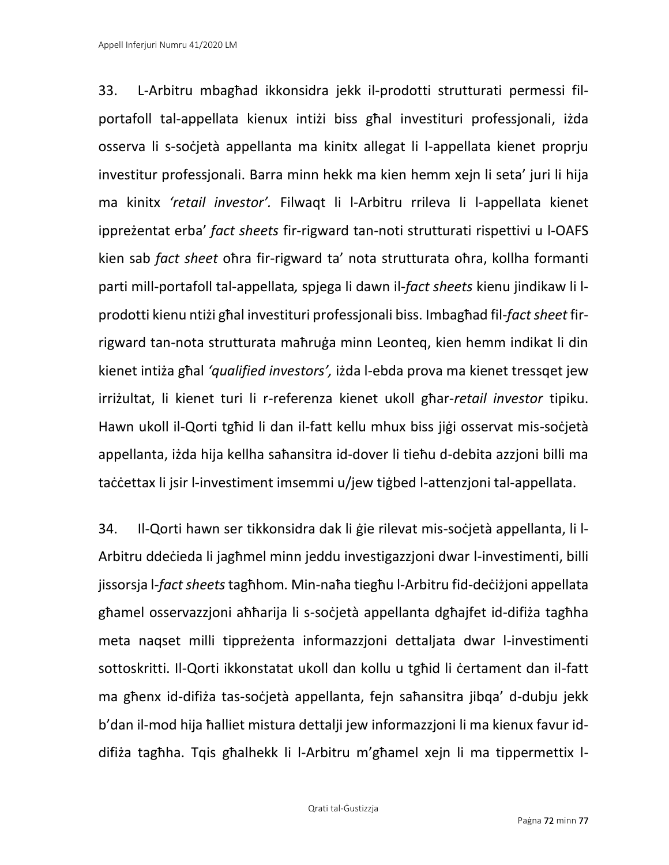33. L-Arbitru mbagħad ikkonsidra jekk il-prodotti strutturati permessi filportafoll tal-appellata kienux intiżi biss għal investituri professjonali, iżda osserva li s-soċjetà appellanta ma kinitx allegat li l-appellata kienet proprju investitur professjonali. Barra minn hekk ma kien hemm xejn li seta' juri li hija ma kinitx *'retail investor'.* Filwaqt li l-Arbitru rrileva li l-appellata kienet ippreżentat erba' *fact sheets* fir-rigward tan-noti strutturati rispettivi u l-OAFS kien sab *fact sheet* oħra fir-rigward ta' nota strutturata oħra, kollha formanti parti mill-portafoll tal-appellata*,* spjega li dawn il-*fact sheets* kienu jindikaw li lprodotti kienu ntiżi għal investituri professjonali biss. Imbagħad fil-*fact sheet* firrigward tan-nota strutturata maħruġa minn Leonteq, kien hemm indikat li din kienet intiża għal *'qualified investors',* iżda l-ebda prova ma kienet tressqet jew irriżultat, li kienet turi li r-referenza kienet ukoll għar-*retail investor* tipiku. Hawn ukoll il-Qorti tgħid li dan il-fatt kellu mhux biss jiġi osservat mis-soċjetà appellanta, iżda hija kellha saħansitra id-dover li tieħu d-debita azzjoni billi ma taċċettax li jsir l-investiment imsemmi u/jew tiġbed l-attenzjoni tal-appellata.

34. Il-Qorti hawn ser tikkonsidra dak li ġie rilevat mis-soċjetà appellanta, li l-Arbitru ddeċieda li jagħmel minn jeddu investigazzjoni dwar l-investimenti, billi jissorsja l-*fact sheets* tagħhom*.* Min-naħa tiegħu l-Arbitru fid-deċiżjoni appellata għamel osservazzjoni aħħarija li s-soċjetà appellanta dgħajfet id-difiża tagħha meta naqset milli tippreżenta informazzjoni dettaljata dwar l-investimenti sottoskritti. Il-Qorti ikkonstatat ukoll dan kollu u tgħid li ċertament dan il-fatt ma għenx id-difiża tas-soċjetà appellanta, fejn saħansitra jibqa' d-dubju jekk b'dan il-mod hija ħalliet mistura dettalji jew informazzjoni li ma kienux favur iddifiża tagħha. Tqis għalhekk li l-Arbitru m'għamel xejn li ma tippermettix l-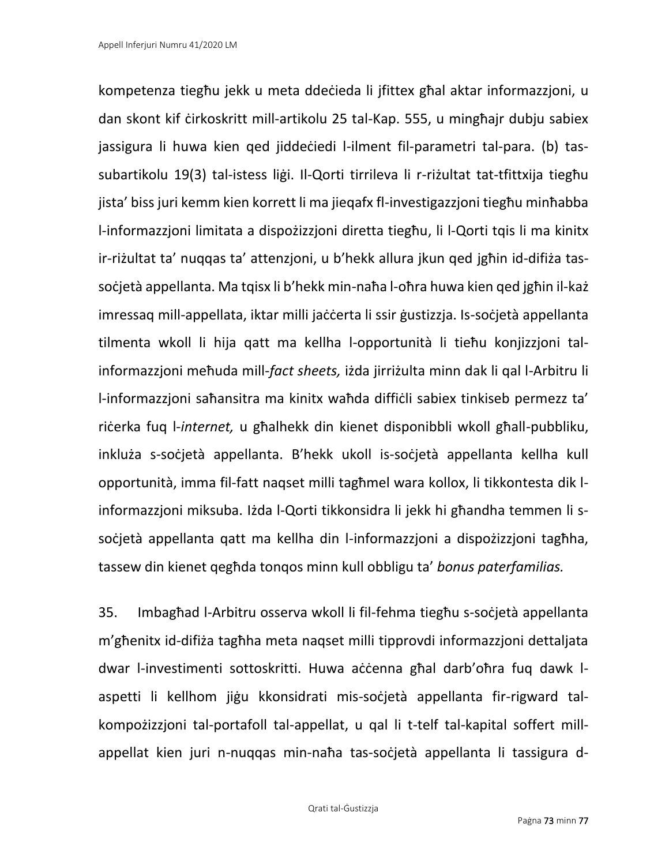kompetenza tiegħu jekk u meta ddeċieda li jfittex għal aktar informazzjoni, u dan skont kif ċirkoskritt mill-artikolu 25 tal-Kap. 555, u mingħajr dubju sabiex jassigura li huwa kien qed jiddeċiedi l-ilment fil-parametri tal-para. (b) tassubartikolu 19(3) tal-istess liġi. Il-Qorti tirrileva li r-riżultat tat-tfittxija tiegħu jista' biss juri kemm kien korrett li ma jieqafx fl-investigazzjoni tiegħu minħabba l-informazzjoni limitata a dispożizzjoni diretta tiegħu, li l-Qorti tqis li ma kinitx ir-riżultat ta' nuqqas ta' attenzjoni, u b'hekk allura jkun qed jgħin id-difiża tassoċjetà appellanta. Ma tqisx li b'hekk min-naħa l-oħra huwa kien qed jgħin il-każ imressaq mill-appellata, iktar milli jaċċerta li ssir ġustizzja. Is-soċjetà appellanta tilmenta wkoll li hija qatt ma kellha l-opportunità li tieħu konjizzjoni talinformazzjoni meħuda mill-*fact sheets,* iżda jirriżulta minn dak li qal l-Arbitru li l-informazzjoni saħansitra ma kinitx waħda diffiċli sabiex tinkiseb permezz ta' riċerka fuq l-*internet,* u għalhekk din kienet disponibbli wkoll għall-pubbliku, inkluża s-soċjetà appellanta. B'hekk ukoll is-soċjetà appellanta kellha kull opportunità, imma fil-fatt naqset milli tagħmel wara kollox, li tikkontesta dik linformazzjoni miksuba. Iżda l-Qorti tikkonsidra li jekk hi għandha temmen li ssoċjetà appellanta qatt ma kellha din l-informazzjoni a dispożizzjoni tagħha, tassew din kienet qegħda tonqos minn kull obbligu ta' *bonus paterfamilias.*

35. Imbagħad l-Arbitru osserva wkoll li fil-fehma tiegħu s-soċjetà appellanta m'għenitx id-difiża tagħha meta naqset milli tipprovdi informazzjoni dettaljata dwar l-investimenti sottoskritti. Huwa aċċenna għal darb'oħra fuq dawk laspetti li kellhom jiġu kkonsidrati mis-soċjetà appellanta fir-rigward talkompożizzjoni tal-portafoll tal-appellat, u qal li t-telf tal-kapital soffert millappellat kien juri n-nuqqas min-naħa tas-soċjetà appellanta li tassigura d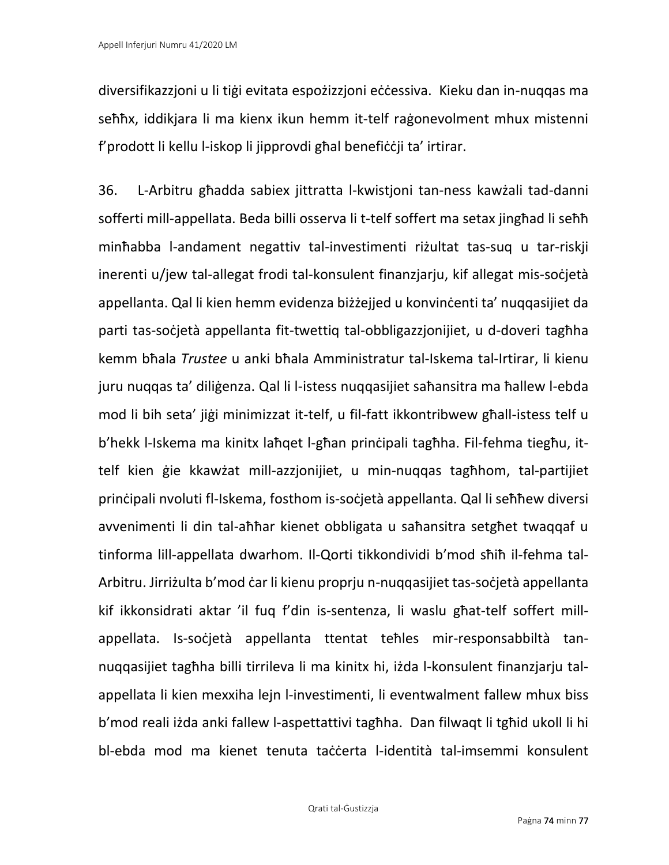diversifikazzjoni u li tiġi evitata espożizzjoni eċċessiva. Kieku dan in-nuqqas ma seħħx, iddikjara li ma kienx ikun hemm it-telf raġonevolment mhux mistenni f'prodott li kellu l-iskop li jipprovdi għal benefiċċji ta' irtirar.

36. L-Arbitru għadda sabiex jittratta l-kwistjoni tan-ness kawżali tad-danni sofferti mill-appellata. Beda billi osserva li t-telf soffert ma setax jingħad li seħħ minħabba l-andament negattiv tal-investimenti riżultat tas-suq u tar-riskji inerenti u/jew tal-allegat frodi tal-konsulent finanzjarju, kif allegat mis-soċjetà appellanta. Qal li kien hemm evidenza biżżejjed u konvinċenti ta' nuqqasijiet da parti tas-soċjetà appellanta fit-twettiq tal-obbligazzjonijiet, u d-doveri tagħha kemm bħala *Trustee* u anki bħala Amministratur tal-Iskema tal-Irtirar, li kienu juru nuqqas ta' diliġenza. Qal li l-istess nuqqasijiet saħansitra ma ħallew l-ebda mod li bih seta' jiġi minimizzat it-telf, u fil-fatt ikkontribwew għall-istess telf u b'hekk l-Iskema ma kinitx laħqet l-għan prinċipali tagħha. Fil-fehma tiegħu, ittelf kien ġie kkawżat mill-azzjonijiet, u min-nuqqas tagħhom, tal-partijiet prinċipali nvoluti fl-Iskema, fosthom is-soċjetà appellanta. Qal li seħħew diversi avvenimenti li din tal-aħħar kienet obbligata u saħansitra setgħet twaqqaf u tinforma lill-appellata dwarhom. Il-Qorti tikkondividi b'mod sħiħ il-fehma tal-Arbitru. Jirriżulta b'mod ċar li kienu proprju n-nuqqasijiet tas-soċjetà appellanta kif ikkonsidrati aktar 'il fuq f'din is-sentenza, li waslu għat-telf soffert millappellata. Is-soċjetà appellanta ttentat teħles mir-responsabbiltà tannuqqasijiet tagħha billi tirrileva li ma kinitx hi, iżda l-konsulent finanzjarju talappellata li kien mexxiha lejn l-investimenti, li eventwalment fallew mhux biss b'mod reali iżda anki fallew l-aspettattivi tagħha. Dan filwaqt li tgħid ukoll li hi bl-ebda mod ma kienet tenuta taċċerta l-identità tal-imsemmi konsulent

Qrati tal-Ġustizzja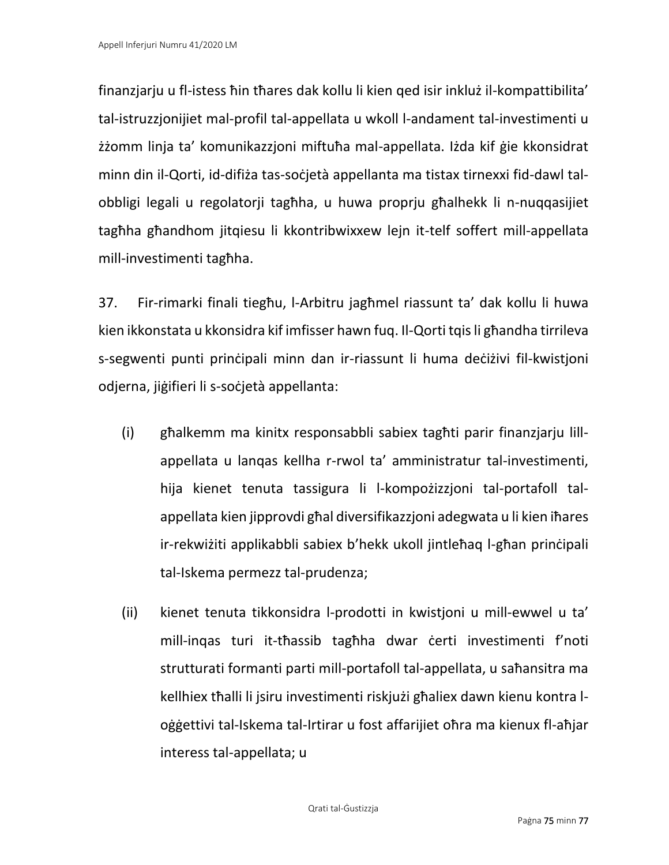finanzjarju u fl-istess ħin tħares dak kollu li kien qed isir inkluż il-kompattibilita' tal-istruzzjonijiet mal-profil tal-appellata u wkoll l-andament tal-investimenti u żżomm linja ta' komunikazzjoni miftuħa mal-appellata. Iżda kif ġie kkonsidrat minn din il-Qorti, id-difiża tas-soċjetà appellanta ma tistax tirnexxi fid-dawl talobbligi legali u regolatorji tagħha, u huwa proprju għalhekk li n-nuqqasijiet tagħha għandhom jitqiesu li kkontribwixxew lejn it-telf soffert mill-appellata mill-investimenti tagħha.

37. Fir-rimarki finali tiegħu, l-Arbitru jagħmel riassunt ta' dak kollu li huwa kien ikkonstata u kkonsidra kif imfisser hawn fuq. Il-Qorti tqis li għandha tirrileva s-segwenti punti prinċipali minn dan ir-riassunt li huma deċiżivi fil-kwistjoni odjerna, jiġifieri li s-soċjetà appellanta:

- (i) għalkemm ma kinitx responsabbli sabiex tagħti parir finanzjarju lillappellata u lanqas kellha r-rwol ta' amministratur tal-investimenti, hija kienet tenuta tassigura li l-kompożizzjoni tal-portafoll talappellata kien jipprovdi għal diversifikazzjoni adegwata u li kien iħares ir-rekwiżiti applikabbli sabiex b'hekk ukoll jintleħaq l-għan prinċipali tal-Iskema permezz tal-prudenza;
- (ii) kienet tenuta tikkonsidra l-prodotti in kwistjoni u mill-ewwel u ta' mill-inqas turi it-tħassib tagħha dwar ċerti investimenti f'noti strutturati formanti parti mill-portafoll tal-appellata, u saħansitra ma kellhiex tħalli li jsiru investimenti riskjużi għaliex dawn kienu kontra loġġettivi tal-Iskema tal-Irtirar u fost affarijiet oħra ma kienux fl-aħjar interess tal-appellata; u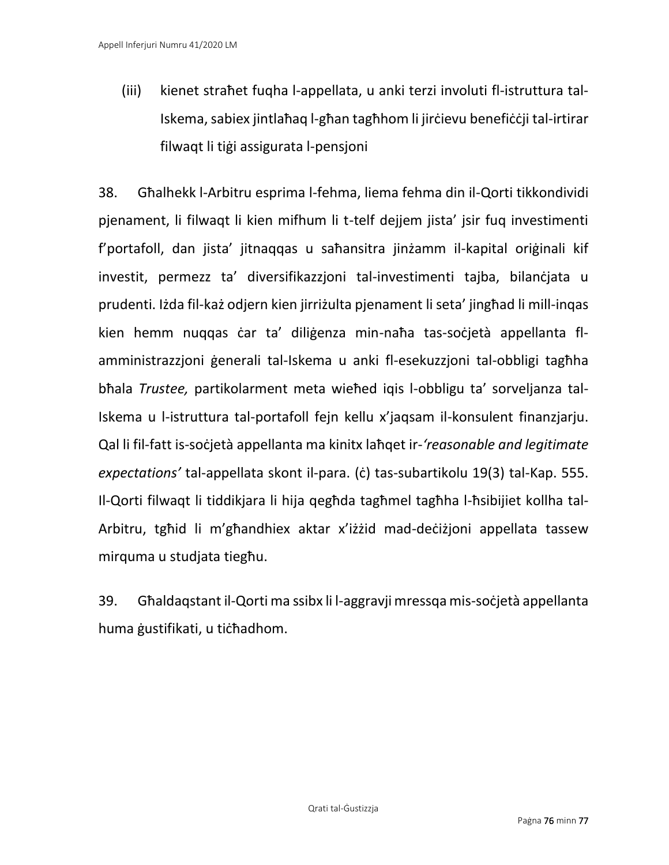(iii) kienet straħet fuqha l-appellata, u anki terzi involuti fl-istruttura tal-Iskema, sabiex jintlaħaq l-għan tagħhom li jirċievu benefiċċji tal-irtirar filwaqt li tiġi assigurata l-pensjoni

38. Għalhekk l-Arbitru esprima l-fehma, liema fehma din il-Qorti tikkondividi pjenament, li filwaqt li kien mifhum li t-telf dejjem jista' jsir fuq investimenti f'portafoll, dan jista' jitnaqqas u saħansitra jinżamm il-kapital oriġinali kif investit, permezz ta' diversifikazzjoni tal-investimenti tajba, bilanċjata u prudenti. Iżda fil-każ odjern kien jirriżulta pjenament li seta' jingħad li mill-inqas kien hemm nuqqas ċar ta' diliġenza min-naħa tas-soċjetà appellanta flamministrazzjoni ġenerali tal-Iskema u anki fl-esekuzzjoni tal-obbligi tagħha bħala *Trustee,* partikolarment meta wieħed iqis l-obbligu ta' sorveljanza tal-Iskema u l-istruttura tal-portafoll fejn kellu x'jaqsam il-konsulent finanzjarju. Qal li fil-fatt is-soċjetà appellanta ma kinitx laħqet ir-*'reasonable and legitimate expectations'* tal-appellata skont il-para. (ċ) tas-subartikolu 19(3) tal-Kap. 555. Il-Qorti filwaqt li tiddikjara li hija qegħda tagħmel tagħha l-ħsibijiet kollha tal-Arbitru, tgħid li m'għandhiex aktar x'iżżid mad-deċiżjoni appellata tassew mirquma u studjata tiegħu.

39. Għaldaqstant il-Qorti ma ssibx li l-aggravji mressqa mis-soċjetà appellanta huma ġustifikati, u tiċħadhom.